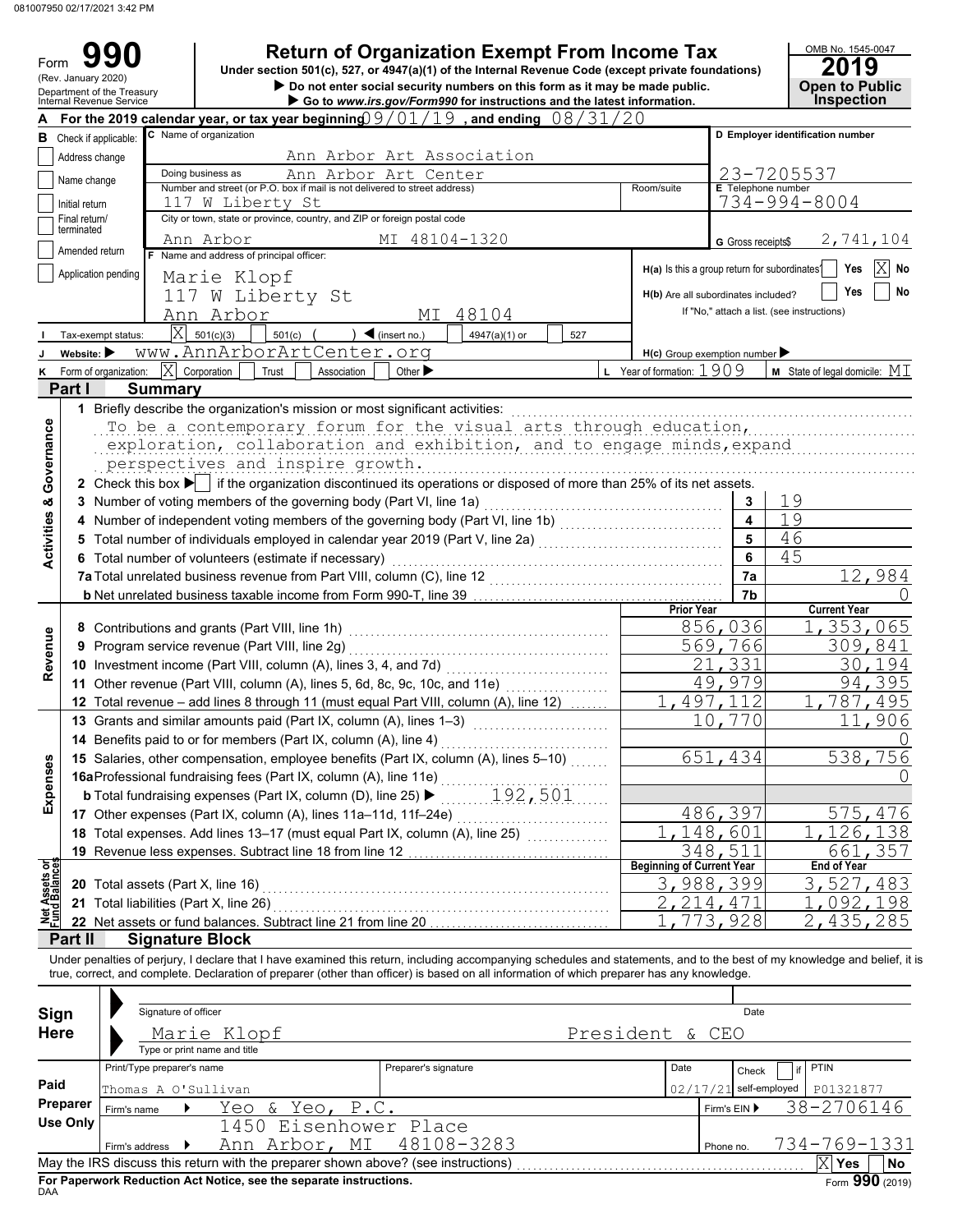Form

Do not enter social security numbers on this form as it may be made public.<br>Department of the Treasury **COP CONSECT COPP OF SECURE 2018**<br>Internal Revenue Service **COPP ISSUES 990 2019 2019 2019 2019 2019 Dependence Tax Dependence Code (except private foundations) 2019 2019** 

| OMB No. 1545-0047                    |
|--------------------------------------|
| 2019                                 |
| <b>Open to Public<br/>Inspection</b> |
|                                      |

|                                | (Rev. January 2020)                                                                 |                                                                                              |                                                                                                                                                                           |                                   | Under Section 50 (C), 527, 01 4547 (a)(1) Or the internal Revenue Code (except private foundations)<br>Do not enter social security numbers on this form as it may be made public. |         |                                  |                                     | LU I J<br><b>Open to Public</b>            |  |  |  |
|--------------------------------|-------------------------------------------------------------------------------------|----------------------------------------------------------------------------------------------|---------------------------------------------------------------------------------------------------------------------------------------------------------------------------|-----------------------------------|------------------------------------------------------------------------------------------------------------------------------------------------------------------------------------|---------|----------------------------------|-------------------------------------|--------------------------------------------|--|--|--|
|                                |                                                                                     | Department of the Treasury<br>Internal Revenue Service                                       |                                                                                                                                                                           |                                   | Go to www.irs.gov/Form990 for instructions and the latest information.                                                                                                             |         |                                  |                                     | <b>Inspection</b>                          |  |  |  |
|                                |                                                                                     |                                                                                              | For the 2019 calendar year, or tax year beginning $9/01/19$ , and ending $08/31/20$                                                                                       |                                   |                                                                                                                                                                                    |         |                                  |                                     |                                            |  |  |  |
|                                |                                                                                     | <b>B</b> Check if applicable:                                                                | C Name of organization                                                                                                                                                    |                                   |                                                                                                                                                                                    |         |                                  |                                     | D Employer identification number           |  |  |  |
|                                | Address change                                                                      |                                                                                              |                                                                                                                                                                           | Ann Arbor Art Association         |                                                                                                                                                                                    |         |                                  |                                     |                                            |  |  |  |
|                                |                                                                                     |                                                                                              | Doing business as                                                                                                                                                         | Ann Arbor Art Center              |                                                                                                                                                                                    |         |                                  |                                     | 23-7205537                                 |  |  |  |
|                                | Name change                                                                         |                                                                                              | Number and street (or P.O. box if mail is not delivered to street address)                                                                                                |                                   |                                                                                                                                                                                    |         | Room/suite                       | E Telephone number                  |                                            |  |  |  |
|                                | Initial return                                                                      | 117 W Liberty St<br>City or town, state or province, country, and ZIP or foreign postal code |                                                                                                                                                                           | 734-994-8004                      |                                                                                                                                                                                    |         |                                  |                                     |                                            |  |  |  |
|                                | Final return/                                                                       |                                                                                              |                                                                                                                                                                           |                                   |                                                                                                                                                                                    |         |                                  |                                     |                                            |  |  |  |
|                                | terminated                                                                          | 2,741,104<br>G Gross receipts\$                                                              |                                                                                                                                                                           |                                   |                                                                                                                                                                                    |         |                                  |                                     |                                            |  |  |  |
|                                | Ann Arbor<br>Amended return<br>Name and address of principal officer:               |                                                                                              |                                                                                                                                                                           |                                   |                                                                                                                                                                                    |         |                                  |                                     |                                            |  |  |  |
|                                | H(a) Is this a group return for subordinates?<br>Application pending<br>Marie Klopf |                                                                                              |                                                                                                                                                                           |                                   |                                                                                                                                                                                    |         |                                  |                                     |                                            |  |  |  |
|                                |                                                                                     |                                                                                              | 117 W Liberty St                                                                                                                                                          |                                   |                                                                                                                                                                                    |         |                                  | H(b) Are all subordinates included? | No<br>Yes                                  |  |  |  |
|                                |                                                                                     |                                                                                              |                                                                                                                                                                           |                                   |                                                                                                                                                                                    |         |                                  |                                     | If "No," attach a list. (see instructions) |  |  |  |
|                                |                                                                                     |                                                                                              | Ann Arbor                                                                                                                                                                 | МI                                | 48104                                                                                                                                                                              |         |                                  |                                     |                                            |  |  |  |
|                                |                                                                                     | Tax-exempt status:                                                                           | $ \mathrm{X} $<br>501(c)(3)<br>501(c)                                                                                                                                     | $\blacktriangleleft$ (insert no.) | 4947(a)(1) or<br>527                                                                                                                                                               |         |                                  |                                     |                                            |  |  |  |
|                                | Website: $\blacktriangleright$                                                      |                                                                                              | www.AnnArborArtCenter.org                                                                                                                                                 |                                   |                                                                                                                                                                                    |         |                                  | $H(c)$ Group exemption number       |                                            |  |  |  |
| κ                              |                                                                                     | Form of organization:                                                                        | X<br>Corporation<br>Trust<br>Association                                                                                                                                  | Other $\blacktriangleright$       |                                                                                                                                                                                    |         | Year of formation: $1909$        |                                     | <b>M</b> State of legal domicile: $MI$     |  |  |  |
|                                | Part I                                                                              | <b>Summary</b>                                                                               |                                                                                                                                                                           |                                   |                                                                                                                                                                                    |         |                                  |                                     |                                            |  |  |  |
|                                |                                                                                     |                                                                                              | 1 Briefly describe the organization's mission or most significant activities:                                                                                             |                                   |                                                                                                                                                                                    |         |                                  |                                     |                                            |  |  |  |
|                                |                                                                                     |                                                                                              | To be a contemporary forum for the visual arts through education,                                                                                                         |                                   |                                                                                                                                                                                    |         |                                  |                                     |                                            |  |  |  |
|                                |                                                                                     |                                                                                              | exploration, collaboration and exhibition, and to engage minds, expand                                                                                                    |                                   |                                                                                                                                                                                    |         |                                  |                                     |                                            |  |  |  |
|                                |                                                                                     |                                                                                              | perspectives and inspire growth.                                                                                                                                          |                                   |                                                                                                                                                                                    |         |                                  |                                     |                                            |  |  |  |
| Governance                     |                                                                                     |                                                                                              | 2 Check this box $\blacktriangleright$   if the organization discontinued its operations or disposed of more than 25% of its net assets.                                  |                                   |                                                                                                                                                                                    |         |                                  |                                     |                                            |  |  |  |
|                                |                                                                                     |                                                                                              |                                                                                                                                                                           |                                   |                                                                                                                                                                                    |         |                                  |                                     |                                            |  |  |  |
|                                |                                                                                     |                                                                                              | 3 Number of voting members of the governing body (Part VI, line 1a)                                                                                                       |                                   |                                                                                                                                                                                    |         |                                  | 3                                   | 19                                         |  |  |  |
| <b>Activities &amp;</b>        |                                                                                     |                                                                                              | Number of independent voting members of the governing body (Part VI, line 1b) [100] [100] [100] [100] [100] [1                                                            |                                   |                                                                                                                                                                                    |         |                                  | $\overline{\mathbf{4}}$             | 19                                         |  |  |  |
|                                | 5                                                                                   |                                                                                              | Total number of individuals employed in calendar year 2019 (Part V, line 2a) [[[[[[[[[[[[[[[[[[[[[[[[[[[[[[[[                                                             |                                   |                                                                                                                                                                                    |         |                                  | 5                                   | 46                                         |  |  |  |
|                                |                                                                                     |                                                                                              | 6 Total number of volunteers (estimate if necessary)                                                                                                                      |                                   |                                                                                                                                                                                    |         | 6                                | 45                                  |                                            |  |  |  |
|                                |                                                                                     |                                                                                              | 7a Total unrelated business revenue from Part VIII, column (C), line 12                                                                                                   |                                   | 7a                                                                                                                                                                                 | 12,984  |                                  |                                     |                                            |  |  |  |
|                                |                                                                                     |                                                                                              |                                                                                                                                                                           |                                   |                                                                                                                                                                                    |         |                                  | 7b                                  |                                            |  |  |  |
|                                |                                                                                     |                                                                                              |                                                                                                                                                                           |                                   |                                                                                                                                                                                    |         | <b>Prior Year</b>                |                                     | <b>Current Year</b>                        |  |  |  |
|                                |                                                                                     |                                                                                              | 8 Contributions and grants (Part VIII, line 1h)                                                                                                                           |                                   |                                                                                                                                                                                    | 856,036 | 1,353,065                        |                                     |                                            |  |  |  |
| Revenue                        | 9                                                                                   |                                                                                              | Program service revenue (Part VIII, line 2g)                                                                                                                              |                                   |                                                                                                                                                                                    |         | 569,766                          | 309,841                             |                                            |  |  |  |
|                                |                                                                                     |                                                                                              | 10 Investment income (Part VIII, column (A), lines 3, 4, and 7d)                                                                                                          |                                   |                                                                                                                                                                                    |         | 21,331                           | 30,194                              |                                            |  |  |  |
|                                |                                                                                     |                                                                                              | 11 Other revenue (Part VIII, column (A), lines 5, 6d, 8c, 9c, 10c, and 11e)                                                                                               |                                   |                                                                                                                                                                                    |         | 49,979                           | 94,395                              |                                            |  |  |  |
|                                |                                                                                     |                                                                                              | 12 Total revenue - add lines 8 through 11 (must equal Part VIII, column (A), line 12)                                                                                     |                                   | <u>a serial de la califactura de la califactura de la califactura de la califactura de la califactura de la calif</u>                                                              |         |                                  | 1,497,112                           | 1,787,495                                  |  |  |  |
|                                |                                                                                     |                                                                                              | 13 Grants and similar amounts paid (Part IX, column (A), lines 1-3)                                                                                                       |                                   |                                                                                                                                                                                    |         |                                  | 10,770                              | 11,906                                     |  |  |  |
|                                |                                                                                     |                                                                                              | 14 Benefits paid to or for members (Part IX, column (A), line 4)                                                                                                          |                                   |                                                                                                                                                                                    |         |                                  |                                     |                                            |  |  |  |
|                                |                                                                                     |                                                                                              |                                                                                                                                                                           |                                   |                                                                                                                                                                                    |         |                                  | 651,434                             | 538,756                                    |  |  |  |
| ဇိ                             |                                                                                     |                                                                                              | 15 Salaries, other compensation, employee benefits (Part IX, column (A), lines 5-10)                                                                                      |                                   |                                                                                                                                                                                    |         |                                  |                                     |                                            |  |  |  |
| Expense                        |                                                                                     |                                                                                              | 16aProfessional fundraising fees (Part IX, column (A), line 11e)                                                                                                          |                                   |                                                                                                                                                                                    |         |                                  |                                     | U                                          |  |  |  |
|                                |                                                                                     |                                                                                              | <b>b</b> Total fundraising expenses (Part IX, column (D), line 25) ▶                                                                                                      |                                   | 192,501                                                                                                                                                                            |         |                                  |                                     |                                            |  |  |  |
|                                |                                                                                     |                                                                                              | 17 Other expenses (Part IX, column (A), lines 11a-11d, 11f-24e)                                                                                                           |                                   |                                                                                                                                                                                    |         |                                  | 486,397                             | 575,476                                    |  |  |  |
|                                |                                                                                     |                                                                                              | 18 Total expenses. Add lines 13-17 (must equal Part IX, column (A), line 25)                                                                                              |                                   |                                                                                                                                                                                    |         |                                  | $\overline{1}$ , 148, 601           | 1,126,138                                  |  |  |  |
|                                |                                                                                     |                                                                                              | 19 Revenue less expenses. Subtract line 18 from line 12                                                                                                                   |                                   |                                                                                                                                                                                    |         |                                  | 348,511                             | 661,357                                    |  |  |  |
| Net Assets or<br>Fund Balances |                                                                                     |                                                                                              |                                                                                                                                                                           |                                   |                                                                                                                                                                                    |         | <b>Beginning of Current Year</b> |                                     | <b>End of Year</b>                         |  |  |  |
|                                |                                                                                     |                                                                                              | 20 Total assets (Part X, line 16)                                                                                                                                         |                                   |                                                                                                                                                                                    |         |                                  | 3,988,399                           | 3,527,483                                  |  |  |  |
|                                |                                                                                     |                                                                                              | 21 Total liabilities (Part X, line 26)                                                                                                                                    |                                   |                                                                                                                                                                                    |         |                                  | 2, 214, 471                         | 092,198                                    |  |  |  |
|                                |                                                                                     |                                                                                              | 22 Net assets or fund balances. Subtract line 21 from line 20                                                                                                             |                                   |                                                                                                                                                                                    |         |                                  | 773,928                             | 435,285                                    |  |  |  |
|                                | Part II                                                                             |                                                                                              | <b>Signature Block</b>                                                                                                                                                    |                                   |                                                                                                                                                                                    |         |                                  |                                     |                                            |  |  |  |
|                                |                                                                                     |                                                                                              | Under penalties of perjury, I declare that I have examined this return, including accompanying schedules and statements, and to the best of my knowledge and belief, it i |                                   |                                                                                                                                                                                    |         |                                  |                                     |                                            |  |  |  |
|                                |                                                                                     |                                                                                              | true, correct, and complete. Declaration of preparer (other than officer) is based on all information of which preparer has any knowledge.                                |                                   |                                                                                                                                                                                    |         |                                  |                                     |                                            |  |  |  |
|                                |                                                                                     |                                                                                              |                                                                                                                                                                           |                                   |                                                                                                                                                                                    |         |                                  |                                     |                                            |  |  |  |
| Sign                           |                                                                                     |                                                                                              | Signature of officer                                                                                                                                                      |                                   |                                                                                                                                                                                    |         |                                  | Date                                |                                            |  |  |  |
| <b>Here</b>                    |                                                                                     |                                                                                              |                                                                                                                                                                           |                                   |                                                                                                                                                                                    |         | President &                      | CEO                                 |                                            |  |  |  |
|                                |                                                                                     |                                                                                              | Marie Klopf<br>Type or print name and title                                                                                                                               |                                   |                                                                                                                                                                                    |         |                                  |                                     |                                            |  |  |  |
|                                |                                                                                     |                                                                                              |                                                                                                                                                                           |                                   |                                                                                                                                                                                    |         |                                  |                                     |                                            |  |  |  |
|                                |                                                                                     | Print/Type preparer's name                                                                   |                                                                                                                                                                           | Preparer's signature              |                                                                                                                                                                                    |         | Date                             | Check                               | <b>PTIN</b><br>if                          |  |  |  |
| Paid                           |                                                                                     |                                                                                              | Thomas A O'Sullivan                                                                                                                                                       |                                   |                                                                                                                                                                                    |         | 02/17/21                         | self-employed                       | P01321877                                  |  |  |  |
|                                | Preparer                                                                            | Firm's name                                                                                  | Yeo & Yeo, P.C.                                                                                                                                                           |                                   |                                                                                                                                                                                    |         |                                  | Firm's EIN ▶                        | 38-2706146                                 |  |  |  |
|                                | <b>Use Only</b>                                                                     |                                                                                              | 1450 Eisenhower Place                                                                                                                                                     |                                   |                                                                                                                                                                                    |         |                                  |                                     |                                            |  |  |  |
|                                |                                                                                     | Firm's address                                                                               | Ann Arbor, MI                                                                                                                                                             |                                   | 48108-3283                                                                                                                                                                         |         |                                  | Phone no.                           | 734-769-1331                               |  |  |  |
|                                |                                                                                     |                                                                                              | May the IRS discuss this return with the preparer shown above? (see instructions)                                                                                         |                                   |                                                                                                                                                                                    |         |                                  |                                     | X<br>Yes<br>No                             |  |  |  |

| Sign        | Signature of officer                                                                  |                              |                                                                                   | Date            |                          |                   |  |  |  |  |  |  |
|-------------|---------------------------------------------------------------------------------------|------------------------------|-----------------------------------------------------------------------------------|-----------------|--------------------------|-------------------|--|--|--|--|--|--|
| <b>Here</b> |                                                                                       | Marie Klopf                  |                                                                                   | President & CEO |                          |                   |  |  |  |  |  |  |
|             |                                                                                       | Type or print name and title |                                                                                   |                 |                          |                   |  |  |  |  |  |  |
|             | Print/Type preparer's name                                                            |                              | Preparer's signature                                                              | Date            | Check                    | <b>PTIN</b><br>if |  |  |  |  |  |  |
| Paid        | Thomas A O'Sullivan                                                                   |                              |                                                                                   |                 | $02/17/21$ self-employed | P01321877         |  |  |  |  |  |  |
| Preparer    | Firm's name                                                                           | Yeo & Yeo, P.C.              |                                                                                   |                 | Firm's $EIN$             | 38-2706146        |  |  |  |  |  |  |
| Use Only    |                                                                                       |                              | 1450 Eisenhower Place                                                             |                 |                          |                   |  |  |  |  |  |  |
|             | Firm's address $\blacktriangleright$                                                  | Ann Arbor, MI 48108-3283     | Phone no.                                                                         | 734-769-1331    |                          |                   |  |  |  |  |  |  |
|             |                                                                                       |                              | May the IRS discuss this return with the preparer shown above? (see instructions) |                 |                          | No<br>Yes         |  |  |  |  |  |  |
| DAA         | Form 990 (2019)<br>For Paperwork Reduction Act Notice, see the separate instructions. |                              |                                                                                   |                 |                          |                   |  |  |  |  |  |  |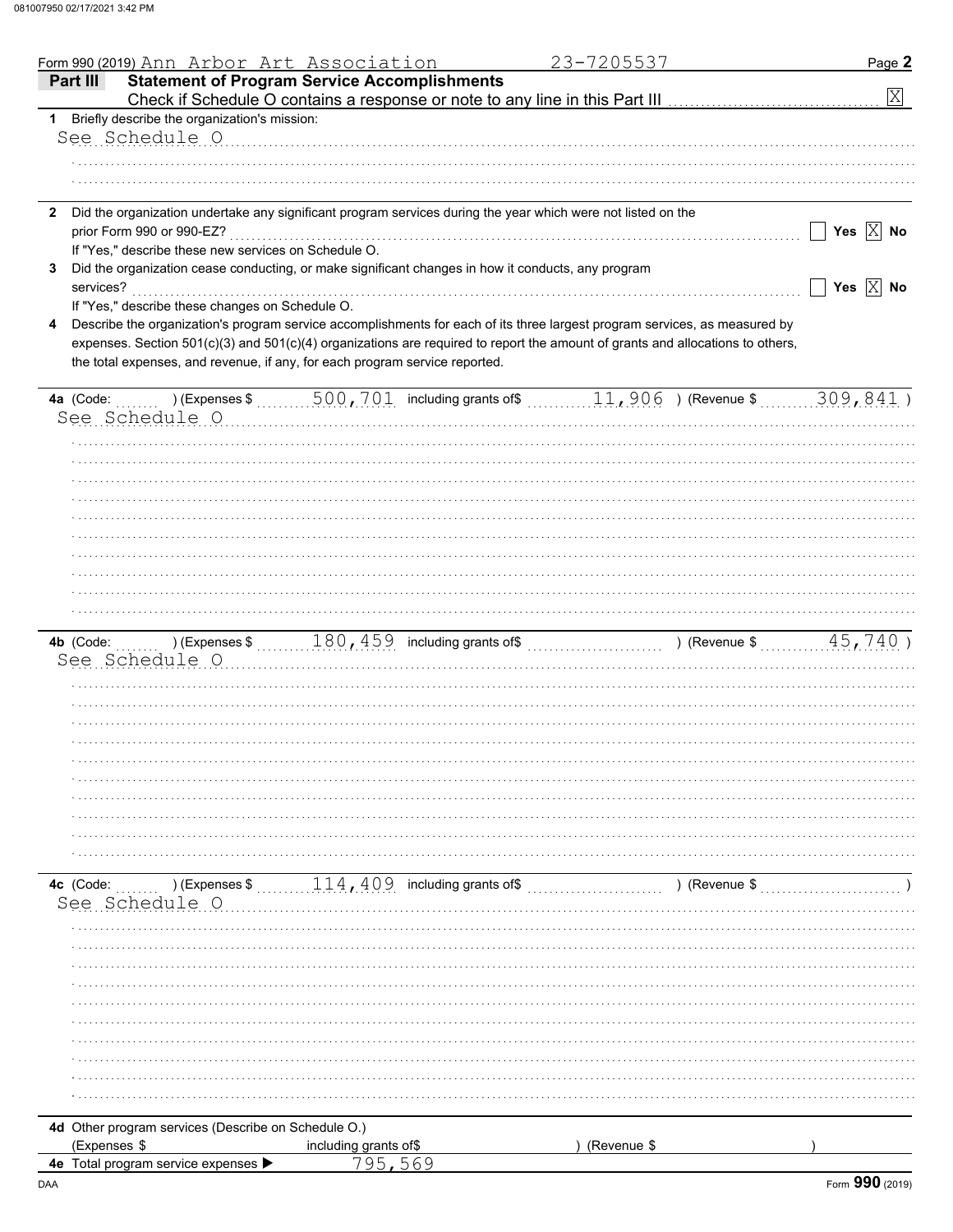|                | Form 990 (2019) Ann Arbor Art Association                                                                                      |                                                                         | 23-7205537  |               | Page 2                  |
|----------------|--------------------------------------------------------------------------------------------------------------------------------|-------------------------------------------------------------------------|-------------|---------------|-------------------------|
| Part III       | <b>Statement of Program Service Accomplishments</b>                                                                            |                                                                         |             |               | $\mathbf{X}$            |
| 1              | Briefly describe the organization's mission:                                                                                   |                                                                         |             |               |                         |
|                | See Schedule O                                                                                                                 |                                                                         |             |               |                         |
|                |                                                                                                                                |                                                                         |             |               |                         |
|                |                                                                                                                                |                                                                         |             |               |                         |
|                |                                                                                                                                |                                                                         |             |               |                         |
| $\mathbf{2}$   | Did the organization undertake any significant program services during the year which were not listed on the                   |                                                                         |             |               |                         |
|                | prior Form 990 or 990-EZ?                                                                                                      |                                                                         |             |               | Yes $\overline{X}$ No   |
|                | If "Yes," describe these new services on Schedule O.                                                                           |                                                                         |             |               |                         |
| 3<br>services? | Did the organization cease conducting, or make significant changes in how it conducts, any program                             |                                                                         |             |               | Yes $\boxed{\times}$ No |
|                | If "Yes," describe these changes on Schedule O.                                                                                |                                                                         |             |               |                         |
| 4              | Describe the organization's program service accomplishments for each of its three largest program services, as measured by     |                                                                         |             |               |                         |
|                | expenses. Section 501(c)(3) and 501(c)(4) organizations are required to report the amount of grants and allocations to others, |                                                                         |             |               |                         |
|                | the total expenses, and revenue, if any, for each program service reported.                                                    |                                                                         |             |               |                         |
|                |                                                                                                                                |                                                                         |             |               |                         |
| 4a (Code:      |                                                                                                                                |                                                                         |             |               |                         |
|                | See Schedule O                                                                                                                 |                                                                         |             |               |                         |
|                |                                                                                                                                |                                                                         |             |               |                         |
|                |                                                                                                                                |                                                                         |             |               |                         |
|                |                                                                                                                                |                                                                         |             |               |                         |
|                |                                                                                                                                |                                                                         |             |               |                         |
|                |                                                                                                                                |                                                                         |             |               |                         |
|                |                                                                                                                                |                                                                         |             |               |                         |
|                |                                                                                                                                |                                                                         |             |               |                         |
|                |                                                                                                                                |                                                                         |             |               |                         |
|                |                                                                                                                                |                                                                         |             |               |                         |
|                |                                                                                                                                |                                                                         |             |               |                         |
|                |                                                                                                                                |                                                                         |             |               |                         |
|                | See Schedule O                                                                                                                 |                                                                         |             |               |                         |
|                |                                                                                                                                |                                                                         |             |               |                         |
|                |                                                                                                                                |                                                                         |             |               |                         |
|                |                                                                                                                                |                                                                         |             |               |                         |
|                |                                                                                                                                |                                                                         |             |               |                         |
|                |                                                                                                                                |                                                                         |             |               |                         |
|                |                                                                                                                                |                                                                         |             |               |                         |
|                |                                                                                                                                |                                                                         |             |               |                         |
|                |                                                                                                                                |                                                                         |             |               |                         |
|                |                                                                                                                                |                                                                         |             |               |                         |
|                |                                                                                                                                |                                                                         |             |               |                         |
| 4c (Code:      |                                                                                                                                | ) (Expenses $\frac{114}{14}$ , $\frac{409}{100}$ including grants of \$ |             | ) (Revenue \$ |                         |
|                | See Schedule O                                                                                                                 |                                                                         |             |               |                         |
|                |                                                                                                                                |                                                                         |             |               |                         |
|                |                                                                                                                                |                                                                         |             |               |                         |
|                |                                                                                                                                |                                                                         |             |               |                         |
|                |                                                                                                                                |                                                                         |             |               |                         |
|                |                                                                                                                                |                                                                         |             |               |                         |
|                |                                                                                                                                |                                                                         |             |               |                         |
|                |                                                                                                                                |                                                                         |             |               |                         |
|                |                                                                                                                                |                                                                         |             |               |                         |
|                |                                                                                                                                |                                                                         |             |               |                         |
|                |                                                                                                                                |                                                                         |             |               |                         |
|                | 4d Other program services (Describe on Schedule O.)                                                                            |                                                                         |             |               |                         |
| (Expenses \$   |                                                                                                                                | including grants of\$                                                   | (Revenue \$ |               |                         |
|                | 4e Total program service expenses ▶                                                                                            | 795,569                                                                 |             |               |                         |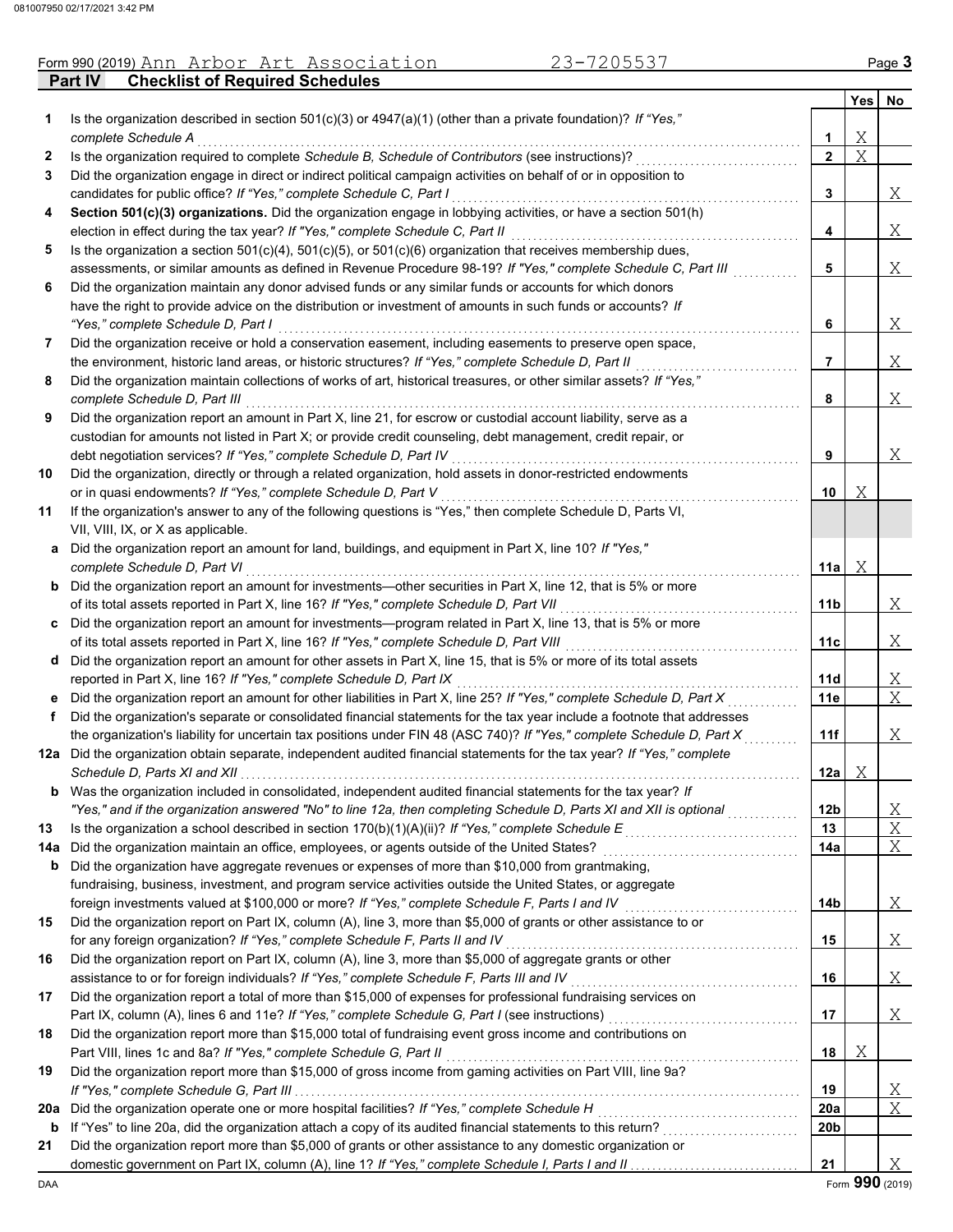|  | Form 990 (2019) Ann Arbor Art Association      | <sup>2</sup> 3-7205537 | Page <b>3</b> |
|--|------------------------------------------------|------------------------|---------------|
|  | <b>Part IV Checklist of Required Schedules</b> |                        |               |

|     |                                                                                                                                                                                                                             |                 | Yes         | No       |
|-----|-----------------------------------------------------------------------------------------------------------------------------------------------------------------------------------------------------------------------------|-----------------|-------------|----------|
| 1   | Is the organization described in section $501(c)(3)$ or $4947(a)(1)$ (other than a private foundation)? If "Yes,"                                                                                                           |                 |             |          |
|     | complete Schedule A                                                                                                                                                                                                         | 1               | Χ           |          |
| 2   | Is the organization required to complete Schedule B, Schedule of Contributors (see instructions)?                                                                                                                           | $\overline{2}$  | $\mathbf X$ |          |
| 3   | Did the organization engage in direct or indirect political campaign activities on behalf of or in opposition to                                                                                                            |                 |             |          |
|     | candidates for public office? If "Yes," complete Schedule C, Part I                                                                                                                                                         | 3               |             | Χ        |
| 4   | Section 501(c)(3) organizations. Did the organization engage in lobbying activities, or have a section 501(h)                                                                                                               |                 |             |          |
|     | election in effect during the tax year? If "Yes," complete Schedule C, Part II                                                                                                                                              | 4               |             | Χ        |
| 5   | Is the organization a section $501(c)(4)$ , $501(c)(5)$ , or $501(c)(6)$ organization that receives membership dues,                                                                                                        |                 |             |          |
|     | assessments, or similar amounts as defined in Revenue Procedure 98-19? If "Yes," complete Schedule C, Part III                                                                                                              | 5               |             | Χ        |
| 6   | Did the organization maintain any donor advised funds or any similar funds or accounts for which donors                                                                                                                     |                 |             |          |
|     | have the right to provide advice on the distribution or investment of amounts in such funds or accounts? If                                                                                                                 |                 |             |          |
|     | "Yes," complete Schedule D, Part I                                                                                                                                                                                          | 6               |             | Χ        |
| 7   | Did the organization receive or hold a conservation easement, including easements to preserve open space,                                                                                                                   |                 |             |          |
|     | the environment, historic land areas, or historic structures? If "Yes," complete Schedule D, Part II<br>Did the organization maintain collections of works of art, historical treasures, or other similar assets? If "Yes," | 7               |             | Χ        |
| 8   | complete Schedule D, Part III                                                                                                                                                                                               | 8               |             | Χ        |
| 9   | Did the organization report an amount in Part X, line 21, for escrow or custodial account liability, serve as a                                                                                                             |                 |             |          |
|     | custodian for amounts not listed in Part X; or provide credit counseling, debt management, credit repair, or                                                                                                                |                 |             |          |
|     | debt negotiation services? If "Yes," complete Schedule D, Part IV                                                                                                                                                           | 9               |             | Χ        |
| 10  | Did the organization, directly or through a related organization, hold assets in donor-restricted endowments                                                                                                                |                 |             |          |
|     | or in quasi endowments? If "Yes," complete Schedule D, Part V                                                                                                                                                               | 10              | Χ           |          |
| 11  | If the organization's answer to any of the following questions is "Yes," then complete Schedule D, Parts VI,                                                                                                                |                 |             |          |
|     | VII, VIII, IX, or X as applicable.                                                                                                                                                                                          |                 |             |          |
| а   | Did the organization report an amount for land, buildings, and equipment in Part X, line 10? If "Yes,"                                                                                                                      |                 |             |          |
|     | complete Schedule D, Part VI                                                                                                                                                                                                | 11a             | Χ           |          |
| b   | Did the organization report an amount for investments—other securities in Part X, line 12, that is 5% or more                                                                                                               |                 |             |          |
|     | of its total assets reported in Part X, line 16? If "Yes," complete Schedule D, Part VII                                                                                                                                    | 11 <sub>b</sub> |             | Χ        |
| c   | Did the organization report an amount for investments—program related in Part X, line 13, that is 5% or more                                                                                                                |                 |             |          |
|     | of its total assets reported in Part X, line 16? If "Yes," complete Schedule D, Part VIII                                                                                                                                   | 11c             |             | Χ        |
| d   | Did the organization report an amount for other assets in Part X, line 15, that is 5% or more of its total assets                                                                                                           |                 |             |          |
|     | reported in Part X, line 16? If "Yes," complete Schedule D, Part IX                                                                                                                                                         | 11d             |             | X        |
| е   | Did the organization report an amount for other liabilities in Part X, line 25? If "Yes," complete Schedule D, Part X                                                                                                       | 11e             |             | X        |
| f   | Did the organization's separate or consolidated financial statements for the tax year include a footnote that addresses                                                                                                     |                 |             |          |
|     | the organization's liability for uncertain tax positions under FIN 48 (ASC 740)? If "Yes," complete Schedule D, Part X                                                                                                      | 11f             |             | Χ        |
|     | 12a Did the organization obtain separate, independent audited financial statements for the tax year? If "Yes," complete                                                                                                     |                 |             |          |
|     | Schedule D, Parts XI and XII.                                                                                                                                                                                               | 12a             | Χ           |          |
|     | <b>b</b> Was the organization included in consolidated, independent audited financial statements for the tax year? If                                                                                                       |                 |             |          |
|     | "Yes," and if the organization answered "No" to line 12a, then completing Schedule D, Parts XI and XII is optional                                                                                                          | 12 <sub>b</sub> |             | X        |
| 13  | Is the organization a school described in section 170(b)(1)(A)(ii)? If "Yes," complete Schedule $E$                                                                                                                         | 13              |             | Χ        |
| 14a | Did the organization maintain an office, employees, or agents outside of the United States?                                                                                                                                 | 14a             |             | Χ        |
| b   | Did the organization have aggregate revenues or expenses of more than \$10,000 from grantmaking,                                                                                                                            |                 |             |          |
|     | fundraising, business, investment, and program service activities outside the United States, or aggregate                                                                                                                   |                 |             |          |
|     | foreign investments valued at \$100,000 or more? If "Yes," complete Schedule F, Parts I and IV                                                                                                                              | 14 <sub>b</sub> |             | <u>X</u> |
| 15  | Did the organization report on Part IX, column (A), line 3, more than \$5,000 of grants or other assistance to or                                                                                                           |                 |             |          |
|     | for any foreign organization? If "Yes," complete Schedule F, Parts II and IV                                                                                                                                                | 15              |             | <u>X</u> |
| 16  | Did the organization report on Part IX, column (A), line 3, more than \$5,000 of aggregate grants or other                                                                                                                  |                 |             |          |
|     | assistance to or for foreign individuals? If "Yes," complete Schedule F, Parts III and IV                                                                                                                                   | 16              |             | Χ        |
| 17  | Did the organization report a total of more than \$15,000 of expenses for professional fundraising services on                                                                                                              |                 |             |          |
|     |                                                                                                                                                                                                                             | 17              |             | Χ        |
| 18  | Did the organization report more than \$15,000 total of fundraising event gross income and contributions on                                                                                                                 |                 |             |          |
|     | Part VIII, lines 1c and 8a? If "Yes," complete Schedule G, Part II                                                                                                                                                          | 18              | Χ           |          |
| 19  | Did the organization report more than \$15,000 of gross income from gaming activities on Part VIII, line 9a?                                                                                                                |                 |             |          |
|     |                                                                                                                                                                                                                             | 19              |             | <u>X</u> |
| 20a | Did the organization operate one or more hospital facilities? If "Yes," complete Schedule H                                                                                                                                 | 20a             |             | Χ        |
| b   |                                                                                                                                                                                                                             | 20 <sub>b</sub> |             |          |
| 21  | Did the organization report more than \$5,000 of grants or other assistance to any domestic organization or                                                                                                                 |                 |             |          |
|     |                                                                                                                                                                                                                             | 21              |             | X        |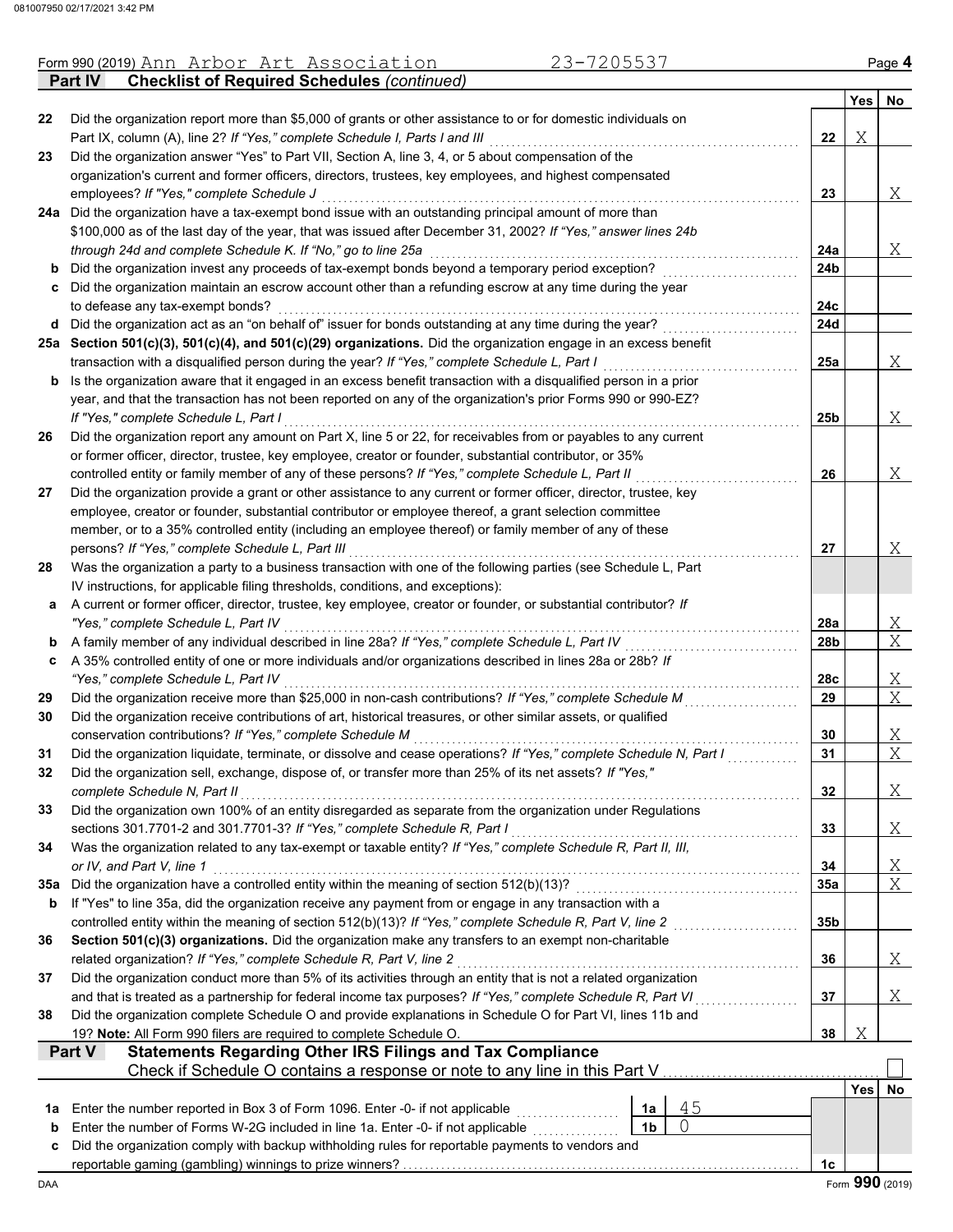|     | 23-7205537<br>Form 990 (2019) Ann Arbor Art Association                                                                                                                                                                    |                |    |                 |            | Page 4                  |
|-----|----------------------------------------------------------------------------------------------------------------------------------------------------------------------------------------------------------------------------|----------------|----|-----------------|------------|-------------------------|
|     | <b>Checklist of Required Schedules (continued)</b><br>Part IV                                                                                                                                                              |                |    |                 |            |                         |
| 22  | Did the organization report more than \$5,000 of grants or other assistance to or for domestic individuals on                                                                                                              |                |    |                 | Yes        | No                      |
|     | Part IX, column (A), line 2? If "Yes," complete Schedule I, Parts I and III                                                                                                                                                |                |    | 22              | Χ          |                         |
| 23  | Did the organization answer "Yes" to Part VII, Section A, line 3, 4, or 5 about compensation of the                                                                                                                        |                |    |                 |            |                         |
|     | organization's current and former officers, directors, trustees, key employees, and highest compensated                                                                                                                    |                |    |                 |            |                         |
|     | employees? If "Yes," complete Schedule J                                                                                                                                                                                   |                |    | 23              |            | X                       |
|     | 24a Did the organization have a tax-exempt bond issue with an outstanding principal amount of more than                                                                                                                    |                |    |                 |            |                         |
|     | \$100,000 as of the last day of the year, that was issued after December 31, 2002? If "Yes," answer lines 24b                                                                                                              |                |    |                 |            |                         |
|     | through 24d and complete Schedule K. If "No," go to line 25a                                                                                                                                                               |                |    | 24a             |            | Χ                       |
| b   | Did the organization invest any proceeds of tax-exempt bonds beyond a temporary period exception?                                                                                                                          |                |    | 24b             |            |                         |
|     | c Did the organization maintain an escrow account other than a refunding escrow at any time during the year                                                                                                                |                |    |                 |            |                         |
|     | to defease any tax-exempt bonds?                                                                                                                                                                                           |                |    | 24c             |            |                         |
|     | d Did the organization act as an "on behalf of" issuer for bonds outstanding at any time during the year?                                                                                                                  |                |    | 24d             |            |                         |
|     | 25a Section 501(c)(3), 501(c)(4), and 501(c)(29) organizations. Did the organization engage in an excess benefit                                                                                                           |                |    |                 |            |                         |
|     | transaction with a disqualified person during the year? If "Yes," complete Schedule L, Part I                                                                                                                              |                |    | 25a             |            | X                       |
| b   | Is the organization aware that it engaged in an excess benefit transaction with a disqualified person in a prior                                                                                                           |                |    |                 |            |                         |
|     | year, and that the transaction has not been reported on any of the organization's prior Forms 990 or 990-EZ?                                                                                                               |                |    |                 |            |                         |
|     | If "Yes," complete Schedule L, Part I                                                                                                                                                                                      |                |    | 25b             |            | X                       |
| 26  | Did the organization report any amount on Part X, line 5 or 22, for receivables from or payables to any current<br>or former officer, director, trustee, key employee, creator or founder, substantial contributor, or 35% |                |    |                 |            |                         |
|     | controlled entity or family member of any of these persons? If "Yes," complete Schedule L, Part II                                                                                                                         |                |    | 26              |            | X                       |
| 27  | Did the organization provide a grant or other assistance to any current or former officer, director, trustee, key                                                                                                          |                |    |                 |            |                         |
|     | employee, creator or founder, substantial contributor or employee thereof, a grant selection committee                                                                                                                     |                |    |                 |            |                         |
|     | member, or to a 35% controlled entity (including an employee thereof) or family member of any of these                                                                                                                     |                |    |                 |            |                         |
|     | persons? If "Yes," complete Schedule L, Part III                                                                                                                                                                           |                |    | 27              |            | Χ                       |
| 28  | Was the organization a party to a business transaction with one of the following parties (see Schedule L, Part                                                                                                             |                |    |                 |            |                         |
|     | IV instructions, for applicable filing thresholds, conditions, and exceptions):                                                                                                                                            |                |    |                 |            |                         |
| а   | A current or former officer, director, trustee, key employee, creator or founder, or substantial contributor? If                                                                                                           |                |    |                 |            |                         |
|     | "Yes," complete Schedule L, Part IV                                                                                                                                                                                        |                |    | 28a             |            | <u>X</u>                |
| b   | A family member of any individual described in line 28a? If "Yes," complete Schedule L, Part IV                                                                                                                            |                |    | 28b             |            | $\overline{X}$          |
| c   | A 35% controlled entity of one or more individuals and/or organizations described in lines 28a or 28b? If                                                                                                                  |                |    |                 |            |                         |
|     | "Yes," complete Schedule L, Part IV                                                                                                                                                                                        |                |    | 28c             |            | <u>X</u>                |
| 29  | Did the organization receive more than \$25,000 in non-cash contributions? If "Yes," complete Schedule M                                                                                                                   |                |    | 29              |            | $\overline{X}$          |
| 30  | Did the organization receive contributions of art, historical treasures, or other similar assets, or qualified                                                                                                             |                |    |                 |            |                         |
|     | conservation contributions? If "Yes," complete Schedule M                                                                                                                                                                  |                |    | 30              |            | $\mathbf{X}_{\perp}$    |
| 31  | Did the organization liquidate, terminate, or dissolve and cease operations? If "Yes," complete Schedule N, Part I                                                                                                         |                |    | 31              |            | $\overline{\mathrm{X}}$ |
| 32  | Did the organization sell, exchange, dispose of, or transfer more than 25% of its net assets? If "Yes,"                                                                                                                    |                |    |                 |            |                         |
|     | complete Schedule N, Part II                                                                                                                                                                                               |                |    | 32              |            | Χ                       |
| 33  | Did the organization own 100% of an entity disregarded as separate from the organization under Regulations                                                                                                                 |                |    |                 |            |                         |
|     | sections 301.7701-2 and 301.7701-3? If "Yes," complete Schedule R, Part I                                                                                                                                                  |                |    | 33              |            | $\mathbf{X}_{\perp}$    |
| 34  | Was the organization related to any tax-exempt or taxable entity? If "Yes," complete Schedule R, Part II, III,                                                                                                             |                |    |                 |            |                         |
|     | or IV, and Part V, line 1                                                                                                                                                                                                  |                |    | 34              |            | <u>X</u>                |
| 35а | Did the organization have a controlled entity within the meaning of section 512(b)(13)?                                                                                                                                    |                |    | 35a             |            | $\overline{X}$          |
| b   | If "Yes" to line 35a, did the organization receive any payment from or engage in any transaction with a                                                                                                                    |                |    |                 |            |                         |
|     | controlled entity within the meaning of section 512(b)(13)? If "Yes," complete Schedule R, Part V, line 2                                                                                                                  |                |    | 35 <sub>b</sub> |            |                         |
| 36  | Section 501(c)(3) organizations. Did the organization make any transfers to an exempt non-charitable                                                                                                                       |                |    |                 |            |                         |
|     | related organization? If "Yes," complete Schedule R, Part V, line 2                                                                                                                                                        |                |    | 36              |            | Χ                       |
| 37  | Did the organization conduct more than 5% of its activities through an entity that is not a related organization                                                                                                           |                |    |                 |            |                         |
|     | and that is treated as a partnership for federal income tax purposes? If "Yes," complete Schedule R, Part VI                                                                                                               |                |    | 37              |            | Χ                       |
| 38  | Did the organization complete Schedule O and provide explanations in Schedule O for Part VI, lines 11b and                                                                                                                 |                |    |                 |            |                         |
|     | 19? Note: All Form 990 filers are required to complete Schedule O.                                                                                                                                                         |                |    | 38              | Χ          |                         |
|     | <b>Statements Regarding Other IRS Filings and Tax Compliance</b><br>Part V<br>Check if Schedule O contains a response or note to any line in this Part V                                                                   |                |    |                 |            |                         |
|     |                                                                                                                                                                                                                            |                |    |                 | <b>Yes</b> | No                      |
| 1a  | Enter the number reported in Box 3 of Form 1096. Enter -0- if not applicable                                                                                                                                               | 1a             | 45 |                 |            |                         |
| b   | Enter the number of Forms W-2G included in line 1a. Enter -0- if not applicable                                                                                                                                            | 1 <sub>b</sub> | 0  |                 |            |                         |
| c   | Did the organization comply with backup withholding rules for reportable payments to vendors and                                                                                                                           |                |    |                 |            |                         |
|     |                                                                                                                                                                                                                            |                |    | 1c              |            |                         |
| DAA |                                                                                                                                                                                                                            |                |    |                 |            | Form 990 (2019)         |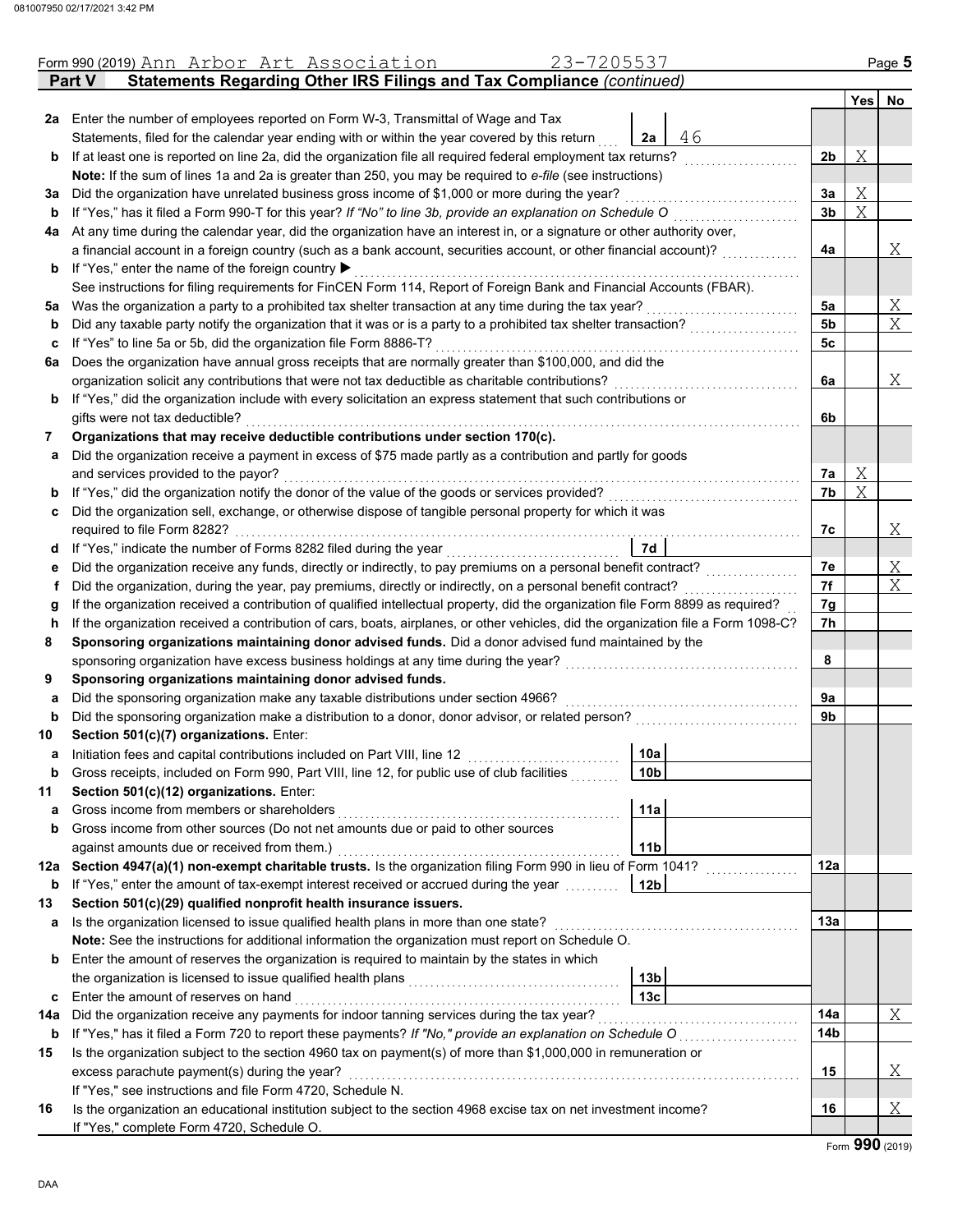|     | Form 990 (2019) Ann Arbor Art Association<br>23-7205537                                                                                            |                 |                |   | Page 5         |  |  |  |  |  |
|-----|----------------------------------------------------------------------------------------------------------------------------------------------------|-----------------|----------------|---|----------------|--|--|--|--|--|
|     | <b>Statements Regarding Other IRS Filings and Tax Compliance (continued)</b><br><b>Part V</b>                                                      |                 |                |   |                |  |  |  |  |  |
|     |                                                                                                                                                    |                 |                |   | Yes No         |  |  |  |  |  |
|     | 2a Enter the number of employees reported on Form W-3, Transmittal of Wage and Tax                                                                 |                 |                |   |                |  |  |  |  |  |
|     | Statements, filed for the calendar year ending with or within the year covered by this return                                                      | 46<br>2a        |                |   |                |  |  |  |  |  |
| b   | If at least one is reported on line 2a, did the organization file all required federal employment tax returns?                                     |                 | 2 <sub>b</sub> | Χ |                |  |  |  |  |  |
|     | Note: If the sum of lines 1a and 2a is greater than 250, you may be required to e-file (see instructions)                                          |                 |                |   |                |  |  |  |  |  |
| За  | Did the organization have unrelated business gross income of \$1,000 or more during the year?                                                      |                 | За             | Χ |                |  |  |  |  |  |
| b   | If "Yes," has it filed a Form 990-T for this year? If "No" to line 3b, provide an explanation on Schedule O                                        |                 | 3 <sub>b</sub> | X |                |  |  |  |  |  |
| 4a  | At any time during the calendar year, did the organization have an interest in, or a signature or other authority over,                            |                 |                |   | Χ              |  |  |  |  |  |
|     | a financial account in a foreign country (such as a bank account, securities account, or other financial account)?                                 |                 |                |   |                |  |  |  |  |  |
| b   | If "Yes," enter the name of the foreign country ▶                                                                                                  |                 |                |   |                |  |  |  |  |  |
|     | See instructions for filing requirements for FinCEN Form 114, Report of Foreign Bank and Financial Accounts (FBAR).                                |                 |                |   |                |  |  |  |  |  |
| 5a  | Was the organization a party to a prohibited tax shelter transaction at any time during the tax year?                                              |                 | 5a             |   | X              |  |  |  |  |  |
| b   | Did any taxable party notify the organization that it was or is a party to a prohibited tax shelter transaction?                                   |                 | 5 <sub>b</sub> |   | $\overline{X}$ |  |  |  |  |  |
| c   | If "Yes" to line 5a or 5b, did the organization file Form 8886-T?                                                                                  |                 | 5c             |   |                |  |  |  |  |  |
| 6a  | Does the organization have annual gross receipts that are normally greater than \$100,000, and did the                                             |                 |                |   |                |  |  |  |  |  |
|     | organization solicit any contributions that were not tax deductible as charitable contributions?                                                   |                 | 6a             |   | Χ              |  |  |  |  |  |
| b   | If "Yes," did the organization include with every solicitation an express statement that such contributions or                                     |                 |                |   |                |  |  |  |  |  |
|     | gifts were not tax deductible?                                                                                                                     |                 | 6b             |   |                |  |  |  |  |  |
| 7   | Organizations that may receive deductible contributions under section 170(c).                                                                      |                 |                |   |                |  |  |  |  |  |
| а   | Did the organization receive a payment in excess of \$75 made partly as a contribution and partly for goods<br>and services provided to the payor? |                 | 7a             | Χ |                |  |  |  |  |  |
|     | If "Yes," did the organization notify the donor of the value of the goods or services provided?                                                    |                 | 7b             | X |                |  |  |  |  |  |
| b   | Did the organization sell, exchange, or otherwise dispose of tangible personal property for which it was                                           |                 |                |   |                |  |  |  |  |  |
| c   | required to file Form 8282?                                                                                                                        |                 | 7c             |   | Χ              |  |  |  |  |  |
| a   | If "Yes," indicate the number of Forms 8282 filed during the year                                                                                  | 7d              |                |   |                |  |  |  |  |  |
| е   | Did the organization receive any funds, directly or indirectly, to pay premiums on a personal benefit contract?                                    |                 | 7е             |   | X              |  |  |  |  |  |
| f   | Did the organization, during the year, pay premiums, directly or indirectly, on a personal benefit contract?                                       |                 | 7f             |   | $\overline{X}$ |  |  |  |  |  |
| g   | If the organization received a contribution of qualified intellectual property, did the organization file Form 8899 as required?                   |                 | 7g             |   |                |  |  |  |  |  |
| h   | If the organization received a contribution of cars, boats, airplanes, or other vehicles, did the organization file a Form 1098-C?                 |                 | 7h             |   |                |  |  |  |  |  |
| 8   | Sponsoring organizations maintaining donor advised funds. Did a donor advised fund maintained by the                                               |                 |                |   |                |  |  |  |  |  |
|     | sponsoring organization have excess business holdings at any time during the year?                                                                 |                 | 8              |   |                |  |  |  |  |  |
| 9   | Sponsoring organizations maintaining donor advised funds.                                                                                          |                 |                |   |                |  |  |  |  |  |
| а   | Did the sponsoring organization make any taxable distributions under section 4966?                                                                 |                 | 9а             |   |                |  |  |  |  |  |
| b   | Did the sponsoring organization make a distribution to a donor, donor advisor, or related person?                                                  |                 | 9b             |   |                |  |  |  |  |  |
| 10  | Section 501(c)(7) organizations. Enter:                                                                                                            |                 |                |   |                |  |  |  |  |  |
|     | Initiation fees and capital contributions included on Part VIII, line 12                                                                           | 10a             |                |   |                |  |  |  |  |  |
| b   | Gross receipts, included on Form 990, Part VIII, line 12, for public use of club facilities                                                        | 10 <sub>b</sub> |                |   |                |  |  |  |  |  |
| 11  | Section 501(c)(12) organizations. Enter:                                                                                                           |                 |                |   |                |  |  |  |  |  |
| a   | Gross income from members or shareholders                                                                                                          | 11a             |                |   |                |  |  |  |  |  |
| b   | Gross income from other sources (Do not net amounts due or paid to other sources                                                                   |                 |                |   |                |  |  |  |  |  |
|     | against amounts due or received from them.)                                                                                                        | 11 <sub>b</sub> |                |   |                |  |  |  |  |  |
| 12a | Section 4947(a)(1) non-exempt charitable trusts. Is the organization filing Form 990 in lieu of Form 1041?                                         |                 | 12a            |   |                |  |  |  |  |  |
| b   | If "Yes," enter the amount of tax-exempt interest received or accrued during the year                                                              | 12b             |                |   |                |  |  |  |  |  |
| 13  | Section 501(c)(29) qualified nonprofit health insurance issuers.                                                                                   |                 |                |   |                |  |  |  |  |  |
| а   | Is the organization licensed to issue qualified health plans in more than one state?                                                               |                 | 13а            |   |                |  |  |  |  |  |
|     | Note: See the instructions for additional information the organization must report on Schedule O.                                                  |                 |                |   |                |  |  |  |  |  |
| b   | Enter the amount of reserves the organization is required to maintain by the states in which                                                       |                 |                |   |                |  |  |  |  |  |
|     | the organization is licensed to issue qualified health plans                                                                                       | 13b             |                |   |                |  |  |  |  |  |
| c   | Enter the amount of reserves on hand                                                                                                               | 13 <sub>c</sub> |                |   |                |  |  |  |  |  |
| 14a | Did the organization receive any payments for indoor tanning services during the tax year?                                                         |                 | 14a            |   | Χ              |  |  |  |  |  |
| b   | If "Yes," has it filed a Form 720 to report these payments? If "No," provide an explanation on Schedule O                                          |                 | 14b            |   |                |  |  |  |  |  |
| 15  | Is the organization subject to the section 4960 tax on payment(s) of more than \$1,000,000 in remuneration or                                      |                 |                |   |                |  |  |  |  |  |
|     | excess parachute payment(s) during the year?                                                                                                       |                 | 15             |   | Χ              |  |  |  |  |  |
|     | If "Yes," see instructions and file Form 4720, Schedule N.                                                                                         |                 |                |   |                |  |  |  |  |  |
| 16  | Is the organization an educational institution subject to the section 4968 excise tax on net investment income?                                    |                 | 16             |   | X              |  |  |  |  |  |
|     | If "Yes," complete Form 4720, Schedule O.                                                                                                          |                 |                |   |                |  |  |  |  |  |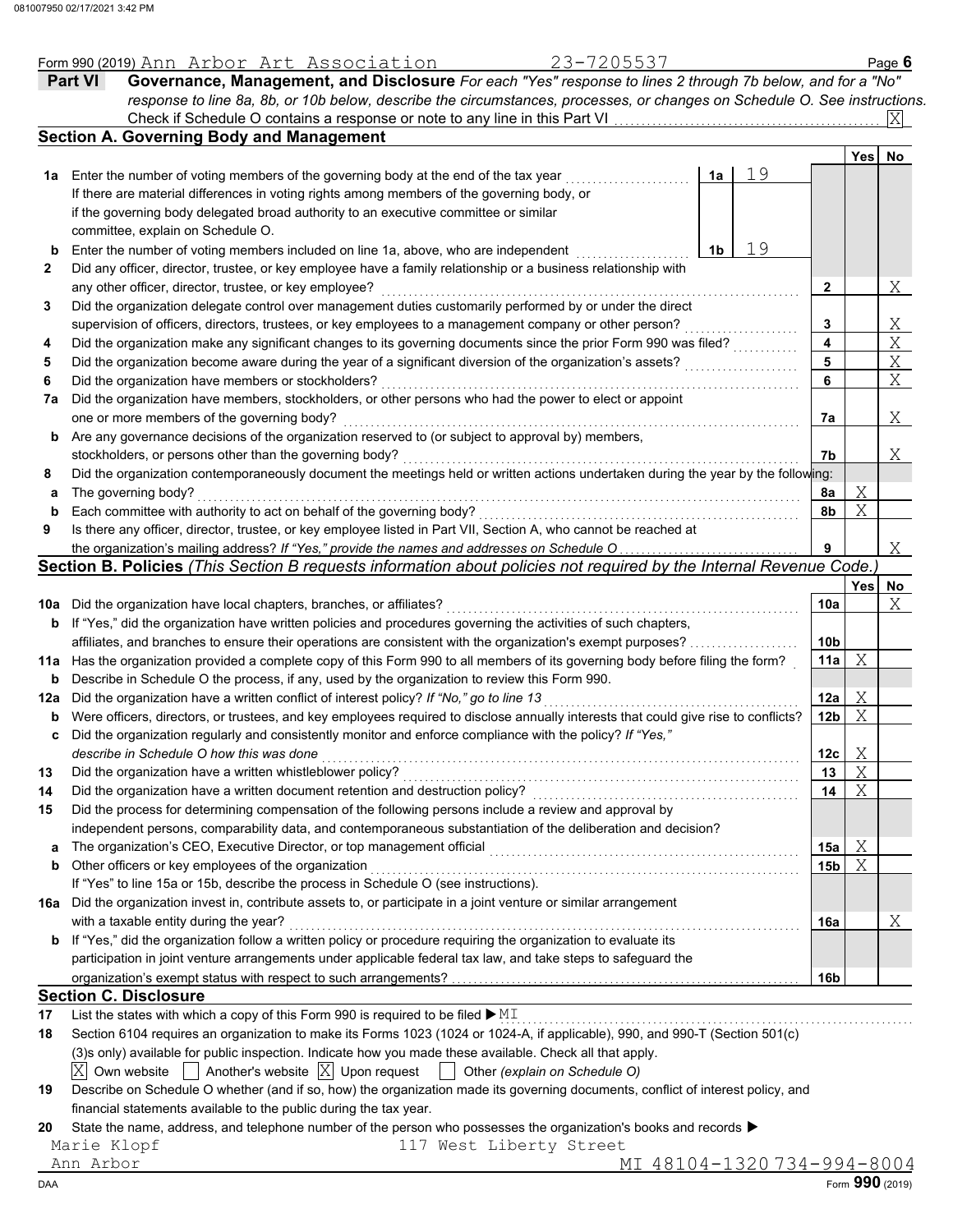|     | 23-7205537<br>Form 990 (2019) Ann Arbor Art Association                                                                              |    |                 |     | Page 6                |  |  |  |  |  |  |
|-----|--------------------------------------------------------------------------------------------------------------------------------------|----|-----------------|-----|-----------------------|--|--|--|--|--|--|
|     | Governance, Management, and Disclosure For each "Yes" response to lines 2 through 7b below, and for a "No"<br><b>Part VI</b>         |    |                 |     |                       |  |  |  |  |  |  |
|     | response to line 8a, 8b, or 10b below, describe the circumstances, processes, or changes on Schedule O. See instructions.            |    |                 |     |                       |  |  |  |  |  |  |
|     |                                                                                                                                      |    |                 |     | Ixl                   |  |  |  |  |  |  |
|     | <b>Section A. Governing Body and Management</b>                                                                                      |    |                 |     |                       |  |  |  |  |  |  |
|     |                                                                                                                                      |    |                 | Yes | No                    |  |  |  |  |  |  |
| 1а  | Enter the number of voting members of the governing body at the end of the tax year<br>1a                                            | 19 |                 |     |                       |  |  |  |  |  |  |
|     | If there are material differences in voting rights among members of the governing body, or                                           |    |                 |     |                       |  |  |  |  |  |  |
|     | if the governing body delegated broad authority to an executive committee or similar                                                 |    |                 |     |                       |  |  |  |  |  |  |
|     | committee, explain on Schedule O.                                                                                                    |    |                 |     |                       |  |  |  |  |  |  |
| b   | Enter the number of voting members included on line 1a, above, who are independent<br>1b                                             | 19 |                 |     |                       |  |  |  |  |  |  |
| 2   | Did any officer, director, trustee, or key employee have a family relationship or a business relationship with                       |    |                 |     |                       |  |  |  |  |  |  |
|     | any other officer, director, trustee, or key employee?                                                                               |    | 2               |     | Χ                     |  |  |  |  |  |  |
| 3   | Did the organization delegate control over management duties customarily performed by or under the direct                            |    |                 |     |                       |  |  |  |  |  |  |
|     | supervision of officers, directors, trustees, or key employees to a management company or other person?                              |    | 3               |     |                       |  |  |  |  |  |  |
| 4   | Did the organization make any significant changes to its governing documents since the prior Form 990 was filed?                     |    | 4               |     | $\frac{X}{X}$         |  |  |  |  |  |  |
| 5   | Did the organization become aware during the year of a significant diversion of the organization's assets?                           |    | 5               |     | $\overline{X}$        |  |  |  |  |  |  |
| 6   | Did the organization have members or stockholders?                                                                                   |    | 6               |     | $\overline{\text{X}}$ |  |  |  |  |  |  |
| 7a  | Did the organization have members, stockholders, or other persons who had the power to elect or appoint                              |    |                 |     |                       |  |  |  |  |  |  |
|     | one or more members of the governing body?                                                                                           |    | 7а              |     | Χ                     |  |  |  |  |  |  |
| b   | Are any governance decisions of the organization reserved to (or subject to approval by) members,                                    |    |                 |     |                       |  |  |  |  |  |  |
|     | stockholders, or persons other than the governing body?                                                                              |    | 7b              |     | Χ                     |  |  |  |  |  |  |
| 8   | Did the organization contemporaneously document the meetings held or written actions undertaken during the year by the following:    |    |                 |     |                       |  |  |  |  |  |  |
|     | The governing body?                                                                                                                  |    |                 | Χ   |                       |  |  |  |  |  |  |
| а   | Each committee with authority to act on behalf of the governing body?                                                                |    | 8а              | X   |                       |  |  |  |  |  |  |
| b   |                                                                                                                                      |    | 8b              |     |                       |  |  |  |  |  |  |
| 9   | Is there any officer, director, trustee, or key employee listed in Part VII, Section A, who cannot be reached at                     |    | 9               |     |                       |  |  |  |  |  |  |
|     | the organization's mailing address? If "Yes," provide the names and addresses on Schedule O                                          |    |                 |     | Χ                     |  |  |  |  |  |  |
|     | Section B. Policies (This Section B requests information about policies not required by the Internal Revenue Code.)                  |    |                 |     |                       |  |  |  |  |  |  |
|     |                                                                                                                                      |    |                 | Yes | No                    |  |  |  |  |  |  |
|     | 10a Did the organization have local chapters, branches, or affiliates?                                                               |    | 10a             |     | Χ                     |  |  |  |  |  |  |
| b   | If "Yes," did the organization have written policies and procedures governing the activities of such chapters,                       |    |                 |     |                       |  |  |  |  |  |  |
|     | affiliates, and branches to ensure their operations are consistent with the organization's exempt purposes?                          |    | 10 <sub>b</sub> |     |                       |  |  |  |  |  |  |
|     | 11a Has the organization provided a complete copy of this Form 990 to all members of its governing body before filing the form?      |    | 11a             | X   |                       |  |  |  |  |  |  |
| b   | Describe in Schedule O the process, if any, used by the organization to review this Form 990.                                        |    |                 |     |                       |  |  |  |  |  |  |
| 12a | Did the organization have a written conflict of interest policy? If "No," go to line 13                                              |    | 12a             | Χ   |                       |  |  |  |  |  |  |
| b   | Were officers, directors, or trustees, and key employees required to disclose annually interests that could give rise to conflicts?  |    | 12 <sub>b</sub> | X   |                       |  |  |  |  |  |  |
| c   | Did the organization regularly and consistently monitor and enforce compliance with the policy? If "Yes,"                            |    |                 |     |                       |  |  |  |  |  |  |
|     | describe in Schedule O how this was done                                                                                             |    | 12c             | Χ   |                       |  |  |  |  |  |  |
| 13  | Did the organization have a written whistleblower policy?                                                                            |    | 13              | X   |                       |  |  |  |  |  |  |
| 14  | Did the organization have a written document retention and destruction policy?                                                       |    | 14              | Χ   |                       |  |  |  |  |  |  |
| 15  | Did the process for determining compensation of the following persons include a review and approval by                               |    |                 |     |                       |  |  |  |  |  |  |
|     | independent persons, comparability data, and contemporaneous substantiation of the deliberation and decision?                        |    |                 |     |                       |  |  |  |  |  |  |
| a   | The organization's CEO, Executive Director, or top management official                                                               |    | 15a             | Χ   |                       |  |  |  |  |  |  |
| b   | Other officers or key employees of the organization                                                                                  |    | 15b             | X   |                       |  |  |  |  |  |  |
|     | If "Yes" to line 15a or 15b, describe the process in Schedule O (see instructions).                                                  |    |                 |     |                       |  |  |  |  |  |  |
|     | 16a Did the organization invest in, contribute assets to, or participate in a joint venture or similar arrangement                   |    |                 |     |                       |  |  |  |  |  |  |
|     | with a taxable entity during the year?                                                                                               |    | 16a             |     | Χ                     |  |  |  |  |  |  |
| b   | If "Yes," did the organization follow a written policy or procedure requiring the organization to evaluate its                       |    |                 |     |                       |  |  |  |  |  |  |
|     | participation in joint venture arrangements under applicable federal tax law, and take steps to safeguard the                        |    |                 |     |                       |  |  |  |  |  |  |
|     |                                                                                                                                      |    | 16b             |     |                       |  |  |  |  |  |  |
|     | <b>Section C. Disclosure</b>                                                                                                         |    |                 |     |                       |  |  |  |  |  |  |
| 17  | List the states with which a copy of this Form 990 is required to be filed $\blacktriangleright$ MI                                  |    |                 |     |                       |  |  |  |  |  |  |
| 18  | Section 6104 requires an organization to make its Forms 1023 (1024 or 1024-A, if applicable), 990, and 990-T (Section 501(c)         |    |                 |     |                       |  |  |  |  |  |  |
|     | (3)s only) available for public inspection. Indicate how you made these available. Check all that apply.                             |    |                 |     |                       |  |  |  |  |  |  |
|     | Another's website $ X $ Upon request<br>$ X $ Own website                                                                            |    |                 |     |                       |  |  |  |  |  |  |
|     | Other (explain on Schedule O)                                                                                                        |    |                 |     |                       |  |  |  |  |  |  |
| 19  | Describe on Schedule O whether (and if so, how) the organization made its governing documents, conflict of interest policy, and      |    |                 |     |                       |  |  |  |  |  |  |
|     | financial statements available to the public during the tax year.                                                                    |    |                 |     |                       |  |  |  |  |  |  |
| 20  | State the name, address, and telephone number of the person who possesses the organization's books and records $\blacktriangleright$ |    |                 |     |                       |  |  |  |  |  |  |
|     | 117 West Liberty Street<br>Marie Klopf                                                                                               |    |                 |     |                       |  |  |  |  |  |  |
|     | Ann Arbor<br><u>MI 48104-1320734-994-8004</u>                                                                                        |    |                 |     |                       |  |  |  |  |  |  |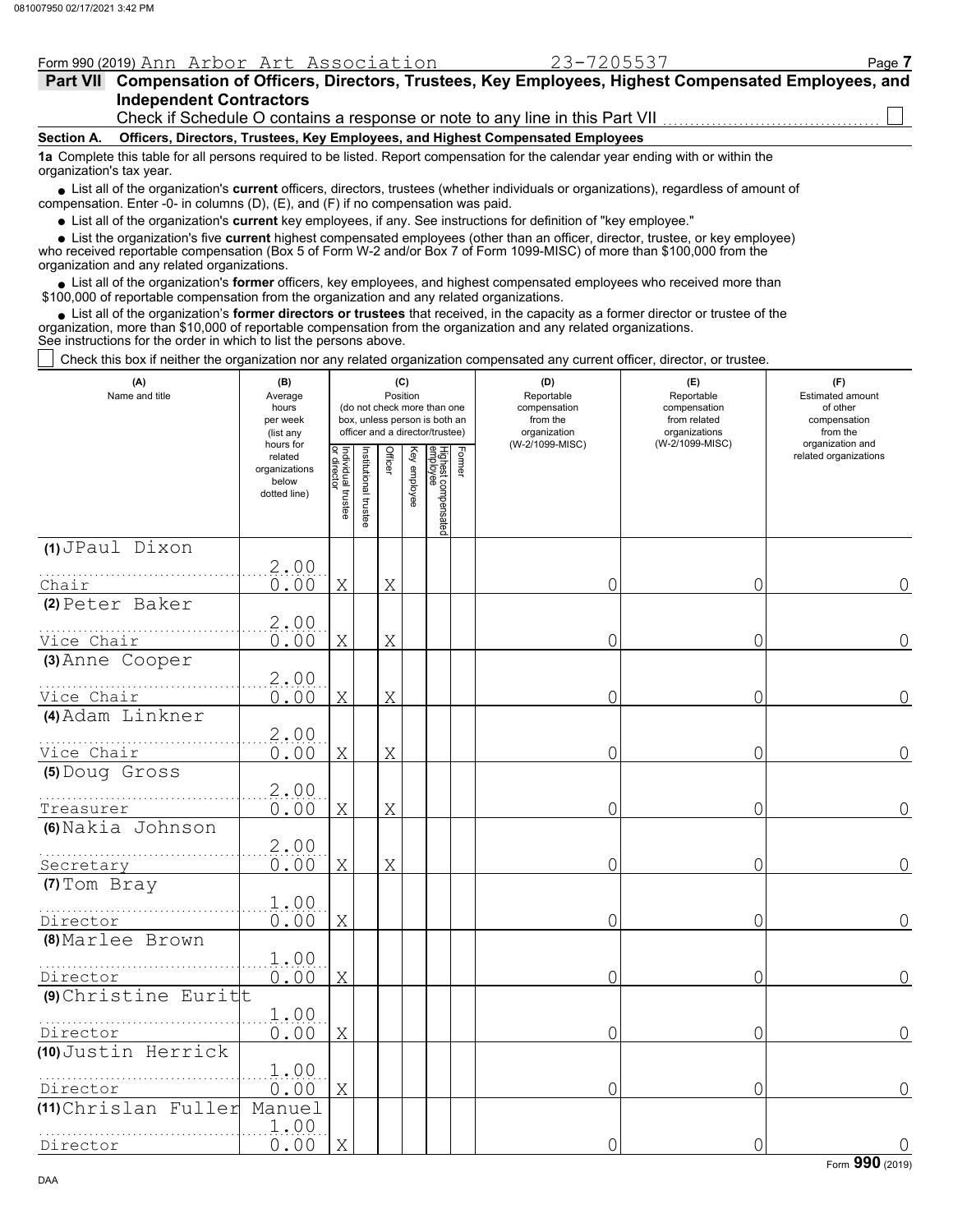| Form 990 (2019) Ann Arbor Art Association                                                                                                                                                                                           | 23-7205537 | Page 7 |  |  |  |  |  |  |  |  |
|-------------------------------------------------------------------------------------------------------------------------------------------------------------------------------------------------------------------------------------|------------|--------|--|--|--|--|--|--|--|--|
| Part VII Compensation of Officers, Directors, Trustees, Key Employees, Highest Compensated Employees, and                                                                                                                           |            |        |  |  |  |  |  |  |  |  |
| <b>Independent Contractors</b>                                                                                                                                                                                                      |            |        |  |  |  |  |  |  |  |  |
| Check if Schedule O contains a response or note to any line in this Part VII                                                                                                                                                        |            |        |  |  |  |  |  |  |  |  |
| Officers, Directors, Trustees, Key Employees, and Highest Compensated Employees<br>Section A.                                                                                                                                       |            |        |  |  |  |  |  |  |  |  |
| 1a Complete this table for all persons required to be listed. Report compensation for the calendar year ending with or within the<br>organization's tax year.                                                                       |            |        |  |  |  |  |  |  |  |  |
| • List all of the organization's current officers, directors, trustees (whether individuals or organizations), regardless of amount of<br>compensation. Enter -0- in columns $(D)$ , $(E)$ , and $(F)$ if no compensation was paid. |            |        |  |  |  |  |  |  |  |  |
|                                                                                                                                                                                                                                     |            |        |  |  |  |  |  |  |  |  |

List all of the organization's **current** key employees, if any. See instructions for definition of "key employee."

List the organization's five **current** highest compensated employees (other than an officer, director, trustee, or key employee) **•**

who received reportable compensation (Box 5 of Form W-2 and/or Box 7 of Form 1099-MISC) of more than \$100,000 from the organization and any related organizations. **•**

• List all of the organization's **former** officers, key employees, and highest compensated employees who received more than<br>00,000 of reportable compensation from the organization and any related erganizations. \$100,000 of reportable compensation from the organization and any related organizations.

List all of the organization's **former directors or trustees** that received, in the capacity as a former director or trustee of the • List all of the organization's **former directors or trustees** that received, in the capacity as a former director organization, more than \$10,000 of reportable compensation from the organization and any related organizat See instructions for the order in which to list the persons above.

Check this box if neither the organization nor any related organization compensated any current officer, director, or trustee.

| (A)<br>Name and title    | (B)<br>Average<br>hours<br>per week<br>(list any               | (C)<br>Position<br>(do not check more than one<br>box, unless person is both an<br>officer and a director/trustee) |                      |             |              |                                  |        | (D)<br>Reportable<br>compensation<br>from the<br>organization | (E)<br>Reportable<br>compensation<br>from related<br>organizations<br>(W-2/1099-MISC) | (F)<br><b>Estimated amount</b><br>of other<br>compensation<br>from the |
|--------------------------|----------------------------------------------------------------|--------------------------------------------------------------------------------------------------------------------|----------------------|-------------|--------------|----------------------------------|--------|---------------------------------------------------------------|---------------------------------------------------------------------------------------|------------------------------------------------------------------------|
|                          | hours for<br>related<br>organizations<br>below<br>dotted line) | Individual trustee<br>or director                                                                                  | nstitutional trustee | Officer     | Key employee | Highest compensated<br> employee | Former | (W-2/1099-MISC)                                               |                                                                                       | organization and<br>related organizations                              |
| (1) JPaul Dixon          |                                                                |                                                                                                                    |                      |             |              |                                  |        |                                                               |                                                                                       |                                                                        |
| Chair                    | 2.00<br>0.00                                                   | X                                                                                                                  |                      | X           |              |                                  |        | 0                                                             | 0                                                                                     | 0                                                                      |
| (2) Peter Baker          |                                                                |                                                                                                                    |                      |             |              |                                  |        |                                                               |                                                                                       |                                                                        |
|                          | 2.00                                                           |                                                                                                                    |                      |             |              |                                  |        |                                                               |                                                                                       |                                                                        |
| Vice Chair               | 0.00                                                           | X                                                                                                                  |                      | X           |              |                                  |        | 0                                                             | 0                                                                                     | $\overline{0}$                                                         |
| (3) Anne Cooper          |                                                                |                                                                                                                    |                      |             |              |                                  |        |                                                               |                                                                                       |                                                                        |
| Vice Chair               | 2.00<br>0.00                                                   | Χ                                                                                                                  |                      | Χ           |              |                                  |        | 0                                                             | 0                                                                                     | 0                                                                      |
| (4) Adam Linkner         |                                                                |                                                                                                                    |                      |             |              |                                  |        |                                                               |                                                                                       |                                                                        |
| Vice Chair               | 2,00<br>0.00                                                   | X                                                                                                                  |                      | Χ           |              |                                  |        | 0                                                             | 0                                                                                     | $\overline{0}$                                                         |
| (5) Doug Gross           | 2.00                                                           |                                                                                                                    |                      |             |              |                                  |        |                                                               |                                                                                       |                                                                        |
| Treasurer                | 0.00                                                           | X                                                                                                                  |                      | $\mathbf X$ |              |                                  |        | 0                                                             | 0                                                                                     | 0                                                                      |
| (6) Nakia Johnson        | 2.00                                                           |                                                                                                                    |                      |             |              |                                  |        |                                                               |                                                                                       |                                                                        |
| Secretary                | 0.00                                                           | Χ                                                                                                                  |                      | X           |              |                                  |        | 0                                                             | 0                                                                                     | 0                                                                      |
| (7) Tom Bray<br>Director | 1.00<br>0.00                                                   | $\mathbf X$                                                                                                        |                      |             |              |                                  |        | 0                                                             | 0                                                                                     | $\Omega$                                                               |
| (8) Marlee Brown         |                                                                |                                                                                                                    |                      |             |              |                                  |        |                                                               |                                                                                       |                                                                        |
| Director                 | 1.00<br>0.00                                                   | Χ                                                                                                                  |                      |             |              |                                  |        | 0                                                             | 0                                                                                     | 0                                                                      |
| (9) Christine Euritt     |                                                                |                                                                                                                    |                      |             |              |                                  |        |                                                               |                                                                                       |                                                                        |
| Director                 | 1.00<br>0.00                                                   | Χ                                                                                                                  |                      |             |              |                                  |        | 0                                                             | 0                                                                                     | 0                                                                      |
| (10) Justin Herrick      |                                                                |                                                                                                                    |                      |             |              |                                  |        |                                                               |                                                                                       |                                                                        |
| Director                 | 1.00<br>0.00                                                   | Χ                                                                                                                  |                      |             |              |                                  |        | 0                                                             | 0                                                                                     | $\Omega$                                                               |
| (11) Chrislan Fuller     | Manuel<br>1.00                                                 |                                                                                                                    |                      |             |              |                                  |        |                                                               |                                                                                       |                                                                        |
| Director                 | 0.00                                                           | X                                                                                                                  |                      |             |              |                                  |        | 0                                                             | 0                                                                                     | $\mathsf{O}\xspace$                                                    |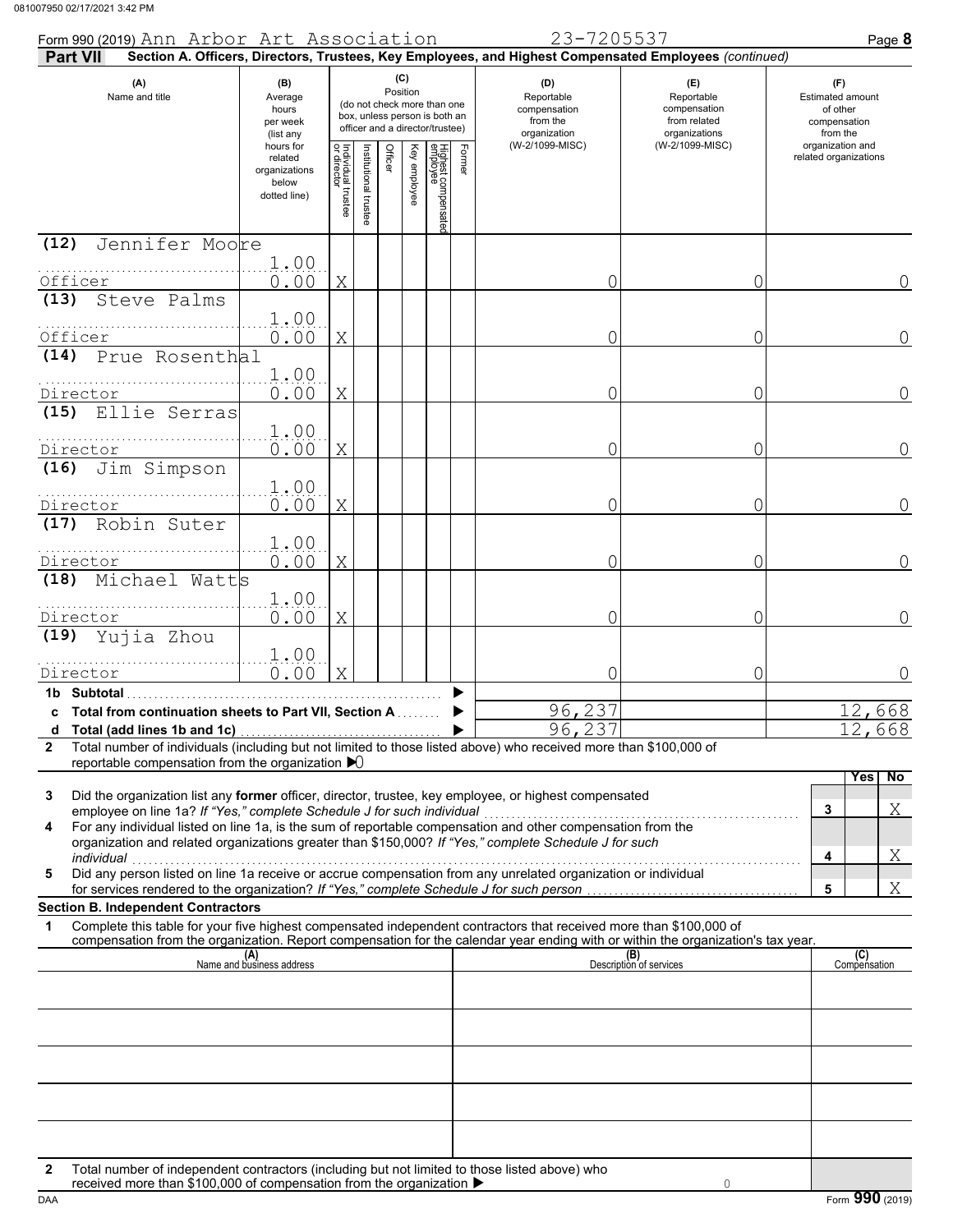| Form 990 (2019) Ann Arbor Art Association<br><b>Part VII</b>                                                                                                                                                                                                                                             |                                                                |                                                                                                                    |                      |         |                                                               |                                                                    |                                                                        | 23-7205537<br>Section A. Officers, Directors, Trustees, Key Employees, and Highest Compensated Employees (continued) |                                | Page 8                                    |
|----------------------------------------------------------------------------------------------------------------------------------------------------------------------------------------------------------------------------------------------------------------------------------------------------------|----------------------------------------------------------------|--------------------------------------------------------------------------------------------------------------------|----------------------|---------|---------------------------------------------------------------|--------------------------------------------------------------------|------------------------------------------------------------------------|----------------------------------------------------------------------------------------------------------------------|--------------------------------|-------------------------------------------|
| (A)<br>Name and title                                                                                                                                                                                                                                                                                    | (B)<br>Average<br>hours<br>per week<br>(list any               | (C)<br>Position<br>(do not check more than one<br>box, unless person is both an<br>officer and a director/trustee) |                      |         | (D)<br>Reportable<br>compensation<br>from the<br>organization | (E)<br>Reportable<br>compensation<br>from related<br>organizations | (F)<br><b>Estimated amount</b><br>of other<br>compensation<br>from the |                                                                                                                      |                                |                                           |
|                                                                                                                                                                                                                                                                                                          | hours for<br>related<br>organizations<br>below<br>dotted line) | Individual trustee<br>or director                                                                                  | nstitutional trustee | Officer | Key employee                                                  | Highest compensated<br>employee                                    | Former                                                                 | (W-2/1099-MISC)                                                                                                      | (W-2/1099-MISC)                | organization and<br>related organizations |
| Jennifer Moore<br>(12)                                                                                                                                                                                                                                                                                   |                                                                |                                                                                                                    |                      |         |                                                               |                                                                    |                                                                        |                                                                                                                      |                                |                                           |
| Officer                                                                                                                                                                                                                                                                                                  | 1.00<br>0.00                                                   | Χ                                                                                                                  |                      |         |                                                               |                                                                    |                                                                        |                                                                                                                      | 0                              | 0                                         |
| (13)<br>Steve Palms                                                                                                                                                                                                                                                                                      |                                                                |                                                                                                                    |                      |         |                                                               |                                                                    |                                                                        |                                                                                                                      |                                |                                           |
| Officer                                                                                                                                                                                                                                                                                                  | 1.00<br>0.00                                                   | Χ                                                                                                                  |                      |         |                                                               |                                                                    |                                                                        |                                                                                                                      | 0                              | $\Omega$                                  |
| (14) Prue Rosenthal                                                                                                                                                                                                                                                                                      |                                                                |                                                                                                                    |                      |         |                                                               |                                                                    |                                                                        |                                                                                                                      |                                |                                           |
|                                                                                                                                                                                                                                                                                                          | 1.00                                                           |                                                                                                                    |                      |         |                                                               |                                                                    |                                                                        |                                                                                                                      |                                |                                           |
| Director<br>Ellie Serras<br>(15)                                                                                                                                                                                                                                                                         | 0.00                                                           | Χ                                                                                                                  |                      |         |                                                               |                                                                    |                                                                        |                                                                                                                      | 0                              | 0                                         |
|                                                                                                                                                                                                                                                                                                          | 1.00                                                           |                                                                                                                    |                      |         |                                                               |                                                                    |                                                                        |                                                                                                                      |                                |                                           |
| Director                                                                                                                                                                                                                                                                                                 | 0.00                                                           | Χ                                                                                                                  |                      |         |                                                               |                                                                    |                                                                        | 0                                                                                                                    | 0                              | $\overline{0}$                            |
| Jim Simpson<br>(16)                                                                                                                                                                                                                                                                                      | 1.00                                                           |                                                                                                                    |                      |         |                                                               |                                                                    |                                                                        |                                                                                                                      |                                |                                           |
| Director                                                                                                                                                                                                                                                                                                 | 0.00                                                           | Χ                                                                                                                  |                      |         |                                                               |                                                                    |                                                                        | 0                                                                                                                    | 0                              | $\overline{0}$                            |
| Robin Suter<br>(17)                                                                                                                                                                                                                                                                                      | 1.00                                                           |                                                                                                                    |                      |         |                                                               |                                                                    |                                                                        |                                                                                                                      |                                |                                           |
| Director                                                                                                                                                                                                                                                                                                 | 0.00                                                           | Χ                                                                                                                  |                      |         |                                                               |                                                                    |                                                                        | 0                                                                                                                    | 0                              | 0                                         |
| Michael Watts<br>(18)                                                                                                                                                                                                                                                                                    |                                                                |                                                                                                                    |                      |         |                                                               |                                                                    |                                                                        |                                                                                                                      |                                |                                           |
| Director                                                                                                                                                                                                                                                                                                 | 1.00<br>0.00                                                   | Χ                                                                                                                  |                      |         |                                                               |                                                                    |                                                                        | 0                                                                                                                    | 0                              | $\Omega$                                  |
| (19) Yujia Zhou                                                                                                                                                                                                                                                                                          |                                                                |                                                                                                                    |                      |         |                                                               |                                                                    |                                                                        |                                                                                                                      |                                |                                           |
|                                                                                                                                                                                                                                                                                                          | 1.00                                                           |                                                                                                                    |                      |         |                                                               |                                                                    |                                                                        |                                                                                                                      |                                |                                           |
| Director<br>1b Subtotal                                                                                                                                                                                                                                                                                  | 0.00                                                           | Χ                                                                                                                  |                      |         |                                                               |                                                                    |                                                                        |                                                                                                                      | 0                              | 0                                         |
| c Total from continuation sheets to Part VII, Section A                                                                                                                                                                                                                                                  |                                                                |                                                                                                                    |                      |         |                                                               |                                                                    |                                                                        | 96,237                                                                                                               |                                | 12,668                                    |
| Total (add lines 1b and 1c)<br>d<br>Total number of individuals (including but not limited to those listed above) who received more than \$100,000 of<br>$\mathbf{2}$                                                                                                                                    |                                                                |                                                                                                                    |                      |         |                                                               |                                                                    |                                                                        | 96,237                                                                                                               |                                | 2,668                                     |
| reportable compensation from the organization $\blacktriangleright$ 0                                                                                                                                                                                                                                    |                                                                |                                                                                                                    |                      |         |                                                               |                                                                    |                                                                        |                                                                                                                      |                                |                                           |
| Did the organization list any former officer, director, trustee, key employee, or highest compensated<br>3<br>employee on line 1a? If "Yes," complete Schedule J for such individual<br>For any individual listed on line 1a, is the sum of reportable compensation and other compensation from the<br>4 |                                                                |                                                                                                                    |                      |         |                                                               |                                                                    |                                                                        |                                                                                                                      |                                | Yes<br>No<br>Χ<br>3                       |
| organization and related organizations greater than \$150,000? If "Yes," complete Schedule J for such<br>individual                                                                                                                                                                                      |                                                                |                                                                                                                    |                      |         |                                                               |                                                                    |                                                                        |                                                                                                                      |                                | Χ<br>4                                    |
| marviauar<br>Did any person listed on line 1a receive or accrue compensation from any unrelated organization or individual<br>5                                                                                                                                                                          |                                                                |                                                                                                                    |                      |         |                                                               |                                                                    |                                                                        |                                                                                                                      |                                | Χ<br>5                                    |
| <b>Section B. Independent Contractors</b>                                                                                                                                                                                                                                                                |                                                                |                                                                                                                    |                      |         |                                                               |                                                                    |                                                                        |                                                                                                                      |                                |                                           |
| Complete this table for your five highest compensated independent contractors that received more than \$100,000 of<br>1<br>compensation from the organization. Report compensation for the calendar year ending with or within the organization's tax year.                                              |                                                                |                                                                                                                    |                      |         |                                                               |                                                                    |                                                                        |                                                                                                                      |                                |                                           |
|                                                                                                                                                                                                                                                                                                          | (A)<br>Name and business address                               |                                                                                                                    |                      |         |                                                               |                                                                    |                                                                        |                                                                                                                      | (B)<br>Description of services | (C)<br>Compensation                       |
|                                                                                                                                                                                                                                                                                                          |                                                                |                                                                                                                    |                      |         |                                                               |                                                                    |                                                                        |                                                                                                                      |                                |                                           |
|                                                                                                                                                                                                                                                                                                          |                                                                |                                                                                                                    |                      |         |                                                               |                                                                    |                                                                        |                                                                                                                      |                                |                                           |
|                                                                                                                                                                                                                                                                                                          |                                                                |                                                                                                                    |                      |         |                                                               |                                                                    |                                                                        |                                                                                                                      |                                |                                           |
|                                                                                                                                                                                                                                                                                                          |                                                                |                                                                                                                    |                      |         |                                                               |                                                                    |                                                                        |                                                                                                                      |                                |                                           |
|                                                                                                                                                                                                                                                                                                          |                                                                |                                                                                                                    |                      |         |                                                               |                                                                    |                                                                        |                                                                                                                      |                                |                                           |
|                                                                                                                                                                                                                                                                                                          |                                                                |                                                                                                                    |                      |         |                                                               |                                                                    |                                                                        |                                                                                                                      |                                |                                           |
|                                                                                                                                                                                                                                                                                                          |                                                                |                                                                                                                    |                      |         |                                                               |                                                                    |                                                                        |                                                                                                                      |                                |                                           |
| Total number of independent contractors (including but not limited to those listed above) who<br>2                                                                                                                                                                                                       |                                                                |                                                                                                                    |                      |         |                                                               |                                                                    |                                                                        |                                                                                                                      |                                |                                           |
| received more than \$100,000 of compensation from the organization ▶                                                                                                                                                                                                                                     |                                                                |                                                                                                                    |                      |         |                                                               |                                                                    |                                                                        |                                                                                                                      |                                |                                           |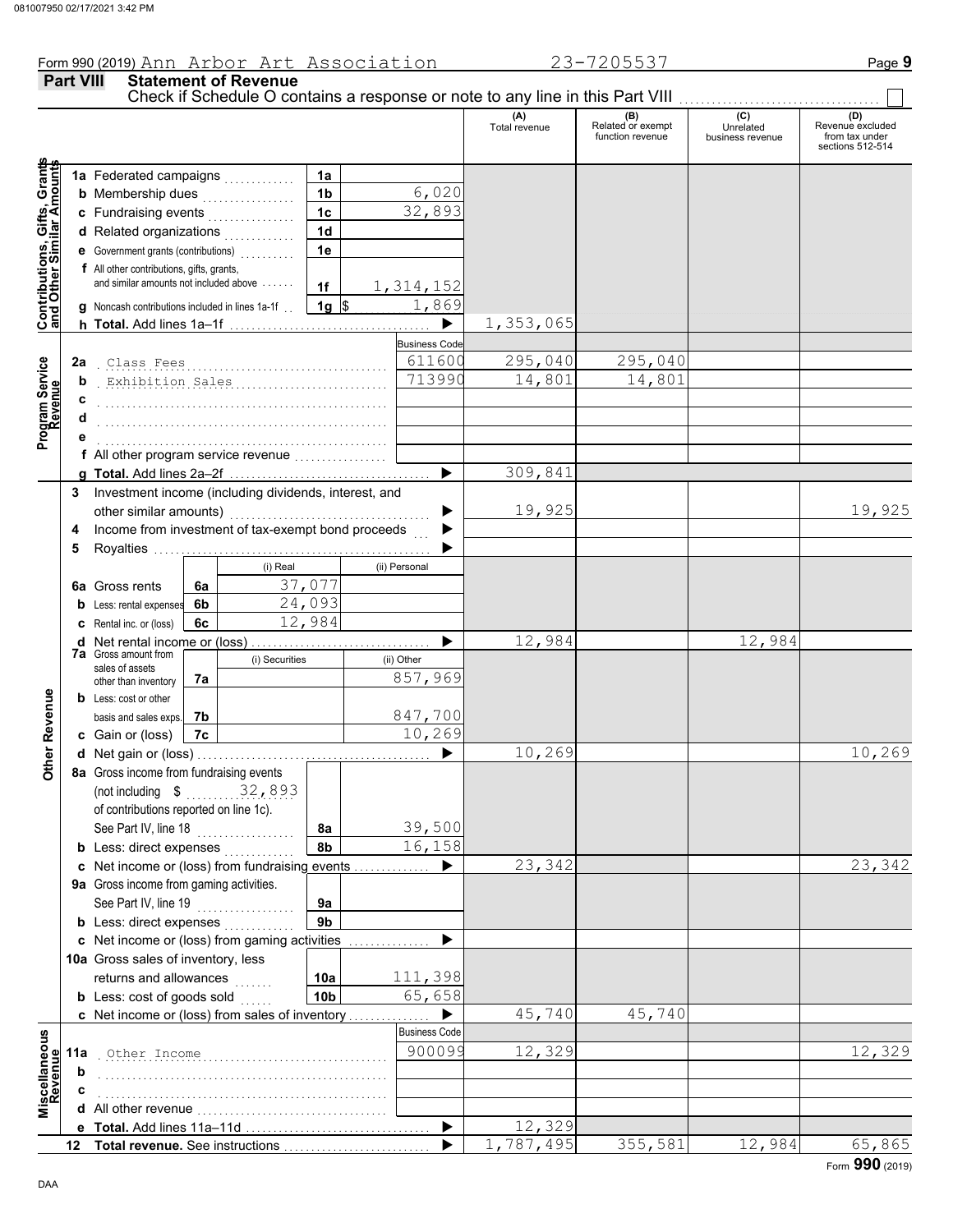**Part VIII Statement of Revenue**

### Check if Schedule O contains a response or note to any line in this Part VIII. **(A) (B) (C) (D)** Total revenue Related or exempt Unrelated Revenue excluded function revenue business revenue from tax under sections 512-514 **Contributions, Gifts, Grants** Grants **and Other Similar Amounts 1a 1a** Federated campaigns . . . . . . . . . . . , Gifts, Gra<br>nilar Amou 6,020 **1b b** Membership dues  $\ldots$  . . . . . . . . . . . . **1c** 32,893 **c** Fundraising events . . . . . . . . . . . . . . . . **1d d** Related organizations <sub>.</sub> . . . . . . . . . . **Contributions,<br>and Other Simi 1e e** Government grants (contributions) . . . . . . . . . . **f** All other contributions, gifts, grants, and similar amounts not included above  $\dots\dots$ **1f** 1,314,152 **1g**  $\frac{1,869}{$ **g** Noncash contributions included in lines 1a-1f . . 1,353,065 ▶ **h Total.** Add lines 1a–1f . . . . . . . . . . . . . . . . . . . . . . . . . . . . . . . . . . . . . **Business Code** Program Service<br>Revenue . . . . . . . . . . . . . . . . . . . . . . . . . . . . . . . . . . . . . . . . . . . . . . . . . . . . . Class Fees 611600 295,040 295,040 **Program Service 2a** . . . . . . . . . . . . . . . . . . . . . . . . . . . . . . . . . . . . . . . . . . . . . . . . . . . . . Exhibition Sales 713990 14,801 14,801 **b c** . . . . . . . . . . . . . . . . . . . . . . . . . . . . . . . . . . . . . . . . . . . . . . . . . . . . . **d** . . . . . . . . . . . . . . . . . . . . . . . . . . . . . . . . . . . . . . . . . . . . . . . . . . . . . **e** . . . . . . . . . . . . . . . . . . . . . . . . . . . . . . . . . . . . . . . . . . . . . . . . . . . . . **f** All other program service revenue . . . . . . . . . . . . . . . . . 309,841 **g Total.** Add lines 2a–2f . . . . . . . . . . . . . . . . . . . . . . . . . . . . . . . . . . . . . **3** Investment income (including dividends, interest, and other similar amounts) ............ ь 19,925 19,925 Income from investment of tax-exempt bond proceeds **4**  $\blacktriangleright$ **5** Royalties .... ▶ (i) Real (ii) Personal 37,077 **6a** Gross rents **6a 6b** 24,093 **b** Less: rental expenses 12,984 **c** Rental inc. or (loss) **6c** 12,984 12,984 **d** Net rental income or (loss) . . . . . . . . . . . . . . . . . . . . . . . . . . . . . . . . . ▶ **7a** Gross amount from (i) Securities (ii) Other sales of assets 857,969 **7a** other than inventory **Other Revenue Other Revenue b** Less: cost or other **7b** 847,700 basis and sales exps. 10,269 **c** Gain or (loss) **7c** 10,269 10,269 **d** Net gain or (loss) . . . . . . . . . . . . . . . . . . . . . . . . . . . . . . . . . . . . . . . . . . . **8a** Gross income from fundraising events (not including \$ . . . . . . . . . . . . . . . . . . . . 32,893 of contributions reported on line 1c). See Part IV, line 18 . . . . . . . . . . . . . . . . . . **8a** 39,500 **8b** 16,158 **b** Less: direct expenses <sub>.</sub> . . . . . . . . . . 23,342 23,342 **c** Net income or (loss) from fundraising events . . . . . . . . . . . . . . ▶ **9a** Gross income from gaming activities. See Part IV, line 19 . . . . . . . . . . . . . . . . . . **9a 9b b** Less: direct expenses  $\ldots$ ▶ Net income or (loss) from gaming activities . . . . . . . . . . . . . . . **c** 10a Gross sales of inventory, less returns and allowances **10a** 111,398 **10b** 65,658 **b** Less:  $\cosh$  of goods  $\sinh$ ▶ 45,740 45,740 Net income or (loss) from sales of inventory . . . . . . . . . . . . . . . **c** cellaneous<br>Revenue Business Code **Miscellaneous** . . . . . . . . . . . . . . . . . . . . . . . . . . . . . . . . . . . . . . . . . . . . . . . . . . . . . Other Income 900099 12,329 12,329 **11a Revenue b** . . . . . . . . . . . . . . . . . . . . . . . . . . . . . . . . . . . . . . . . . . . . . . . . . . . . . **c** . . . . . . . . . . . . . . . . . . . . . . . . . . . . . . . . . . . . . . . . . . . . . . . . . . . . . ă<br>Nă **d** All other revenue . . . . . . . . . . . . . . . . . . . . . . . . . . . . . . . . . . .  $\blacktriangleright$ 12,329 **e Total.** Add lines 11a–11d . . . . . . . . . . . . . . . . . . . . . . . . . . . . . . . . . . 1,787,495 355,581 12,984 65,865 **Total revenue.** See instructions  $\blacktriangleright$ **12**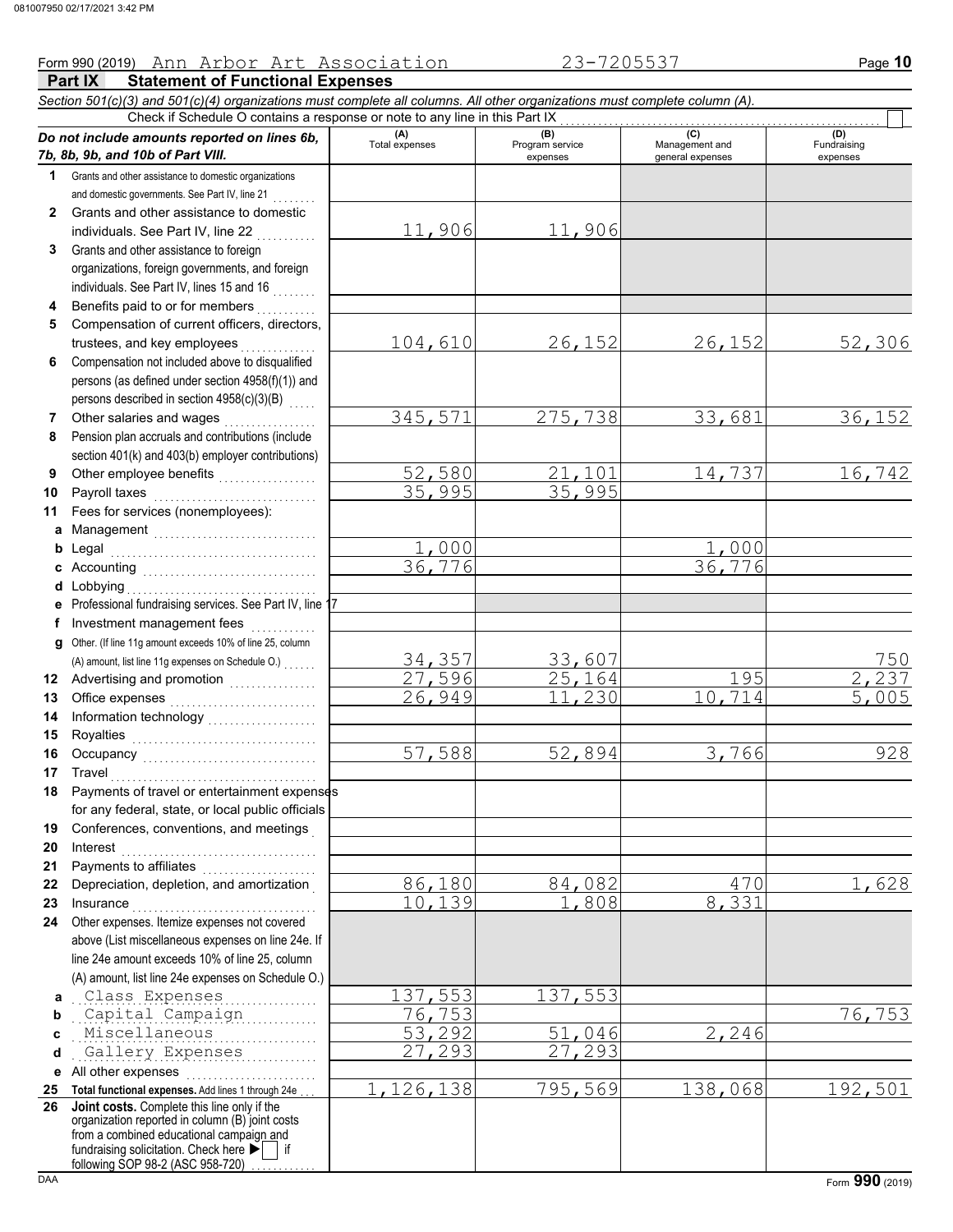# Form 990 (2019) Page **10** Ann Arbor Art Association 23-7205537

|              | Part IX<br><b>Statement of Functional Expenses</b>                                                                                                                                                            |                       |                                    |                                           |                                |
|--------------|---------------------------------------------------------------------------------------------------------------------------------------------------------------------------------------------------------------|-----------------------|------------------------------------|-------------------------------------------|--------------------------------|
|              | Section 501(c)(3) and 501(c)(4) organizations must complete all columns. All other organizations must complete column (A).                                                                                    |                       |                                    |                                           |                                |
|              | Check if Schedule O contains a response or note to any line in this Part IX                                                                                                                                   |                       |                                    |                                           |                                |
|              | Do not include amounts reported on lines 6b,<br>7b, 8b, 9b, and 10b of Part VIII.                                                                                                                             | (A)<br>Total expenses | (B)<br>Program service<br>expenses | (C)<br>Management and<br>general expenses | (D)<br>Fundraising<br>expenses |
| 1.           | Grants and other assistance to domestic organizations                                                                                                                                                         |                       |                                    |                                           |                                |
|              | and domestic governments. See Part IV, line 21                                                                                                                                                                |                       |                                    |                                           |                                |
| $\mathbf{2}$ | Grants and other assistance to domestic                                                                                                                                                                       |                       |                                    |                                           |                                |
|              | individuals. See Part IV, line 22                                                                                                                                                                             | 11,906                | 11,906                             |                                           |                                |
| 3            | Grants and other assistance to foreign                                                                                                                                                                        |                       |                                    |                                           |                                |
|              | organizations, foreign governments, and foreign                                                                                                                                                               |                       |                                    |                                           |                                |
|              | individuals. See Part IV, lines 15 and 16                                                                                                                                                                     |                       |                                    |                                           |                                |
| 4            | Benefits paid to or for members                                                                                                                                                                               |                       |                                    |                                           |                                |
| 5            | Compensation of current officers, directors,                                                                                                                                                                  |                       |                                    |                                           |                                |
|              | trustees, and key employees                                                                                                                                                                                   | 104,610               | 26,152                             | 26,152                                    | 52,306                         |
| 6            | Compensation not included above to disqualified                                                                                                                                                               |                       |                                    |                                           |                                |
|              | persons (as defined under section 4958(f)(1)) and                                                                                                                                                             |                       |                                    |                                           |                                |
|              | persons described in section 4958(c)(3)(B)                                                                                                                                                                    |                       |                                    |                                           |                                |
| 7            | Other salaries and wages                                                                                                                                                                                      | 345,571               | 275,738                            | 33,681                                    | 36,152                         |
| 8            | Pension plan accruals and contributions (include                                                                                                                                                              |                       |                                    |                                           |                                |
|              | section 401(k) and 403(b) employer contributions)                                                                                                                                                             |                       |                                    | 14,737                                    |                                |
| 9            |                                                                                                                                                                                                               | 52,580<br>35,995      | 101<br>35,995                      |                                           | 16,742                         |
| 10           | Payroll taxes                                                                                                                                                                                                 |                       |                                    |                                           |                                |
| 11           | Fees for services (nonemployees):                                                                                                                                                                             |                       |                                    |                                           |                                |
| a            | Management                                                                                                                                                                                                    | ,000                  |                                    | 000                                       |                                |
| b            | Legal                                                                                                                                                                                                         | 36,776                |                                    | 36,776                                    |                                |
| c<br>d       | Lobbying                                                                                                                                                                                                      |                       |                                    |                                           |                                |
| е            | Professional fundraising services. See Part IV, line 17                                                                                                                                                       |                       |                                    |                                           |                                |
| f            | Investment management fees                                                                                                                                                                                    |                       |                                    |                                           |                                |
| g            | Other. (If line 11g amount exceeds 10% of line 25, column                                                                                                                                                     |                       |                                    |                                           |                                |
|              |                                                                                                                                                                                                               | 34,357                | 33,607                             |                                           | 750                            |
| 12           | Advertising and promotion<br>                                                                                                                                                                                 | 27,596                | $\overline{25}$ , 164              | 195                                       | 237                            |
| 13           |                                                                                                                                                                                                               | 26,949                | 11,230                             | 10, 714                                   | 005                            |
| 14           | Information technology<br>                                                                                                                                                                                    |                       |                                    |                                           |                                |
| 15           |                                                                                                                                                                                                               |                       |                                    |                                           |                                |
| 16           |                                                                                                                                                                                                               | 57,588                | 52,894                             | 3,766                                     | 928                            |
|              | 17 Travel                                                                                                                                                                                                     |                       |                                    |                                           |                                |
|              | 18 Payments of travel or entertainment expenses                                                                                                                                                               |                       |                                    |                                           |                                |
|              | for any federal, state, or local public officials                                                                                                                                                             |                       |                                    |                                           |                                |
| 19           | Conferences, conventions, and meetings                                                                                                                                                                        |                       |                                    |                                           |                                |
| 20           | Interest                                                                                                                                                                                                      |                       |                                    |                                           |                                |
| 21           |                                                                                                                                                                                                               |                       |                                    |                                           |                                |
| 22           | Depreciation, depletion, and amortization                                                                                                                                                                     | 86,180                | 84,082                             | 470                                       | 1,628                          |
| 23           | Insurance <b>construction</b>                                                                                                                                                                                 | 10, 139               | 1,808                              | 8,331                                     |                                |
| 24           | Other expenses. Itemize expenses not covered                                                                                                                                                                  |                       |                                    |                                           |                                |
|              | above (List miscellaneous expenses on line 24e. If                                                                                                                                                            |                       |                                    |                                           |                                |
|              | line 24e amount exceeds 10% of line 25, column                                                                                                                                                                |                       |                                    |                                           |                                |
|              | (A) amount, list line 24e expenses on Schedule O.)                                                                                                                                                            |                       |                                    |                                           |                                |
| a            | Class Expenses                                                                                                                                                                                                | 37,553                | 137,553                            |                                           |                                |
| b            | Capital Campaign                                                                                                                                                                                              | 76,753                |                                    |                                           | 76,753                         |
| C            | Miscellaneous                                                                                                                                                                                                 | 53,292                | $\overline{51}$ , 046              | $\overline{2,246}$                        |                                |
| d            | Gallery Expenses                                                                                                                                                                                              | , 293                 | $\overline{27,}$ 293               |                                           |                                |
| е            | All other expenses                                                                                                                                                                                            |                       |                                    |                                           |                                |
| 25           | Total functional expenses. Add lines 1 through 24e                                                                                                                                                            | 1,126,138             | 795,569                            | 138,068                                   | 192,501                        |
| 26           | Joint costs. Complete this line only if the<br>organization reported in column (B) joint costs<br>from a combined educational campaign and<br>fundraising solicitation. Check here $\blacktriangleright$   if |                       |                                    |                                           |                                |

following SOP 98-2 (ASC 958-720) . . . . . . . . . .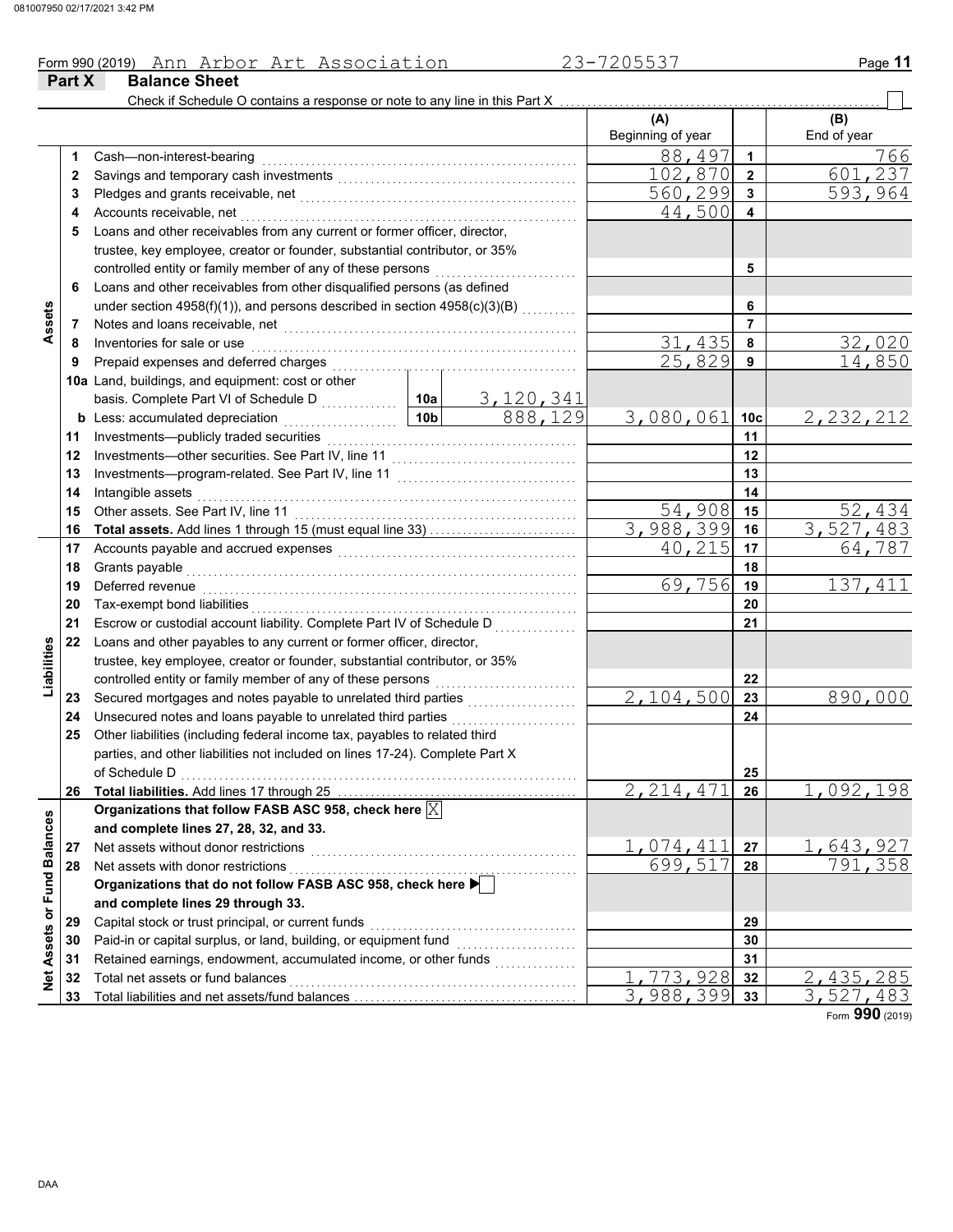### Form 990 (2019) Page **11** Ann Arbor Art Association 23-7205537

|                             | Part X | <b>Balance Sheet</b>                                                                                             |                 |                  |                          |                         |                           |
|-----------------------------|--------|------------------------------------------------------------------------------------------------------------------|-----------------|------------------|--------------------------|-------------------------|---------------------------|
|                             |        | Check if Schedule O contains a response or note to any line in this Part X                                       |                 |                  | (A)<br>Beginning of year |                         | (B)<br>End of year        |
|                             | 1      | Cash-non-interest-bearing                                                                                        |                 |                  | 88,497                   | $\blacktriangleleft$    | 766                       |
|                             | 2      |                                                                                                                  |                 |                  | 102,870                  | $\overline{\mathbf{2}}$ | 237<br>601                |
|                             | 3      |                                                                                                                  |                 |                  | 560,299                  | $\mathbf{3}$            | 593,964                   |
|                             | 4      | Accounts receivable, net                                                                                         |                 |                  | 44,500                   | 4                       |                           |
|                             | 5      | Loans and other receivables from any current or former officer, director,                                        |                 |                  |                          |                         |                           |
|                             |        | trustee, key employee, creator or founder, substantial contributor, or 35%                                       |                 |                  |                          |                         |                           |
|                             |        | controlled entity or family member of any of these persons                                                       |                 |                  |                          | 5                       |                           |
|                             | 6      | Loans and other receivables from other disqualified persons (as defined                                          |                 |                  |                          |                         |                           |
|                             |        | under section 4958(f)(1)), and persons described in section 4958(c)(3)(B)                                        |                 |                  |                          | 6                       |                           |
| Assets                      | 7      |                                                                                                                  |                 |                  |                          | $\overline{7}$          |                           |
|                             | 8      | Inventories for sale or use                                                                                      |                 |                  | 435<br>31                | 8                       | 32,020                    |
|                             | 9      | Prepaid expenses and deferred charges                                                                            |                 |                  | 25,829                   | 9                       | 14,850                    |
|                             |        | 10a Land, buildings, and equipment: cost or other                                                                |                 |                  |                          |                         |                           |
|                             |        | basis. Complete Part VI of Schedule D                                                                            | 10a             | <u>3,120,341</u> |                          |                         |                           |
|                             |        | <b>b</b> Less: accumulated depreciation<br>.                                                                     | 10 <sub>b</sub> | 888,129          | 3,080,061                | 10 <sub>c</sub>         | 2, 232, 212               |
|                             | 11     | Investments-publicly traded securities                                                                           |                 |                  |                          | 11                      |                           |
|                             | 12     |                                                                                                                  |                 |                  |                          | 12                      |                           |
|                             | 13     |                                                                                                                  |                 |                  |                          | 13                      |                           |
|                             | 14     | Intangible assets                                                                                                |                 |                  |                          | 14                      |                           |
|                             | 15     | Other assets. See Part IV, line 11                                                                               |                 |                  | 54,908                   | 15                      | 52,434                    |
|                             | 16     | <b>Total assets.</b> Add lines 1 through 15 (must equal line 33)                                                 |                 |                  | 3,988,399                | 16                      | 3,527,483                 |
|                             | 17     | Accounts payable and accrued expenses [[11] [11] Accounts payable and accrued expenses [[11] Accounts and accrue |                 |                  | 40,215                   | 17                      | 64,787                    |
|                             | 18     | Grants payable                                                                                                   |                 |                  |                          | 18                      |                           |
|                             | 19     | Deferred revenue                                                                                                 | 69,756          | 19               | 137,411                  |                         |                           |
|                             | 20     | Tax-exempt bond liabilities                                                                                      |                 | 20               |                          |                         |                           |
|                             | 21     | Escrow or custodial account liability. Complete Part IV of Schedule D                                            |                 | 21               |                          |                         |                           |
|                             | 22     | Loans and other payables to any current or former officer, director,                                             |                 |                  |                          |                         |                           |
| Liabilities                 |        | trustee, key employee, creator or founder, substantial contributor, or 35%                                       |                 |                  |                          |                         |                           |
|                             |        | controlled entity or family member of any of these persons                                                       |                 |                  |                          | 22                      |                           |
|                             | 23     |                                                                                                                  |                 |                  | 2,104,500                | 23                      | 890,000                   |
|                             | 24     | Unsecured notes and loans payable to unrelated third parties                                                     |                 | .                |                          | 24                      |                           |
|                             | 25     | Other liabilities (including federal income tax, payables to related third                                       |                 |                  |                          |                         |                           |
|                             |        | parties, and other liabilities not included on lines 17-24). Complete Part X                                     |                 |                  |                          |                         |                           |
|                             |        | of Schedule D                                                                                                    |                 |                  |                          | 25                      |                           |
|                             | 26     |                                                                                                                  |                 |                  | $\overline{2,214,471}$   | 26                      | 1,092,198                 |
|                             |        | Organizations that follow FASB ASC 958, check here $\boxed{\text{X}}$                                            |                 |                  |                          |                         |                           |
|                             |        | and complete lines 27, 28, 32, and 33.                                                                           |                 |                  |                          |                         |                           |
|                             | 27     | Net assets without donor restrictions                                                                            |                 |                  | 1,074,411                | 27                      | 1,643,927                 |
|                             | 28     | Net assets with donor restrictions                                                                               |                 |                  | 699,517                  | 28                      | 791,358                   |
|                             |        | Organizations that do not follow FASB ASC 958, check here ▶                                                      |                 |                  |                          |                         |                           |
|                             |        | and complete lines 29 through 33.                                                                                |                 |                  |                          |                         |                           |
| Net Assets or Fund Balances | 29     | Capital stock or trust principal, or current funds                                                               |                 |                  |                          | 29                      |                           |
|                             | 30     | Paid-in or capital surplus, or land, building, or equipment fund                                                 |                 |                  |                          | 30                      |                           |
|                             | 31     | Retained earnings, endowment, accumulated income, or other funds                                                 |                 | .                |                          | 31                      |                           |
|                             | 32     | Total net assets or fund balances                                                                                |                 |                  | 773,928                  | 32                      | 2,435,285                 |
|                             | 33     |                                                                                                                  |                 |                  | 3,988,399                | 33                      | $\overline{3}$ , 527, 483 |

Form **990** (2019)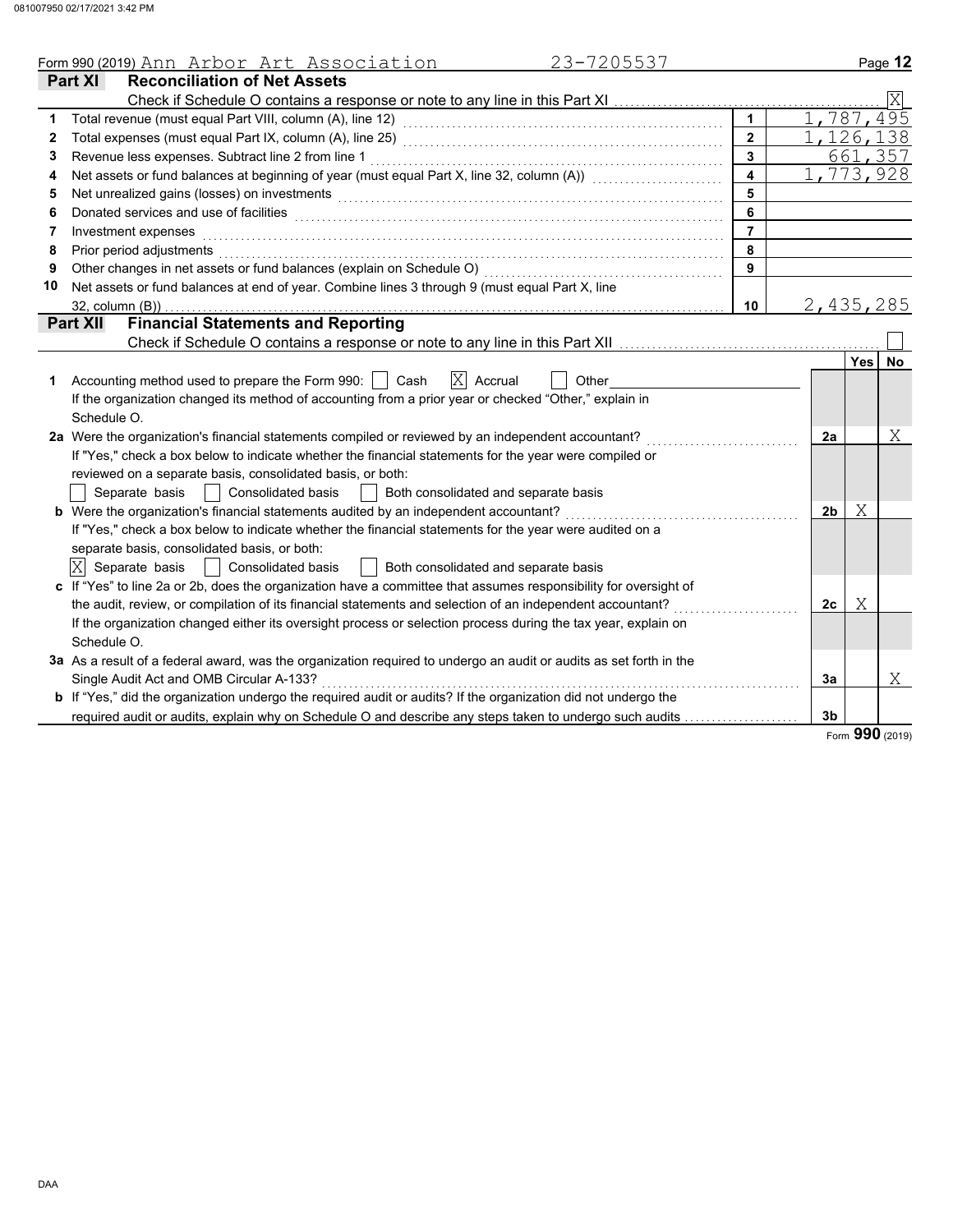| 23-7205537<br>Form 990 (2019) Ann Arbor Art Association<br><b>Reconciliation of Net Assets</b><br>Part XI<br>1     | 1<br>$\overline{2}$<br>3<br>$\overline{\mathbf{4}}$ | 1,787,495<br>1,126,138 |            | Ixl       |  |  |
|--------------------------------------------------------------------------------------------------------------------|-----------------------------------------------------|------------------------|------------|-----------|--|--|
|                                                                                                                    |                                                     |                        |            |           |  |  |
|                                                                                                                    |                                                     |                        |            |           |  |  |
|                                                                                                                    |                                                     |                        |            |           |  |  |
| 2                                                                                                                  |                                                     |                        |            |           |  |  |
| Revenue less expenses. Subtract line 2 from line 1<br>3                                                            |                                                     |                        |            | 661,357   |  |  |
| Net assets or fund balances at beginning of year (must equal Part X, line 32, column (A))<br>4                     |                                                     |                        | 1,773,928  |           |  |  |
| Net unrealized gains (losses) on investments<br>5                                                                  | 5                                                   |                        |            |           |  |  |
| Donated services and use of facilities<br>6                                                                        | 6                                                   |                        |            |           |  |  |
| Investment expenses<br>7                                                                                           | $\overline{7}$                                      |                        |            |           |  |  |
| Prior period adjustments<br>8                                                                                      | 8                                                   |                        |            |           |  |  |
| Other changes in net assets or fund balances (explain on Schedule O)<br>9                                          | 9                                                   |                        |            |           |  |  |
| Net assets or fund balances at end of year. Combine lines 3 through 9 (must equal Part X, line<br>10               |                                                     |                        |            |           |  |  |
| 32, column (B))                                                                                                    | 10                                                  | 2,435,285              |            |           |  |  |
| <b>Financial Statements and Reporting</b><br><b>Part XII</b>                                                       |                                                     |                        |            |           |  |  |
| Check if Schedule O contains a response or note to any line in this Part XII [1111111111111111111111111111111      |                                                     |                        |            |           |  |  |
|                                                                                                                    |                                                     |                        | <b>Yes</b> | <b>No</b> |  |  |
| $ X $ Accrual<br>Accounting method used to prepare the Form 990: $\vert \ \vert$<br>Cash<br>Other<br>1             |                                                     |                        |            |           |  |  |
| If the organization changed its method of accounting from a prior year or checked "Other," explain in              |                                                     |                        |            |           |  |  |
| Schedule O.                                                                                                        |                                                     |                        |            |           |  |  |
| 2a Were the organization's financial statements compiled or reviewed by an independent accountant?                 |                                                     |                        |            |           |  |  |
| If "Yes," check a box below to indicate whether the financial statements for the year were compiled or             |                                                     |                        |            |           |  |  |
| reviewed on a separate basis, consolidated basis, or both:                                                         |                                                     |                        |            |           |  |  |
| Separate basis<br><b>Consolidated basis</b><br>Both consolidated and separate basis                                |                                                     |                        |            |           |  |  |
| b Were the organization's financial statements audited by an independent accountant?                               |                                                     | 2 <sub>b</sub>         | Χ          |           |  |  |
| If "Yes," check a box below to indicate whether the financial statements for the year were audited on a            |                                                     |                        |            |           |  |  |
| separate basis, consolidated basis, or both:                                                                       |                                                     |                        |            |           |  |  |
| $ X $ Separate basis<br>  Consolidated basis<br>Both consolidated and separate basis                               |                                                     |                        |            |           |  |  |
| c If "Yes" to line 2a or 2b, does the organization have a committee that assumes responsibility for oversight of   |                                                     |                        |            |           |  |  |
| the audit, review, or compilation of its financial statements and selection of an independent accountant?          |                                                     | 2c                     | Χ          |           |  |  |
| If the organization changed either its oversight process or selection process during the tax year, explain on      |                                                     |                        |            |           |  |  |
| Schedule O.                                                                                                        |                                                     |                        |            |           |  |  |
| 3a As a result of a federal award, was the organization required to undergo an audit or audits as set forth in the |                                                     |                        |            |           |  |  |
| Single Audit Act and OMB Circular A-133?                                                                           |                                                     | За                     |            | Χ         |  |  |
| b If "Yes," did the organization undergo the required audit or audits? If the organization did not undergo the     |                                                     |                        |            |           |  |  |
| required audit or audits, explain why on Schedule O and describe any steps taken to undergo such audits            |                                                     | 3 <sub>b</sub>         | <b>000</b> |           |  |  |

Form **990** (2019)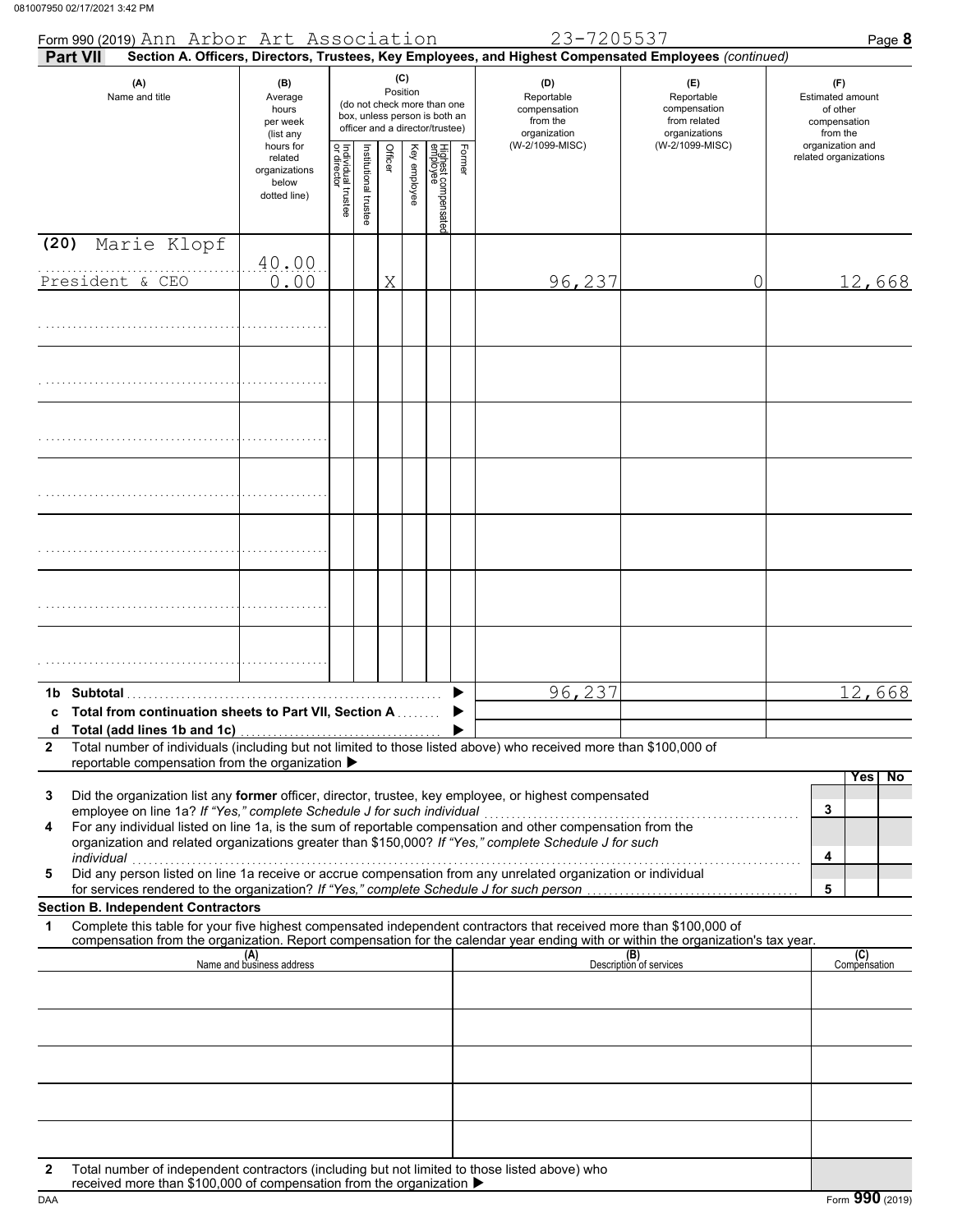|              | Form 990 (2019) Ann Arbor Art Association                                                                                                                                                                                                                                                                                                                                                                               |                                                                |                                   |                      |         |                 |                                                                                                 |        |                                                               | 23-7205537                                                                                             |                                |                                                                    |   | Page 8                                                          |
|--------------|-------------------------------------------------------------------------------------------------------------------------------------------------------------------------------------------------------------------------------------------------------------------------------------------------------------------------------------------------------------------------------------------------------------------------|----------------------------------------------------------------|-----------------------------------|----------------------|---------|-----------------|-------------------------------------------------------------------------------------------------|--------|---------------------------------------------------------------|--------------------------------------------------------------------------------------------------------|--------------------------------|--------------------------------------------------------------------|---|-----------------------------------------------------------------|
|              | <b>Part VII</b>                                                                                                                                                                                                                                                                                                                                                                                                         |                                                                |                                   |                      |         |                 |                                                                                                 |        |                                                               | Section A. Officers, Directors, Trustees, Key Employees, and Highest Compensated Employees (continued) |                                |                                                                    |   |                                                                 |
|              | (A)<br>Name and title                                                                                                                                                                                                                                                                                                                                                                                                   | (B)<br>Average<br>hours<br>per week<br>(list any               |                                   |                      |         | (C)<br>Position | (do not check more than one<br>box, unless person is both an<br>officer and a director/trustee) |        | (D)<br>Reportable<br>compensation<br>from the<br>organization |                                                                                                        |                                | (E)<br>Reportable<br>compensation<br>from related<br>organizations |   | (F)<br>Estimated amount<br>of other<br>compensation<br>from the |
|              |                                                                                                                                                                                                                                                                                                                                                                                                                         | hours for<br>related<br>organizations<br>below<br>dotted line) | Individual trustee<br>or director | nstitutional trustee | Officer | Key employee    | Highest compensatec<br>employee                                                                 | Former |                                                               | (W-2/1099-MISC)                                                                                        |                                | (W-2/1099-MISC)                                                    |   | organization and<br>related organizations                       |
| (20)         | Marie Klopf                                                                                                                                                                                                                                                                                                                                                                                                             |                                                                |                                   |                      |         |                 |                                                                                                 |        |                                                               |                                                                                                        |                                |                                                                    |   |                                                                 |
|              | President & CEO                                                                                                                                                                                                                                                                                                                                                                                                         | 40.00<br>0.00                                                  |                                   |                      | X       |                 |                                                                                                 |        |                                                               | 96,237                                                                                                 |                                |                                                                    | 0 | 12,668                                                          |
|              |                                                                                                                                                                                                                                                                                                                                                                                                                         |                                                                |                                   |                      |         |                 |                                                                                                 |        |                                                               |                                                                                                        |                                |                                                                    |   |                                                                 |
|              |                                                                                                                                                                                                                                                                                                                                                                                                                         |                                                                |                                   |                      |         |                 |                                                                                                 |        |                                                               |                                                                                                        |                                |                                                                    |   |                                                                 |
|              |                                                                                                                                                                                                                                                                                                                                                                                                                         |                                                                |                                   |                      |         |                 |                                                                                                 |        |                                                               |                                                                                                        |                                |                                                                    |   |                                                                 |
|              |                                                                                                                                                                                                                                                                                                                                                                                                                         |                                                                |                                   |                      |         |                 |                                                                                                 |        |                                                               |                                                                                                        |                                |                                                                    |   |                                                                 |
|              |                                                                                                                                                                                                                                                                                                                                                                                                                         |                                                                |                                   |                      |         |                 |                                                                                                 |        |                                                               |                                                                                                        |                                |                                                                    |   |                                                                 |
|              |                                                                                                                                                                                                                                                                                                                                                                                                                         |                                                                |                                   |                      |         |                 |                                                                                                 |        |                                                               |                                                                                                        |                                |                                                                    |   |                                                                 |
|              |                                                                                                                                                                                                                                                                                                                                                                                                                         |                                                                |                                   |                      |         |                 |                                                                                                 |        |                                                               |                                                                                                        |                                |                                                                    |   |                                                                 |
|              |                                                                                                                                                                                                                                                                                                                                                                                                                         |                                                                |                                   |                      |         |                 |                                                                                                 |        |                                                               |                                                                                                        |                                |                                                                    |   |                                                                 |
|              |                                                                                                                                                                                                                                                                                                                                                                                                                         |                                                                |                                   |                      |         |                 |                                                                                                 |        |                                                               |                                                                                                        |                                |                                                                    |   |                                                                 |
| $\mathbf{2}$ | 1b Subtotal<br>c Total from continuation sheets to Part VII, Section A<br>Total number of individuals (including but not limited to those listed above) who received more than \$100,000 of                                                                                                                                                                                                                             |                                                                |                                   |                      |         |                 |                                                                                                 |        |                                                               | 96,237                                                                                                 |                                |                                                                    |   | 12,668                                                          |
|              | reportable compensation from the organization ▶                                                                                                                                                                                                                                                                                                                                                                         |                                                                |                                   |                      |         |                 |                                                                                                 |        |                                                               |                                                                                                        |                                |                                                                    |   | Yes<br>No                                                       |
| 3<br>4<br>5  | Did the organization list any former officer, director, trustee, key employee, or highest compensated<br>employee on line 1a? If "Yes," complete Schedule J for such individual<br>organization and related organizations greater than \$150,000? If "Yes," complete Schedule J for such<br>individual<br>Did any person listed on line 1a receive or accrue compensation from any unrelated organization or individual |                                                                |                                   |                      |         |                 |                                                                                                 |        |                                                               |                                                                                                        |                                |                                                                    |   | 3<br>4                                                          |
|              | for services rendered to the organization? If "Yes," complete Schedule J for such person.<br><b>Section B. Independent Contractors</b>                                                                                                                                                                                                                                                                                  |                                                                |                                   |                      |         |                 |                                                                                                 |        |                                                               |                                                                                                        |                                |                                                                    |   | 5                                                               |
| 1            | Complete this table for your five highest compensated independent contractors that received more than \$100,000 of<br>compensation from the organization. Report compensation for the calendar year ending with or within the organization's tax year.                                                                                                                                                                  |                                                                |                                   |                      |         |                 |                                                                                                 |        |                                                               |                                                                                                        |                                |                                                                    |   |                                                                 |
|              |                                                                                                                                                                                                                                                                                                                                                                                                                         | (A)<br>Name and business address                               |                                   |                      |         |                 |                                                                                                 |        |                                                               |                                                                                                        | (B)<br>Description of services |                                                                    |   | (C)<br>Compensation                                             |
|              |                                                                                                                                                                                                                                                                                                                                                                                                                         |                                                                |                                   |                      |         |                 |                                                                                                 |        |                                                               |                                                                                                        |                                |                                                                    |   |                                                                 |
|              |                                                                                                                                                                                                                                                                                                                                                                                                                         |                                                                |                                   |                      |         |                 |                                                                                                 |        |                                                               |                                                                                                        |                                |                                                                    |   |                                                                 |
|              |                                                                                                                                                                                                                                                                                                                                                                                                                         |                                                                |                                   |                      |         |                 |                                                                                                 |        |                                                               |                                                                                                        |                                |                                                                    |   |                                                                 |
|              |                                                                                                                                                                                                                                                                                                                                                                                                                         |                                                                |                                   |                      |         |                 |                                                                                                 |        |                                                               |                                                                                                        |                                |                                                                    |   |                                                                 |
|              |                                                                                                                                                                                                                                                                                                                                                                                                                         |                                                                |                                   |                      |         |                 |                                                                                                 |        |                                                               |                                                                                                        |                                |                                                                    |   |                                                                 |
|              |                                                                                                                                                                                                                                                                                                                                                                                                                         |                                                                |                                   |                      |         |                 |                                                                                                 |        |                                                               |                                                                                                        |                                |                                                                    |   |                                                                 |
| $\mathbf{2}$ | Total number of independent contractors (including but not limited to those listed above) who<br>received more than \$100,000 of compensation from the organization ▶                                                                                                                                                                                                                                                   |                                                                |                                   |                      |         |                 |                                                                                                 |        |                                                               |                                                                                                        |                                |                                                                    |   |                                                                 |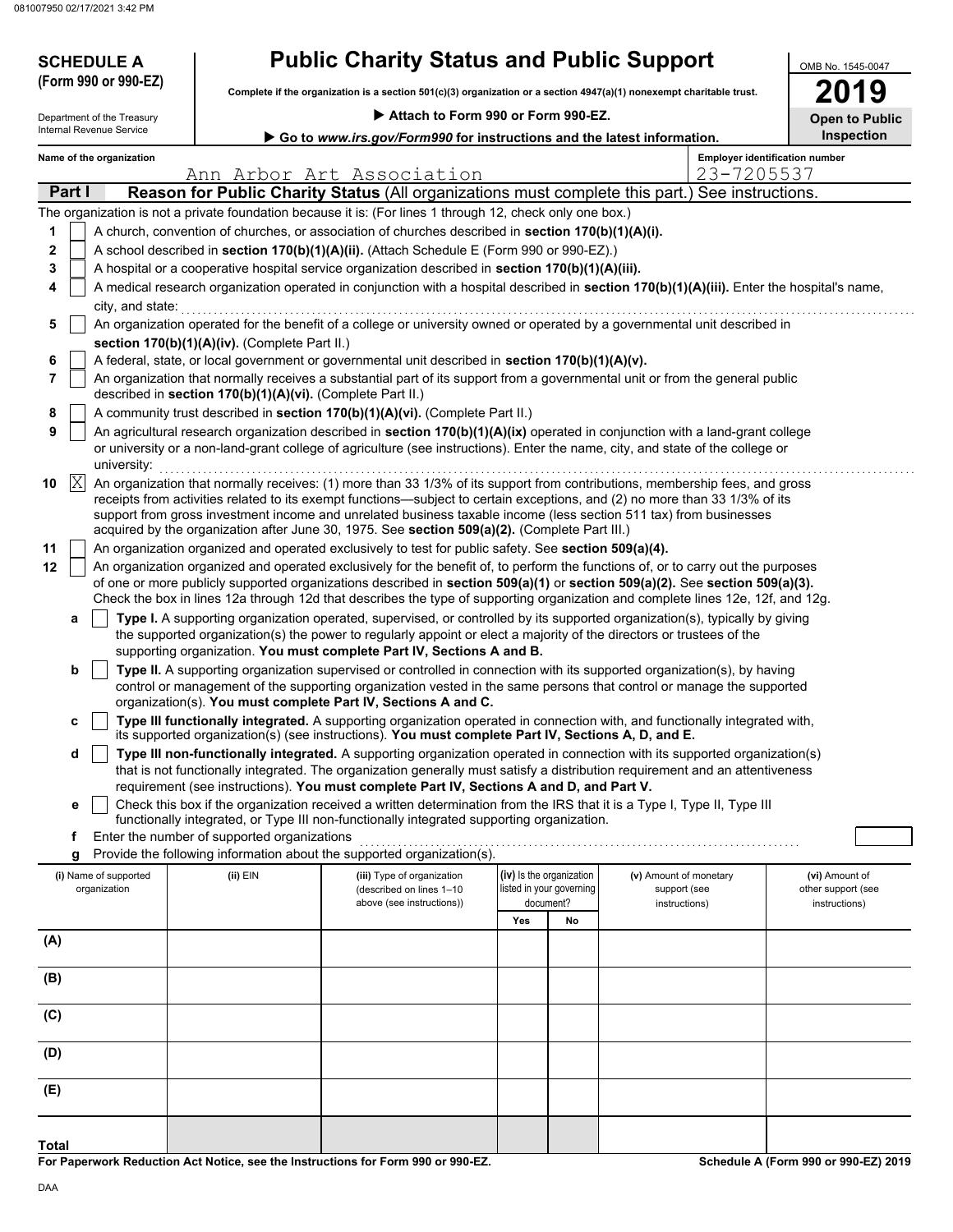# **SCHEDULE A Public Charity Status and Public Support**

| 2019                  |
|-----------------------|
| <b>Open to Public</b> |

| <b>Public Charity Status and Public Support</b><br><b>SCHEDULE A</b> |           |                            |  |                                                                                                                      |                                                                                                                                                                                                                                                           | OMB No. 1545-0047        |                          |                        |            |                                       |
|----------------------------------------------------------------------|-----------|----------------------------|--|----------------------------------------------------------------------------------------------------------------------|-----------------------------------------------------------------------------------------------------------------------------------------------------------------------------------------------------------------------------------------------------------|--------------------------|--------------------------|------------------------|------------|---------------------------------------|
|                                                                      |           | (Form 990 or 990-EZ)       |  | Complete if the organization is a section 501(c)(3) organization or a section 4947(a)(1) nonexempt charitable trust. | 9                                                                                                                                                                                                                                                         |                          |                          |                        |            |                                       |
|                                                                      |           | Department of the Treasury |  |                                                                                                                      |                                                                                                                                                                                                                                                           |                          |                          |                        |            |                                       |
|                                                                      |           | Internal Revenue Service   |  |                                                                                                                      | <b>Open to Public</b><br><b>Inspection</b>                                                                                                                                                                                                                |                          |                          |                        |            |                                       |
|                                                                      |           | Name of the organization   |  |                                                                                                                      | Go to www.irs.gov/Form990 for instructions and the latest information.                                                                                                                                                                                    |                          |                          |                        |            | <b>Employer identification number</b> |
|                                                                      |           |                            |  |                                                                                                                      | Ann Arbor Art Association                                                                                                                                                                                                                                 |                          |                          |                        | 23-7205537 |                                       |
|                                                                      | Part I    |                            |  |                                                                                                                      | Reason for Public Charity Status (All organizations must complete this part.) See instructions.                                                                                                                                                           |                          |                          |                        |            |                                       |
|                                                                      |           |                            |  |                                                                                                                      | The organization is not a private foundation because it is: (For lines 1 through 12, check only one box.)                                                                                                                                                 |                          |                          |                        |            |                                       |
| 1                                                                    |           |                            |  |                                                                                                                      | A church, convention of churches, or association of churches described in section 170(b)(1)(A)(i).                                                                                                                                                        |                          |                          |                        |            |                                       |
| 2                                                                    |           |                            |  |                                                                                                                      | A school described in section 170(b)(1)(A)(ii). (Attach Schedule E (Form 990 or 990-EZ).)                                                                                                                                                                 |                          |                          |                        |            |                                       |
| 3                                                                    |           |                            |  |                                                                                                                      | A hospital or a cooperative hospital service organization described in section 170(b)(1)(A)(iii).                                                                                                                                                         |                          |                          |                        |            |                                       |
| 4                                                                    |           |                            |  |                                                                                                                      | A medical research organization operated in conjunction with a hospital described in section 170(b)(1)(A)(iii). Enter the hospital's name,                                                                                                                |                          |                          |                        |            |                                       |
|                                                                      |           | city, and state:           |  |                                                                                                                      |                                                                                                                                                                                                                                                           |                          |                          |                        |            |                                       |
| 5                                                                    |           |                            |  |                                                                                                                      | An organization operated for the benefit of a college or university owned or operated by a governmental unit described in                                                                                                                                 |                          |                          |                        |            |                                       |
| 6                                                                    |           |                            |  | section 170(b)(1)(A)(iv). (Complete Part II.)                                                                        | A federal, state, or local government or governmental unit described in section 170(b)(1)(A)(v).                                                                                                                                                          |                          |                          |                        |            |                                       |
| 7                                                                    |           |                            |  |                                                                                                                      | An organization that normally receives a substantial part of its support from a governmental unit or from the general public                                                                                                                              |                          |                          |                        |            |                                       |
|                                                                      |           |                            |  | described in section 170(b)(1)(A)(vi). (Complete Part II.)                                                           |                                                                                                                                                                                                                                                           |                          |                          |                        |            |                                       |
| 8                                                                    |           |                            |  |                                                                                                                      | A community trust described in section 170(b)(1)(A)(vi). (Complete Part II.)                                                                                                                                                                              |                          |                          |                        |            |                                       |
| 9                                                                    |           |                            |  |                                                                                                                      | An agricultural research organization described in section 170(b)(1)(A)(ix) operated in conjunction with a land-grant college                                                                                                                             |                          |                          |                        |            |                                       |
|                                                                      |           | university:                |  |                                                                                                                      | or university or a non-land-grant college of agriculture (see instructions). Enter the name, city, and state of the college or                                                                                                                            |                          |                          |                        |            |                                       |
| 10                                                                   | $\vert$ X |                            |  |                                                                                                                      | An organization that normally receives: (1) more than 33 1/3% of its support from contributions, membership fees, and gross                                                                                                                               |                          |                          |                        |            |                                       |
|                                                                      |           |                            |  |                                                                                                                      | receipts from activities related to its exempt functions—subject to certain exceptions, and (2) no more than 33 1/3% of its                                                                                                                               |                          |                          |                        |            |                                       |
|                                                                      |           |                            |  |                                                                                                                      | support from gross investment income and unrelated business taxable income (less section 511 tax) from businesses<br>acquired by the organization after June 30, 1975. See section 509(a)(2). (Complete Part III.)                                        |                          |                          |                        |            |                                       |
| 11                                                                   |           |                            |  |                                                                                                                      | An organization organized and operated exclusively to test for public safety. See section 509(a)(4).                                                                                                                                                      |                          |                          |                        |            |                                       |
| 12                                                                   |           |                            |  |                                                                                                                      | An organization organized and operated exclusively for the benefit of, to perform the functions of, or to carry out the purposes                                                                                                                          |                          |                          |                        |            |                                       |
|                                                                      |           |                            |  |                                                                                                                      | of one or more publicly supported organizations described in section 509(a)(1) or section 509(a)(2). See section 509(a)(3).                                                                                                                               |                          |                          |                        |            |                                       |
|                                                                      |           |                            |  |                                                                                                                      | Check the box in lines 12a through 12d that describes the type of supporting organization and complete lines 12e, 12f, and 12g.                                                                                                                           |                          |                          |                        |            |                                       |
|                                                                      | a         |                            |  |                                                                                                                      | Type I. A supporting organization operated, supervised, or controlled by its supported organization(s), typically by giving                                                                                                                               |                          |                          |                        |            |                                       |
|                                                                      |           |                            |  |                                                                                                                      | the supported organization(s) the power to regularly appoint or elect a majority of the directors or trustees of the<br>supporting organization. You must complete Part IV, Sections A and B.                                                             |                          |                          |                        |            |                                       |
|                                                                      | b         |                            |  |                                                                                                                      | Type II. A supporting organization supervised or controlled in connection with its supported organization(s), by having                                                                                                                                   |                          |                          |                        |            |                                       |
|                                                                      |           |                            |  |                                                                                                                      | control or management of the supporting organization vested in the same persons that control or manage the supported                                                                                                                                      |                          |                          |                        |            |                                       |
|                                                                      |           |                            |  |                                                                                                                      | organization(s). You must complete Part IV, Sections A and C.                                                                                                                                                                                             |                          |                          |                        |            |                                       |
|                                                                      | c         |                            |  |                                                                                                                      | Type III functionally integrated. A supporting organization operated in connection with, and functionally integrated with,                                                                                                                                |                          |                          |                        |            |                                       |
|                                                                      |           |                            |  |                                                                                                                      | its supported organization(s) (see instructions). You must complete Part IV, Sections A, D, and E.                                                                                                                                                        |                          |                          |                        |            |                                       |
|                                                                      | d         |                            |  |                                                                                                                      | Type III non-functionally integrated. A supporting organization operated in connection with its supported organization(s)<br>that is not functionally integrated. The organization generally must satisfy a distribution requirement and an attentiveness |                          |                          |                        |            |                                       |
|                                                                      |           |                            |  |                                                                                                                      | requirement (see instructions). You must complete Part IV, Sections A and D, and Part V.                                                                                                                                                                  |                          |                          |                        |            |                                       |
|                                                                      | е         |                            |  |                                                                                                                      | Check this box if the organization received a written determination from the IRS that it is a Type I, Type II, Type III                                                                                                                                   |                          |                          |                        |            |                                       |
|                                                                      |           |                            |  |                                                                                                                      | functionally integrated, or Type III non-functionally integrated supporting organization.                                                                                                                                                                 |                          |                          |                        |            |                                       |
|                                                                      | f<br>g    |                            |  | Enter the number of supported organizations                                                                          | Provide the following information about the supported organization(s).                                                                                                                                                                                    |                          |                          |                        |            |                                       |
|                                                                      |           | (i) Name of supported      |  | (ii) EIN                                                                                                             | (iii) Type of organization                                                                                                                                                                                                                                | (iv) Is the organization |                          | (v) Amount of monetary |            | (vi) Amount of                        |
|                                                                      |           | organization               |  |                                                                                                                      | (described on lines 1-10                                                                                                                                                                                                                                  |                          | listed in your governing | support (see           |            | other support (see                    |
|                                                                      |           |                            |  |                                                                                                                      | above (see instructions))                                                                                                                                                                                                                                 | document?                |                          | instructions)          |            | instructions)                         |
|                                                                      |           |                            |  |                                                                                                                      |                                                                                                                                                                                                                                                           | Yes                      | No                       |                        |            |                                       |
| (A)                                                                  |           |                            |  |                                                                                                                      |                                                                                                                                                                                                                                                           |                          |                          |                        |            |                                       |
| (B)                                                                  |           |                            |  |                                                                                                                      |                                                                                                                                                                                                                                                           |                          |                          |                        |            |                                       |
|                                                                      |           |                            |  |                                                                                                                      |                                                                                                                                                                                                                                                           |                          |                          |                        |            |                                       |
| (C)                                                                  |           |                            |  |                                                                                                                      |                                                                                                                                                                                                                                                           |                          |                          |                        |            |                                       |
|                                                                      |           |                            |  |                                                                                                                      |                                                                                                                                                                                                                                                           |                          |                          |                        |            |                                       |
| (D)                                                                  |           |                            |  |                                                                                                                      |                                                                                                                                                                                                                                                           |                          |                          |                        |            |                                       |
|                                                                      |           |                            |  |                                                                                                                      |                                                                                                                                                                                                                                                           |                          |                          |                        |            |                                       |
| (E)                                                                  |           |                            |  |                                                                                                                      |                                                                                                                                                                                                                                                           |                          |                          |                        |            |                                       |
|                                                                      |           |                            |  |                                                                                                                      |                                                                                                                                                                                                                                                           |                          |                          |                        |            |                                       |
|                                                                      |           |                            |  |                                                                                                                      |                                                                                                                                                                                                                                                           |                          |                          |                        |            |                                       |
| <b>Total</b>                                                         |           |                            |  |                                                                                                                      |                                                                                                                                                                                                                                                           |                          |                          |                        |            |                                       |

**For Paperwork Reduction Act Notice, see the Instructions for Form 990 or 990-EZ.**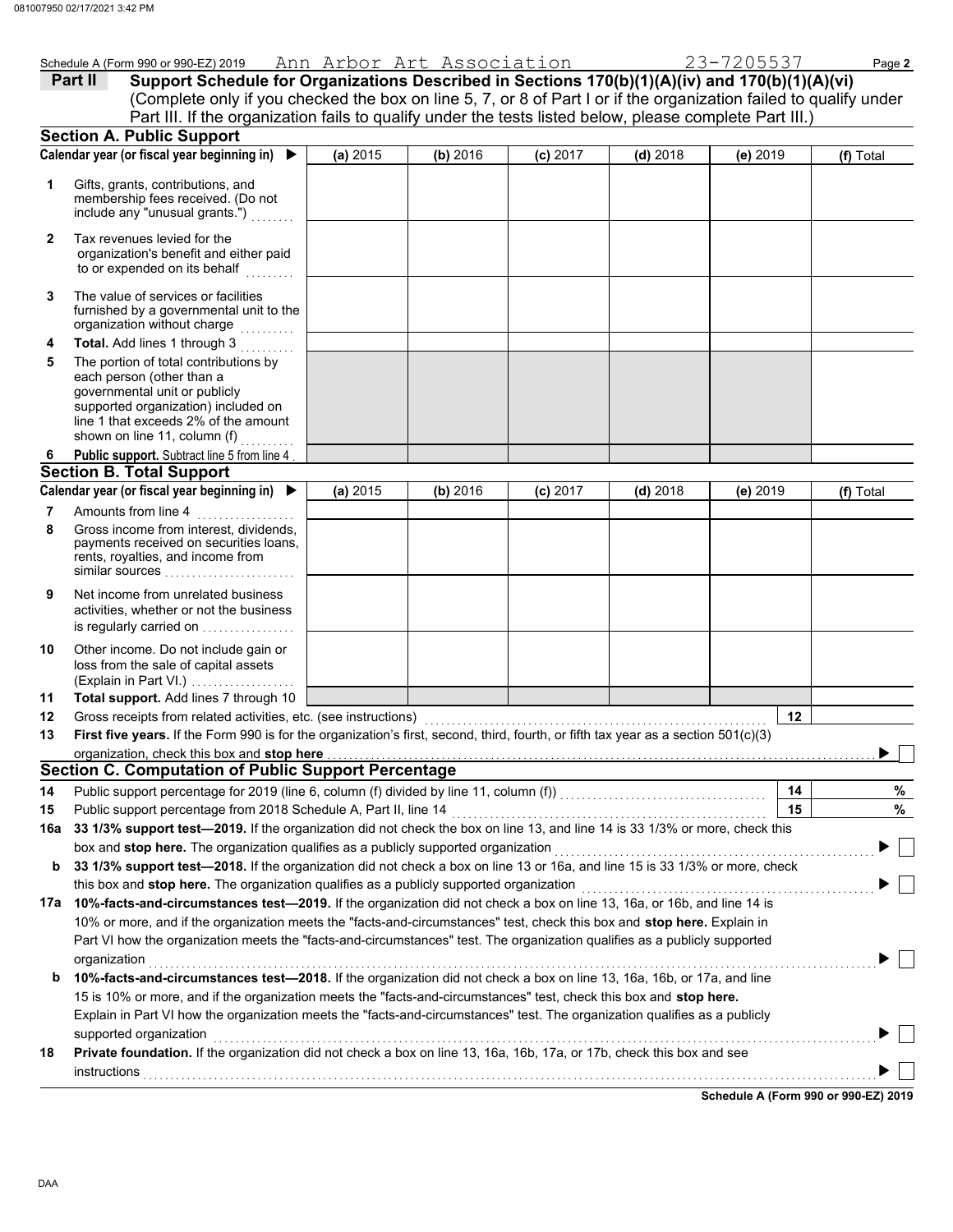|           |                                                                                                                                                                                   |          |          |                           |            | 23-7205537 |           |
|-----------|-----------------------------------------------------------------------------------------------------------------------------------------------------------------------------------|----------|----------|---------------------------|------------|------------|-----------|
|           | Schedule A (Form 990 or 990-EZ) 2019<br>Support Schedule for Organizations Described in Sections 170(b)(1)(A)(iv) and 170(b)(1)(A)(vi)<br>Part II                                 |          |          | Ann Arbor Art Association |            |            | Page 2    |
|           | (Complete only if you checked the box on line 5, 7, or 8 of Part I or if the organization failed to qualify under                                                                 |          |          |                           |            |            |           |
|           | Part III. If the organization fails to qualify under the tests listed below, please complete Part III.)                                                                           |          |          |                           |            |            |           |
|           | <b>Section A. Public Support</b>                                                                                                                                                  |          |          |                           |            |            |           |
|           | Calendar year (or fiscal year beginning in)                                                                                                                                       | (a) 2015 | (b) 2016 | $(c)$ 2017                | $(d)$ 2018 | (e) 2019   | (f) Total |
| 1         | Gifts, grants, contributions, and<br>membership fees received. (Do not<br>include any "unusual grants.")                                                                          |          |          |                           |            |            |           |
| 2         | Tax revenues levied for the<br>organization's benefit and either paid<br>to or expended on its behalf                                                                             |          |          |                           |            |            |           |
| 3         | The value of services or facilities<br>furnished by a governmental unit to the<br>organization without charge                                                                     |          |          |                           |            |            |           |
| 4         | Total. Add lines 1 through 3                                                                                                                                                      |          |          |                           |            |            |           |
| 5         | The portion of total contributions by                                                                                                                                             |          |          |                           |            |            |           |
|           | each person (other than a<br>governmental unit or publicly<br>supported organization) included on<br>line 1 that exceeds 2% of the amount<br>shown on line 11, column (f)         |          |          |                           |            |            |           |
| 6         | Public support. Subtract line 5 from line 4                                                                                                                                       |          |          |                           |            |            |           |
|           | <b>Section B. Total Support</b>                                                                                                                                                   |          |          |                           |            |            |           |
|           | Calendar year (or fiscal year beginning in)                                                                                                                                       | (a) 2015 | (b) 2016 | $(c)$ 2017                | $(d)$ 2018 | (e) 2019   | (f) Total |
| 7         | Amounts from line 4                                                                                                                                                               |          |          |                           |            |            |           |
| 8         | Gross income from interest, dividends,<br>payments received on securities loans,<br>rents, royalties, and income from<br>similar sources                                          |          |          |                           |            |            |           |
| 9         | Net income from unrelated business<br>activities, whether or not the business<br>is regularly carried on                                                                          |          |          |                           |            |            |           |
| 10        | Other income. Do not include gain or<br>loss from the sale of capital assets<br>(Explain in Part VI.)                                                                             |          |          |                           |            |            |           |
| 11        | Total support. Add lines 7 through 10                                                                                                                                             |          |          |                           |            |            |           |
| 12        | Gross receipts from related activities, etc. (see instructions)                                                                                                                   |          |          |                           |            | 12         |           |
| 13        | First five years. If the Form 990 is for the organization's first, second, third, fourth, or fifth tax year as a section $501(c)(3)$                                              |          |          |                           |            |            |           |
|           | organization, check this box and stop here<br><b>Section C. Computation of Public Support Percentage</b>                                                                          |          |          |                           |            |            |           |
|           |                                                                                                                                                                                   |          |          |                           |            |            | $\%$      |
| 14        | Public support percentage for 2019 (line 6, column (f) divided by line 11, column (f)) [[[[[[[[[[[[[[[[[[[[[[<br>Public support percentage from 2018 Schedule A, Part II, line 14 |          |          |                           |            | 14<br>15   | %         |
| 15<br>16а | 33 1/3% support test-2019. If the organization did not check the box on line 13, and line 14 is 33 1/3% or more, check this                                                       |          |          |                           |            |            |           |
|           | box and stop here. The organization qualifies as a publicly supported organization                                                                                                |          |          |                           |            |            |           |
| b         | 33 1/3% support test-2018. If the organization did not check a box on line 13 or 16a, and line 15 is 33 1/3% or more, check                                                       |          |          |                           |            |            |           |
|           | this box and stop here. The organization qualifies as a publicly supported organization                                                                                           |          |          |                           |            |            |           |
|           | 17a 10%-facts-and-circumstances test-2019. If the organization did not check a box on line 13, 16a, or 16b, and line 14 is                                                        |          |          |                           |            |            |           |
|           | 10% or more, and if the organization meets the "facts-and-circumstances" test, check this box and stop here. Explain in                                                           |          |          |                           |            |            |           |
|           | Part VI how the organization meets the "facts-and-circumstances" test. The organization qualifies as a publicly supported                                                         |          |          |                           |            |            |           |
|           | organization                                                                                                                                                                      |          |          |                           |            |            |           |
| b         | 10%-facts-and-circumstances test-2018. If the organization did not check a box on line 13, 16a, 16b, or 17a, and line                                                             |          |          |                           |            |            |           |
|           | 15 is 10% or more, and if the organization meets the "facts-and-circumstances" test, check this box and stop here.                                                                |          |          |                           |            |            |           |
|           | Explain in Part VI how the organization meets the "facts-and-circumstances" test. The organization qualifies as a publicly                                                        |          |          |                           |            |            |           |

| supported organization |  |  |                                                                                                                              |  |
|------------------------|--|--|------------------------------------------------------------------------------------------------------------------------------|--|
|                        |  |  |                                                                                                                              |  |
| instructions           |  |  |                                                                                                                              |  |
|                        |  |  | <b>Private foundation.</b> If the organization did not check a box on line 13, 16a, 16b, 17a, or 17b, check this box and see |  |

**Schedule A (Form 990 or 990-EZ) 2019**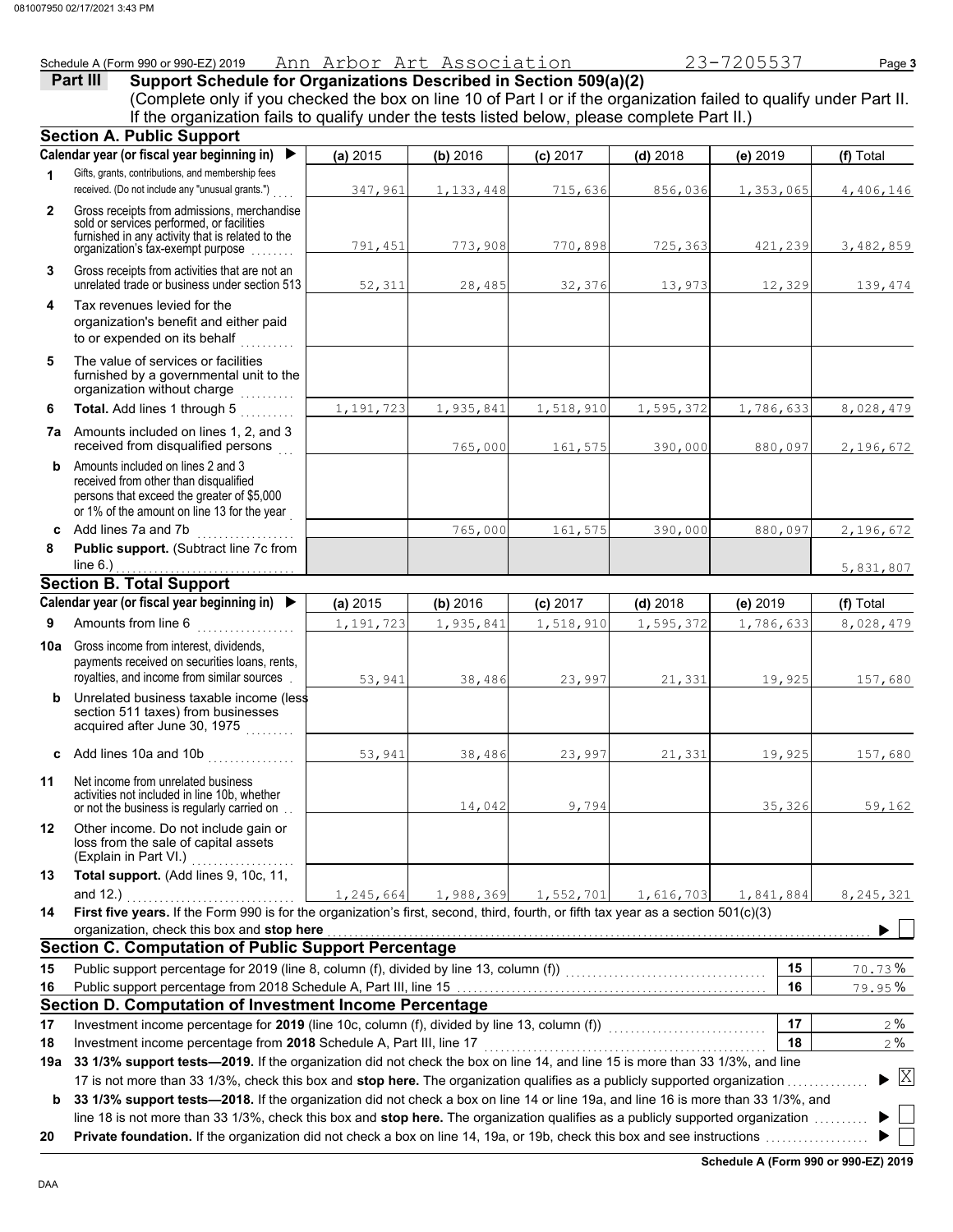Schedule A (Form 990 or 990-EZ) 2019 Page **3** Ann Arbor Art Association 23-7205537 **Part III Support Schedule for Organizations Described in Section 509(a)(2)** (Complete only if you checked the box on line 10 of Part I or if the organization failed to qualify under Part II. If the organization fails to qualify under the tests listed below, please complete Part II.) **Section A. Public Support Calendar year (or fiscal year beginning in)**  ▶ **(a)** 2015 **(b)** 2016 **(c)** 2017 **(d)** 2018 **(e)** 2019 **(f)** Total Gifts, grants, contributions, and membership fees **1** received. (Do not include any "unusual grants.") 347,961 1,133,448 715,636 856,036 1,353,065 4,406,146 **2** Gross receipts from admissions, merchandise sold or services performed, or facilities furnished in any activity that is related to the 791,451 773,908 770,898 725,363 421,239 3,482,859 organization's tax-exempt purpose ........ **3** Gross receipts from activities that are not an unrelated trade or business under section 513 52,311 28,485 32,376 13,973 12,329 139,474 **4** Tax revenues levied for the organization's benefit and either paid to or expended on its behalf **5** The value of services or facilities furnished by a governmental unit to the organization without charge ........... **Total.** Add lines 1 through 5 . . . . . . . . . **6** 1,191,723 1,935,841 1,518,910 1,595,372 1,786,633 8,028,479 **7a** Amounts included on lines 1, 2, and 3 received from disqualified persons 765,000 161,575 390,000 880,097 2,196,672 **b** Amounts included on lines 2 and 3 received from other than disqualified persons that exceed the greater of \$5,000 or 1% of the amount on line 13 for the year **c** Add lines 7a and 7b 765,000 161,575 390,000 880,097 2,196,672 **8 Public support.** (Subtract line 7c from  $line 6.)$ 5,831,807 **Section B. Total Support Calendar year (or fiscal year beginning in) (a)** 2015 **(b)** 2016 **(c)** 2017 **(d)** 2018 **(e)** 2019 **(f)** Total Amounts from line 6 . . . . . . . . . . . . . . . . . . **9** 1,191,723 1,935,841 1,518,910 1,595,372 1,786,633 8,028,479 **10a** Gross income from interest, dividends, payments received on securities loans, rents, royalties, and income from similar sources . 53,941 38,486 23,997 21,331 19,925 157,680 **b** Unrelated business taxable income (less section 511 taxes) from businesses acquired after June 30, 1975 . . . . . . . . **c** Add lines 10a and 10b . . . . . . . . . . . . . . . . 53,941 38,486 23,997 21,331 19,925 157,680 **11** Net income from unrelated business activities not included in line 10b, whether or not the business is regularly carried on ... 14,042 9,794 35,326 59,162 **12** Other income. Do not include gain or loss from the sale of capital assets (Explain in Part VI.) . . . . . . . . . . . . . . . **13 Total support.** (Add lines 9, 10c, 11, and 12.) . . . . . . . . . . . . . . . . . . . . . . . . . . . . . . . 1,245,664 1,988,369 1,552,701 1,616,703 1,841,884 8,245,321 **14 First five years.** If the Form 990 is for the organization's first, second, third, fourth, or fifth tax year as a section 501(c)(3) organization, check this box and stop here ь **Section C. Computation of Public Support Percentage 15** Public support percentage for 2019 (line 8, column (f), divided by line 13, column (f)) . . . . . . . . . . . . . . . . . . . . . . . . . . . . . . . . . . . . . **15** % 70.73

## Public support percentage from 2018 Schedule A, Part III, line 15 **Section D. Computation of Investment Income Percentage**

**18** 17 Investment income percentage for 2019 (line 10c, column (f), divided by line 13, column (f)) Investment income percentage from 2018 Schedule A, Part III, line 17 ..................

## 17 is not more than 33 1/3%, check this box and **stop here.** The organization qualifies as a publicly supported organization . . . . . . . . . . . . . . . **19a 33 1/3% support tests—2019.** If the organization did not check the box on line 14, and line 15 is more than 33 1/3%, and line **18**

**b** 33 1/3% support tests—2018. If the organization did not check a box on line 14 or line 19a, and line 16 is more than 33 1/3%, and line 18 is not more than 33 1/3%, check this box and **stop here.** The organization qualifies as a publicly supported organization ........

**20 Private foundation.** If the organization did not check a box on line 14, 19a, or 19b, check this box and see instructions .................

**16**

**17**

% 79.95

% 2 % 2

 $\blacktriangleright$   $\mathbb{X}$ 

**16**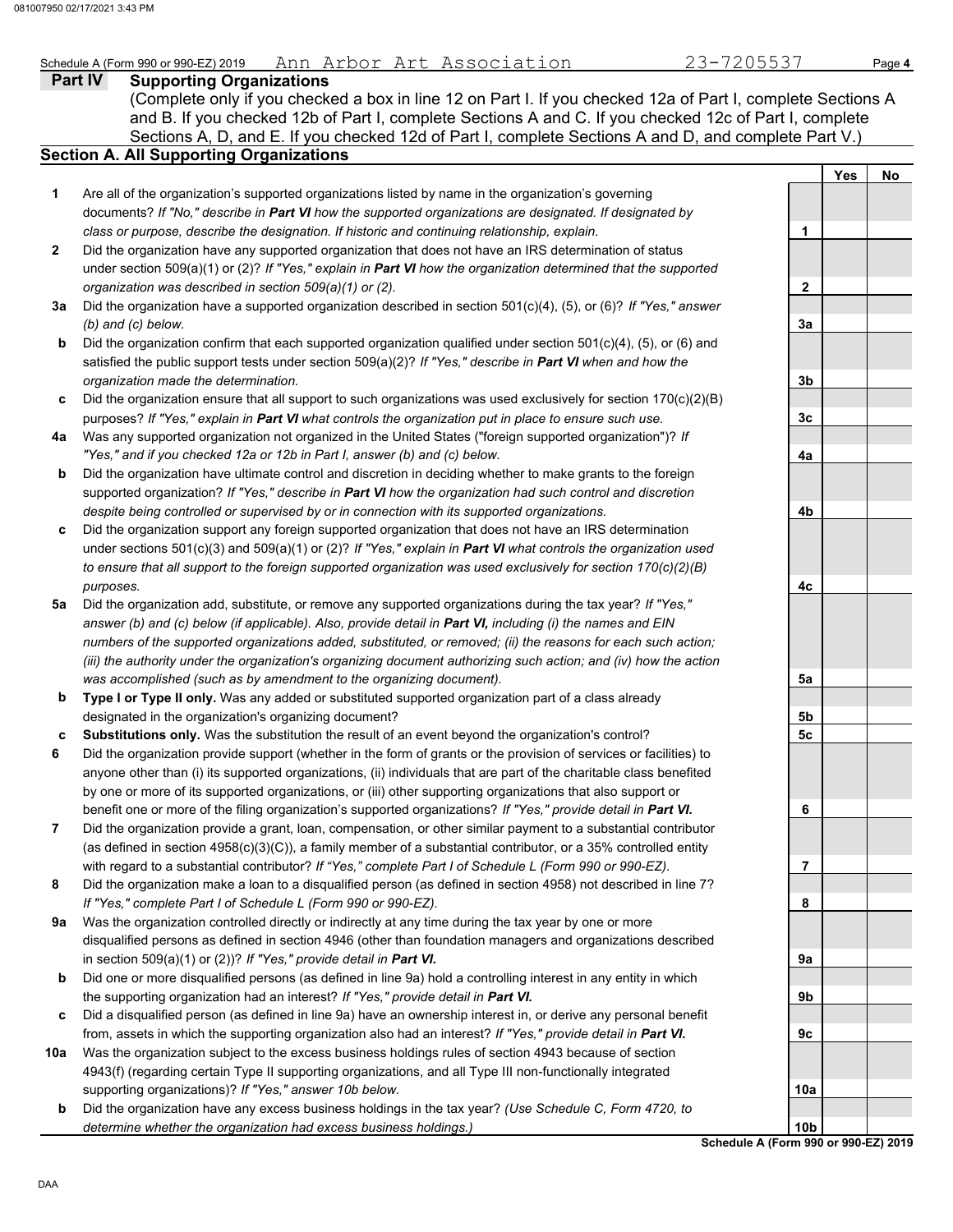# Schedule A (Form 990 or 990-EZ) 2019 Page **4** Ann Arbor Art Association 23-7205537

|              | $\frac{1}{2}$ contracts and $\frac{1}{2}$ and $\frac{1}{2}$ and $\frac{1}{2}$ and $\frac{1}{2}$ and $\frac{1}{2}$ and $\frac{1}{2}$ and $\frac{1}{2}$ and $\frac{1}{2}$ and $\frac{1}{2}$ and $\frac{1}{2}$ and $\frac{1}{2}$ and $\frac{1}{2}$ and $\frac{1}{2}$ and $\frac{1}{2}$ and<br>ANNI ALDOL ALC ASSOCIACION<br>Part IV |                 |            | raye 4           |
|--------------|----------------------------------------------------------------------------------------------------------------------------------------------------------------------------------------------------------------------------------------------------------------------------------------------------------------------------------|-----------------|------------|------------------|
|              | <b>Supporting Organizations</b>                                                                                                                                                                                                                                                                                                  |                 |            |                  |
|              | (Complete only if you checked a box in line 12 on Part I. If you checked 12a of Part I, complete Sections A                                                                                                                                                                                                                      |                 |            |                  |
|              | and B. If you checked 12b of Part I, complete Sections A and C. If you checked 12c of Part I, complete                                                                                                                                                                                                                           |                 |            |                  |
|              | Sections A, D, and E. If you checked 12d of Part I, complete Sections A and D, and complete Part V.)                                                                                                                                                                                                                             |                 |            |                  |
|              | <b>Section A. All Supporting Organizations</b>                                                                                                                                                                                                                                                                                   |                 |            |                  |
|              |                                                                                                                                                                                                                                                                                                                                  |                 | <b>Yes</b> | No               |
| 1            | Are all of the organization's supported organizations listed by name in the organization's governing                                                                                                                                                                                                                             |                 |            |                  |
|              | documents? If "No," describe in Part VI how the supported organizations are designated. If designated by                                                                                                                                                                                                                         |                 |            |                  |
|              | class or purpose, describe the designation. If historic and continuing relationship, explain.                                                                                                                                                                                                                                    | 1               |            |                  |
| $\mathbf{2}$ | Did the organization have any supported organization that does not have an IRS determination of status                                                                                                                                                                                                                           |                 |            |                  |
|              | under section 509(a)(1) or (2)? If "Yes," explain in Part VI how the organization determined that the supported                                                                                                                                                                                                                  |                 |            |                  |
|              | organization was described in section 509(a)(1) or (2).                                                                                                                                                                                                                                                                          | $\mathbf{2}$    |            |                  |
| За           | Did the organization have a supported organization described in section 501(c)(4), (5), or (6)? If "Yes," answer                                                                                                                                                                                                                 |                 |            |                  |
|              | $(b)$ and $(c)$ below.                                                                                                                                                                                                                                                                                                           | 3a              |            |                  |
| b            | Did the organization confirm that each supported organization qualified under section 501(c)(4), (5), or (6) and                                                                                                                                                                                                                 |                 |            |                  |
|              | satisfied the public support tests under section $509(a)(2)?$ If "Yes," describe in Part VI when and how the                                                                                                                                                                                                                     |                 |            |                  |
|              | organization made the determination.                                                                                                                                                                                                                                                                                             | 3b              |            |                  |
| c            | Did the organization ensure that all support to such organizations was used exclusively for section 170(c)(2)(B)                                                                                                                                                                                                                 |                 |            |                  |
|              | purposes? If "Yes," explain in Part VI what controls the organization put in place to ensure such use.                                                                                                                                                                                                                           | 3c              |            |                  |
| 4a           | Was any supported organization not organized in the United States ("foreign supported organization")? If                                                                                                                                                                                                                         |                 |            |                  |
|              | "Yes," and if you checked 12a or 12b in Part I, answer (b) and (c) below.                                                                                                                                                                                                                                                        | 4a              |            |                  |
| b            | Did the organization have ultimate control and discretion in deciding whether to make grants to the foreign                                                                                                                                                                                                                      |                 |            |                  |
|              | supported organization? If "Yes," describe in Part VI how the organization had such control and discretion                                                                                                                                                                                                                       |                 |            |                  |
|              | despite being controlled or supervised by or in connection with its supported organizations.                                                                                                                                                                                                                                     | 4b              |            |                  |
| c            | Did the organization support any foreign supported organization that does not have an IRS determination                                                                                                                                                                                                                          |                 |            |                  |
|              | under sections 501(c)(3) and 509(a)(1) or (2)? If "Yes," explain in Part VI what controls the organization used                                                                                                                                                                                                                  |                 |            |                  |
|              | to ensure that all support to the foreign supported organization was used exclusively for section 170(c)(2)(B)                                                                                                                                                                                                                   |                 |            |                  |
|              | purposes.                                                                                                                                                                                                                                                                                                                        | 4с              |            |                  |
| 5a           | Did the organization add, substitute, or remove any supported organizations during the tax year? If "Yes,"                                                                                                                                                                                                                       |                 |            |                  |
|              | answer (b) and (c) below (if applicable). Also, provide detail in Part VI, including (i) the names and EIN                                                                                                                                                                                                                       |                 |            |                  |
|              | numbers of the supported organizations added, substituted, or removed; (ii) the reasons for each such action;                                                                                                                                                                                                                    |                 |            |                  |
|              | (iii) the authority under the organization's organizing document authorizing such action; and (iv) how the action                                                                                                                                                                                                                |                 |            |                  |
|              | was accomplished (such as by amendment to the organizing document).                                                                                                                                                                                                                                                              |                 |            |                  |
|              |                                                                                                                                                                                                                                                                                                                                  | 5a              |            |                  |
| b            | Type I or Type II only. Was any added or substituted supported organization part of a class already                                                                                                                                                                                                                              |                 |            |                  |
|              | designated in the organization's organizing document?                                                                                                                                                                                                                                                                            | 5b              |            |                  |
| c            | Substitutions only. Was the substitution the result of an event beyond the organization's control?                                                                                                                                                                                                                               | 5c              |            |                  |
| 6            | Did the organization provide support (whether in the form of grants or the provision of services or facilities) to                                                                                                                                                                                                               |                 |            |                  |
|              | anyone other than (i) its supported organizations, (ii) individuals that are part of the charitable class benefited                                                                                                                                                                                                              |                 |            |                  |
|              | by one or more of its supported organizations, or (iii) other supporting organizations that also support or                                                                                                                                                                                                                      |                 |            |                  |
|              | benefit one or more of the filing organization's supported organizations? If "Yes," provide detail in Part VI.                                                                                                                                                                                                                   | 6               |            |                  |
| 7            | Did the organization provide a grant, loan, compensation, or other similar payment to a substantial contributor                                                                                                                                                                                                                  |                 |            |                  |
|              | (as defined in section $4958(c)(3)(C)$ ), a family member of a substantial contributor, or a 35% controlled entity                                                                                                                                                                                                               |                 |            |                  |
|              | with regard to a substantial contributor? If "Yes," complete Part I of Schedule L (Form 990 or 990-EZ).                                                                                                                                                                                                                          | 7               |            |                  |
| 8            | Did the organization make a loan to a disqualified person (as defined in section 4958) not described in line 7?                                                                                                                                                                                                                  |                 |            |                  |
|              | If "Yes," complete Part I of Schedule L (Form 990 or 990-EZ).                                                                                                                                                                                                                                                                    | 8               |            |                  |
| 9a           | Was the organization controlled directly or indirectly at any time during the tax year by one or more                                                                                                                                                                                                                            |                 |            |                  |
|              | disqualified persons as defined in section 4946 (other than foundation managers and organizations described                                                                                                                                                                                                                      |                 |            |                  |
|              | in section 509(a)(1) or (2))? If "Yes," provide detail in Part VI.                                                                                                                                                                                                                                                               | 9a              |            |                  |
| b            | Did one or more disqualified persons (as defined in line 9a) hold a controlling interest in any entity in which                                                                                                                                                                                                                  |                 |            |                  |
|              | the supporting organization had an interest? If "Yes," provide detail in Part VI.                                                                                                                                                                                                                                                | 9b              |            |                  |
| c            | Did a disqualified person (as defined in line 9a) have an ownership interest in, or derive any personal benefit                                                                                                                                                                                                                  |                 |            |                  |
|              | from, assets in which the supporting organization also had an interest? If "Yes," provide detail in Part VI.                                                                                                                                                                                                                     | 9с              |            |                  |
| 10a          | Was the organization subject to the excess business holdings rules of section 4943 because of section                                                                                                                                                                                                                            |                 |            |                  |
|              | 4943(f) (regarding certain Type II supporting organizations, and all Type III non-functionally integrated                                                                                                                                                                                                                        |                 |            |                  |
|              | supporting organizations)? If "Yes," answer 10b below.                                                                                                                                                                                                                                                                           | 10a             |            |                  |
| b            | Did the organization have any excess business holdings in the tax year? (Use Schedule C, Form 4720, to                                                                                                                                                                                                                           |                 |            |                  |
|              | determine whether the organization had excess business holdings.)                                                                                                                                                                                                                                                                | 10 <sub>b</sub> |            |                  |
|              |                                                                                                                                                                                                                                                                                                                                  |                 |            | $0.005$ $-21.00$ |

**Schedule A (Form 990 or 990-EZ) 2019**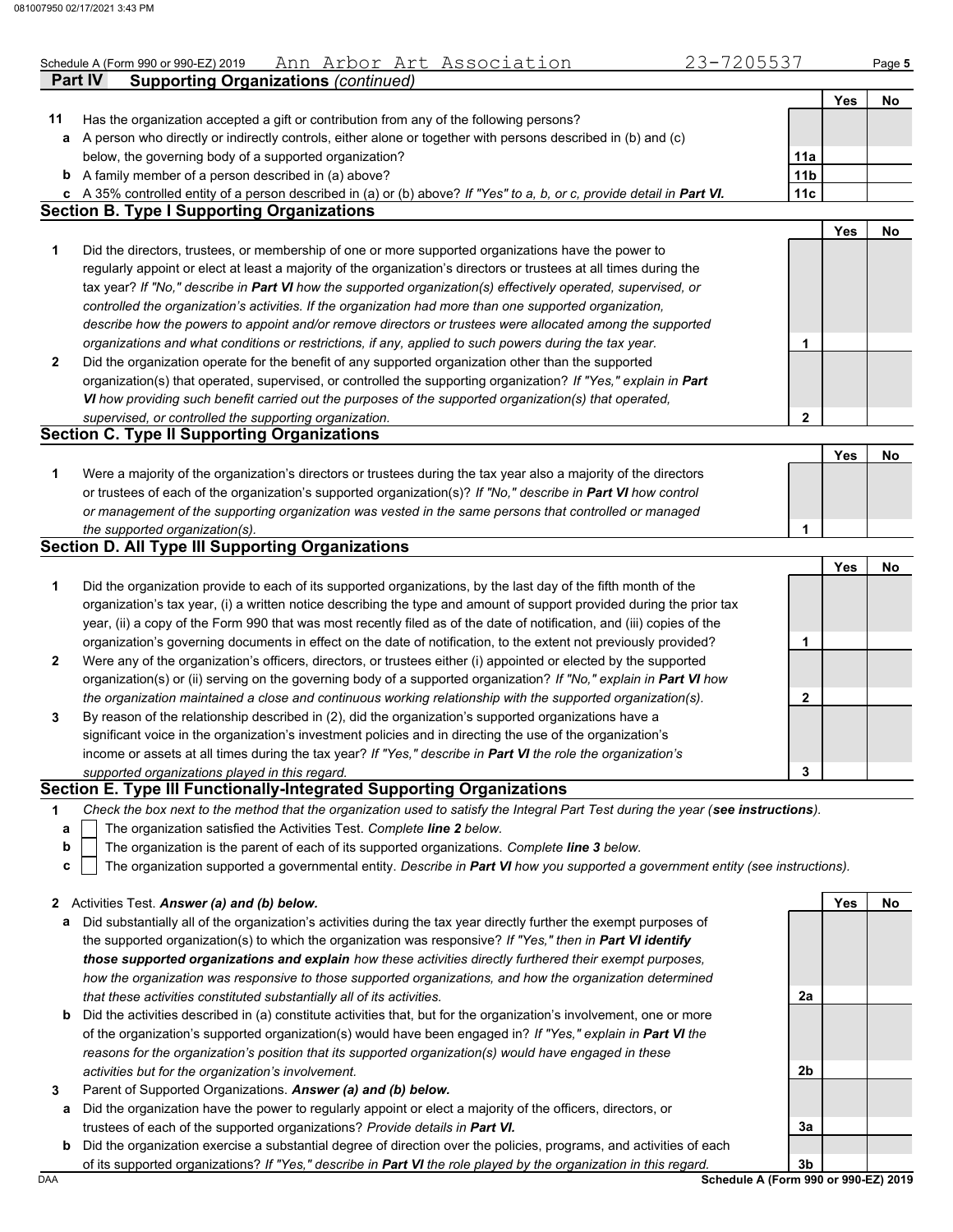|              | 23-7205537<br><u>Ann Arbor Art Association</u><br>Schedule A (Form 990 or 990-EZ) 2019                                                                                                                                    |     |            | Page 5 |
|--------------|---------------------------------------------------------------------------------------------------------------------------------------------------------------------------------------------------------------------------|-----|------------|--------|
|              | <b>Supporting Organizations (continued)</b><br><b>Part IV</b>                                                                                                                                                             |     |            |        |
|              |                                                                                                                                                                                                                           |     | Yes        | No     |
| 11           | Has the organization accepted a gift or contribution from any of the following persons?                                                                                                                                   |     |            |        |
| a            | A person who directly or indirectly controls, either alone or together with persons described in (b) and (c)                                                                                                              |     |            |        |
|              | below, the governing body of a supported organization?                                                                                                                                                                    | 11a |            |        |
| b            | A family member of a person described in (a) above?                                                                                                                                                                       | 11b |            |        |
|              | c A 35% controlled entity of a person described in (a) or (b) above? If "Yes" to a, b, or c, provide detail in Part VI.<br><b>Section B. Type I Supporting Organizations</b>                                              | 11c |            |        |
|              |                                                                                                                                                                                                                           |     | <b>Yes</b> |        |
|              |                                                                                                                                                                                                                           |     |            | No     |
| 1            | Did the directors, trustees, or membership of one or more supported organizations have the power to<br>regularly appoint or elect at least a majority of the organization's directors or trustees at all times during the |     |            |        |
|              |                                                                                                                                                                                                                           |     |            |        |
|              | tax year? If "No," describe in Part VI how the supported organization(s) effectively operated, supervised, or                                                                                                             |     |            |        |
|              | controlled the organization's activities. If the organization had more than one supported organization,                                                                                                                   |     |            |        |
|              | describe how the powers to appoint and/or remove directors or trustees were allocated among the supported                                                                                                                 |     |            |        |
| $\mathbf{2}$ | organizations and what conditions or restrictions, if any, applied to such powers during the tax year.                                                                                                                    | 1   |            |        |
|              | Did the organization operate for the benefit of any supported organization other than the supported                                                                                                                       |     |            |        |
|              | organization(s) that operated, supervised, or controlled the supporting organization? If "Yes," explain in Part                                                                                                           |     |            |        |
|              | VI how providing such benefit carried out the purposes of the supported organization(s) that operated,<br>supervised, or controlled the supporting organization.                                                          | 2   |            |        |
|              | <b>Section C. Type II Supporting Organizations</b>                                                                                                                                                                        |     |            |        |
|              |                                                                                                                                                                                                                           |     | Yes        | No     |
| 1            | Were a majority of the organization's directors or trustees during the tax year also a majority of the directors                                                                                                          |     |            |        |
|              | or trustees of each of the organization's supported organization(s)? If "No," describe in Part VI how control                                                                                                             |     |            |        |
|              | or management of the supporting organization was vested in the same persons that controlled or managed                                                                                                                    |     |            |        |
|              | the supported organization(s).                                                                                                                                                                                            | 1   |            |        |
|              | <b>Section D. All Type III Supporting Organizations</b>                                                                                                                                                                   |     |            |        |
|              |                                                                                                                                                                                                                           |     | Yes        | No     |
| 1            | Did the organization provide to each of its supported organizations, by the last day of the fifth month of the                                                                                                            |     |            |        |
|              | organization's tax year, (i) a written notice describing the type and amount of support provided during the prior tax                                                                                                     |     |            |        |
|              | year, (ii) a copy of the Form 990 that was most recently filed as of the date of notification, and (iii) copies of the                                                                                                    |     |            |        |
|              | organization's governing documents in effect on the date of notification, to the extent not previously provided?                                                                                                          | 1   |            |        |
| $\mathbf{2}$ | Were any of the organization's officers, directors, or trustees either (i) appointed or elected by the supported                                                                                                          |     |            |        |
|              | organization(s) or (ii) serving on the governing body of a supported organization? If "No," explain in Part VI how                                                                                                        |     |            |        |
|              | the organization maintained a close and continuous working relationship with the supported organization(s).                                                                                                               | 2   |            |        |
| 3            | By reason of the relationship described in (2), did the organization's supported organizations have a                                                                                                                     |     |            |        |
|              | significant voice in the organization's investment policies and in directing the use of the organization's                                                                                                                |     |            |        |
|              | income or assets at all times during the tax year? If "Yes," describe in Part VI the role the organization's                                                                                                              |     |            |        |
|              | supported organizations played in this regard.                                                                                                                                                                            | 3   |            |        |
|              | Section E. Type III Functionally-Integrated Supporting Organizations                                                                                                                                                      |     |            |        |
| 1            | Check the box next to the method that the organization used to satisfy the Integral Part Test during the year (see instructions).                                                                                         |     |            |        |
| а            | The organization satisfied the Activities Test. Complete line 2 below.                                                                                                                                                    |     |            |        |
| $\mathbf b$  | The organization is the parent of each of its supported organizations. Complete line 3 below.                                                                                                                             |     |            |        |
| c            | The organization supported a governmental entity. Describe in Part VI how you supported a government entity (see instructions).                                                                                           |     |            |        |
|              |                                                                                                                                                                                                                           |     |            |        |
|              | 2 Activities Test. Answer (a) and (b) below.                                                                                                                                                                              |     | Yes        | No     |
| а            | Did substantially all of the organization's activities during the tax year directly further the exempt purposes of                                                                                                        |     |            |        |
|              | the supported organization(s) to which the organization was responsive? If "Yes," then in Part VI identify                                                                                                                |     |            |        |
|              | those supported organizations and explain how these activities directly furthered their exempt purposes,                                                                                                                  |     |            |        |
|              | how the organization was responsive to those supported organizations, and how the organization determined                                                                                                                 |     |            |        |

- **b** Did the activities described in (a) constitute activities that, but for the organization's involvement, one or more *that these activities constituted substantially all of its activities.* of the organization's supported organization(s) would have been engaged in? *If "Yes," explain in Part VI the reasons for the organization's position that its supported organization(s) would have engaged in these activities but for the organization's involvement.*
- **3** Parent of Supported Organizations. *Answer (a) and (b) below.*
- **a** Did the organization have the power to regularly appoint or elect a majority of the officers, directors, or trustees of each of the supported organizations? *Provide details in Part VI.*
- **b** Did the organization exercise a substantial degree of direction over the policies, programs, and activities of each of its supported organizations? *If "Yes," describe in Part VI the role played by the organization in this regard.*

DAA **Schedule A (Form 990 or 990-EZ) 2019 3b**

**3a**

**2a**

**2b**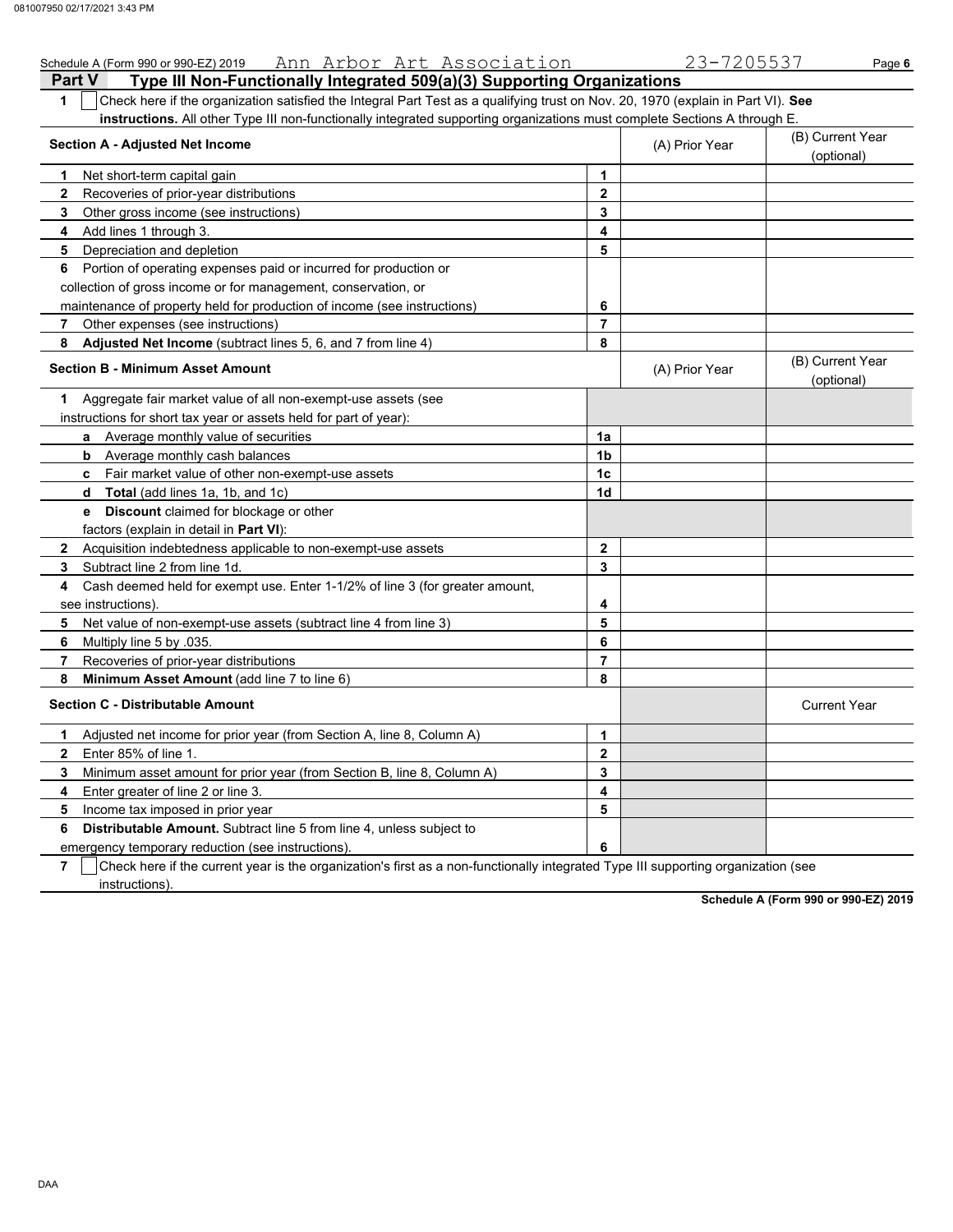| Schedule A (Form 990 or 990-EZ) 2019 Ann Arbor Art Association                                                                                   |                | 23-7205537     | Page 6                         |
|--------------------------------------------------------------------------------------------------------------------------------------------------|----------------|----------------|--------------------------------|
| Type III Non-Functionally Integrated 509(a)(3) Supporting Organizations<br><b>Part V</b>                                                         |                |                |                                |
| Check here if the organization satisfied the Integral Part Test as a qualifying trust on Nov. 20, 1970 (explain in Part VI). See<br>$\mathbf{1}$ |                |                |                                |
| instructions. All other Type III non-functionally integrated supporting organizations must complete Sections A through E.                        |                |                |                                |
| <b>Section A - Adjusted Net Income</b>                                                                                                           |                | (A) Prior Year | (B) Current Year               |
|                                                                                                                                                  |                |                | (optional)                     |
| Net short-term capital gain<br>1                                                                                                                 | 1              |                |                                |
| $\mathbf{2}$<br>Recoveries of prior-year distributions                                                                                           | $\mathbf{2}$   |                |                                |
| Other gross income (see instructions)<br>3                                                                                                       | 3              |                |                                |
| Add lines 1 through 3.<br>4                                                                                                                      | 4              |                |                                |
| Depreciation and depletion<br>5                                                                                                                  | 5              |                |                                |
| Portion of operating expenses paid or incurred for production or<br>6                                                                            |                |                |                                |
| collection of gross income or for management, conservation, or                                                                                   |                |                |                                |
| maintenance of property held for production of income (see instructions)                                                                         | 6              |                |                                |
| 7<br>Other expenses (see instructions)                                                                                                           | 7              |                |                                |
| Adjusted Net Income (subtract lines 5, 6, and 7 from line 4)<br>8                                                                                | 8              |                |                                |
| <b>Section B - Minimum Asset Amount</b>                                                                                                          |                | (A) Prior Year | (B) Current Year<br>(optional) |
| Aggregate fair market value of all non-exempt-use assets (see<br>1.                                                                              |                |                |                                |
| instructions for short tax year or assets held for part of year):                                                                                |                |                |                                |
| a Average monthly value of securities                                                                                                            | 1a             |                |                                |
| <b>b</b> Average monthly cash balances                                                                                                           | 1 <sub>b</sub> |                |                                |
| <b>c</b> Fair market value of other non-exempt-use assets                                                                                        | 1c             |                |                                |
| <b>d Total</b> (add lines 1a, 1b, and 1c)                                                                                                        | 1d             |                |                                |
| <b>Discount</b> claimed for blockage or other<br>е                                                                                               |                |                |                                |
| factors (explain in detail in <b>Part VI)</b> :                                                                                                  |                |                |                                |
| Acquisition indebtedness applicable to non-exempt-use assets<br>$\mathbf{2}$                                                                     | $\mathbf{2}$   |                |                                |
| 3<br>Subtract line 2 from line 1d.                                                                                                               | 3              |                |                                |
| Cash deemed held for exempt use. Enter 1-1/2% of line 3 (for greater amount,<br>4                                                                |                |                |                                |
| see instructions).                                                                                                                               | 4              |                |                                |
| 5<br>Net value of non-exempt-use assets (subtract line 4 from line 3)                                                                            | 5              |                |                                |
| 6<br>Multiply line 5 by 035.                                                                                                                     | 6              |                |                                |
| 7<br>Recoveries of prior-year distributions                                                                                                      | $\overline{7}$ |                |                                |
| 8<br>Minimum Asset Amount (add line 7 to line 6)                                                                                                 | 8              |                |                                |
| <b>Section C - Distributable Amount</b>                                                                                                          |                |                | <b>Current Year</b>            |
| Adjusted net income for prior year (from Section A, line 8, Column A)<br>1                                                                       | 1              |                |                                |
| $\mathbf{2}$<br>Enter 85% of line 1.                                                                                                             | $\mathbf{2}$   |                |                                |
| 3<br>Minimum asset amount for prior year (from Section B, line 8, Column A)                                                                      | 3              |                |                                |
| 4<br>Enter greater of line 2 or line 3.                                                                                                          | 4              |                |                                |
| 5<br>Income tax imposed in prior year                                                                                                            | 5              |                |                                |
| <b>Distributable Amount.</b> Subtract line 5 from line 4, unless subject to<br>6                                                                 |                |                |                                |
| emergency temporary reduction (see instructions).                                                                                                | 6              |                |                                |

**7** Check here if the current year is the organization's first as a non-functionally integrated Type III supporting organization (see instructions).

**Schedule A (Form 990 or 990-EZ) 2019**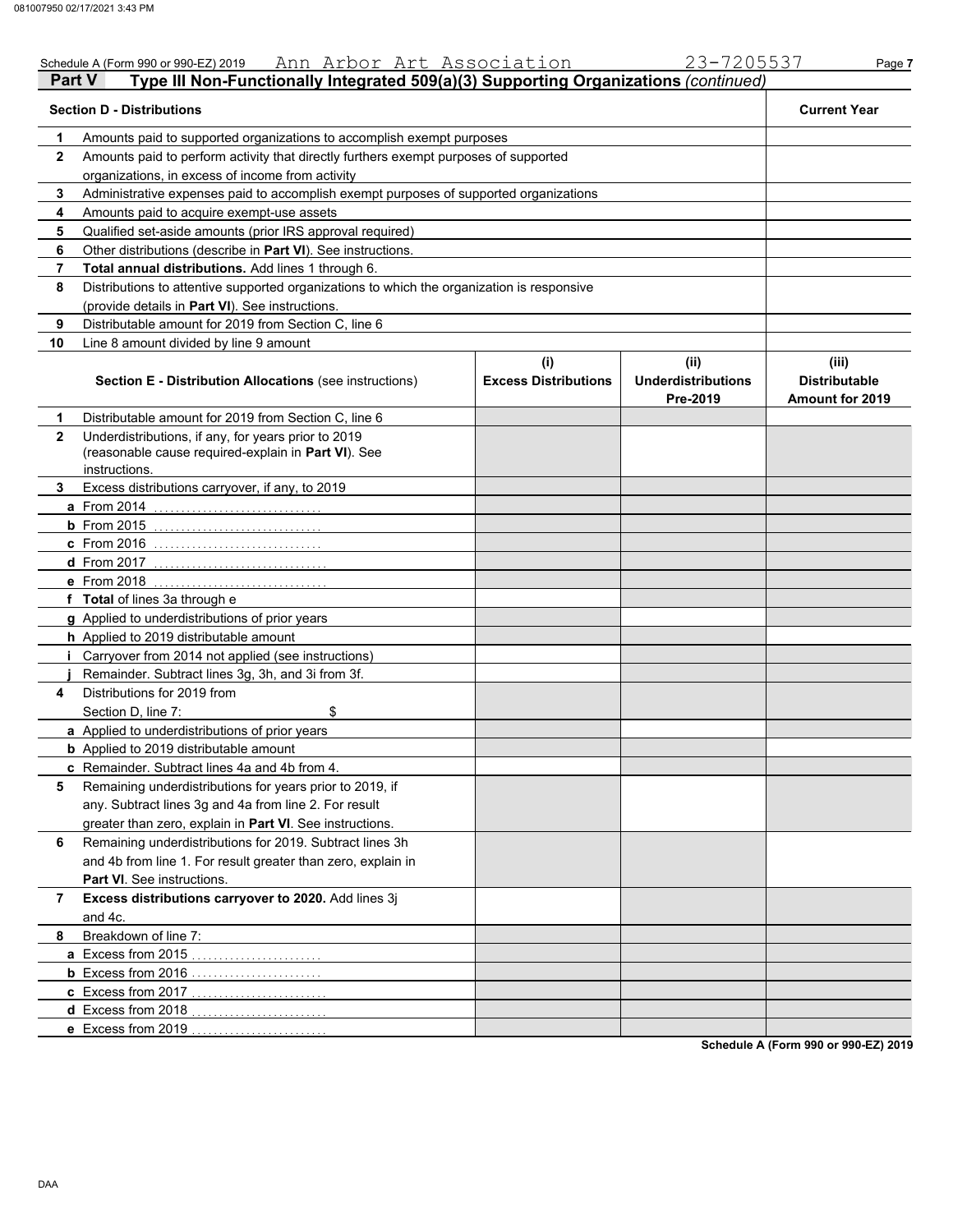|              | Ann Arbor Art Association<br>Schedule A (Form 990 or 990-EZ) 2019                                                           |                                    | 23-7205537                                    | Page 7                                                  |
|--------------|-----------------------------------------------------------------------------------------------------------------------------|------------------------------------|-----------------------------------------------|---------------------------------------------------------|
| Part V       | Type III Non-Functionally Integrated 509(a)(3) Supporting Organizations (continued)                                         |                                    |                                               |                                                         |
|              | <b>Section D - Distributions</b>                                                                                            |                                    |                                               | <b>Current Year</b>                                     |
| 1            | Amounts paid to supported organizations to accomplish exempt purposes                                                       |                                    |                                               |                                                         |
| $\mathbf{2}$ | Amounts paid to perform activity that directly furthers exempt purposes of supported                                        |                                    |                                               |                                                         |
|              | organizations, in excess of income from activity                                                                            |                                    |                                               |                                                         |
| 3            | Administrative expenses paid to accomplish exempt purposes of supported organizations                                       |                                    |                                               |                                                         |
| 4            | Amounts paid to acquire exempt-use assets                                                                                   |                                    |                                               |                                                         |
| 5            | Qualified set-aside amounts (prior IRS approval required)                                                                   |                                    |                                               |                                                         |
| 6            | Other distributions (describe in Part VI). See instructions.                                                                |                                    |                                               |                                                         |
| 7            | Total annual distributions. Add lines 1 through 6.                                                                          |                                    |                                               |                                                         |
| 8            | Distributions to attentive supported organizations to which the organization is responsive                                  |                                    |                                               |                                                         |
|              | (provide details in Part VI). See instructions.                                                                             |                                    |                                               |                                                         |
| 9            | Distributable amount for 2019 from Section C, line 6                                                                        |                                    |                                               |                                                         |
| 10           | Line 8 amount divided by line 9 amount                                                                                      |                                    |                                               |                                                         |
|              | <b>Section E - Distribution Allocations (see instructions)</b>                                                              | (i)<br><b>Excess Distributions</b> | (ii)<br><b>Underdistributions</b><br>Pre-2019 | (iii)<br><b>Distributable</b><br><b>Amount for 2019</b> |
| 1            | Distributable amount for 2019 from Section C, line 6                                                                        |                                    |                                               |                                                         |
| $\mathbf{2}$ | Underdistributions, if any, for years prior to 2019<br>(reasonable cause required-explain in Part VI). See<br>instructions. |                                    |                                               |                                                         |
| 3            | Excess distributions carryover, if any, to 2019                                                                             |                                    |                                               |                                                         |
|              | a From 2014                                                                                                                 |                                    |                                               |                                                         |
|              | $b$ From 2015                                                                                                               |                                    |                                               |                                                         |
|              | <b>c</b> From 2016                                                                                                          |                                    |                                               |                                                         |
|              | d From 2017                                                                                                                 |                                    |                                               |                                                         |
|              | e From 2018                                                                                                                 |                                    |                                               |                                                         |
|              | f Total of lines 3a through e                                                                                               |                                    |                                               |                                                         |
|              | g Applied to underdistributions of prior years                                                                              |                                    |                                               |                                                         |
|              | h Applied to 2019 distributable amount                                                                                      |                                    |                                               |                                                         |
|              | Carryover from 2014 not applied (see instructions)                                                                          |                                    |                                               |                                                         |
|              | Remainder. Subtract lines 3g, 3h, and 3i from 3f.                                                                           |                                    |                                               |                                                         |
| 4            | Distributions for 2019 from                                                                                                 |                                    |                                               |                                                         |
|              | \$<br>Section D, line 7:                                                                                                    |                                    |                                               |                                                         |
|              | a Applied to underdistributions of prior years                                                                              |                                    |                                               |                                                         |
|              | <b>b</b> Applied to 2019 distributable amount                                                                               |                                    |                                               |                                                         |
|              | c Remainder. Subtract lines 4a and 4b from 4.                                                                               |                                    |                                               |                                                         |
| 5            | Remaining underdistributions for years prior to 2019, if                                                                    |                                    |                                               |                                                         |
|              | any. Subtract lines 3g and 4a from line 2. For result                                                                       |                                    |                                               |                                                         |
|              | greater than zero, explain in Part VI. See instructions.                                                                    |                                    |                                               |                                                         |
| 6            | Remaining underdistributions for 2019. Subtract lines 3h                                                                    |                                    |                                               |                                                         |
|              | and 4b from line 1. For result greater than zero, explain in                                                                |                                    |                                               |                                                         |
|              | Part VI. See instructions.                                                                                                  |                                    |                                               |                                                         |
| 7            | Excess distributions carryover to 2020. Add lines 3j                                                                        |                                    |                                               |                                                         |
|              | and 4c.                                                                                                                     |                                    |                                               |                                                         |
| 8            | Breakdown of line 7:                                                                                                        |                                    |                                               |                                                         |
|              | a Excess from 2015                                                                                                          |                                    |                                               |                                                         |
|              | <b>b</b> Excess from 2016                                                                                                   |                                    |                                               |                                                         |
|              | c Excess from 2017                                                                                                          |                                    |                                               |                                                         |
|              | d Excess from 2018                                                                                                          |                                    |                                               |                                                         |
|              | e Excess from 2019                                                                                                          |                                    |                                               |                                                         |
|              |                                                                                                                             |                                    |                                               |                                                         |

**Schedule A (Form 990 or 990-EZ) 2019**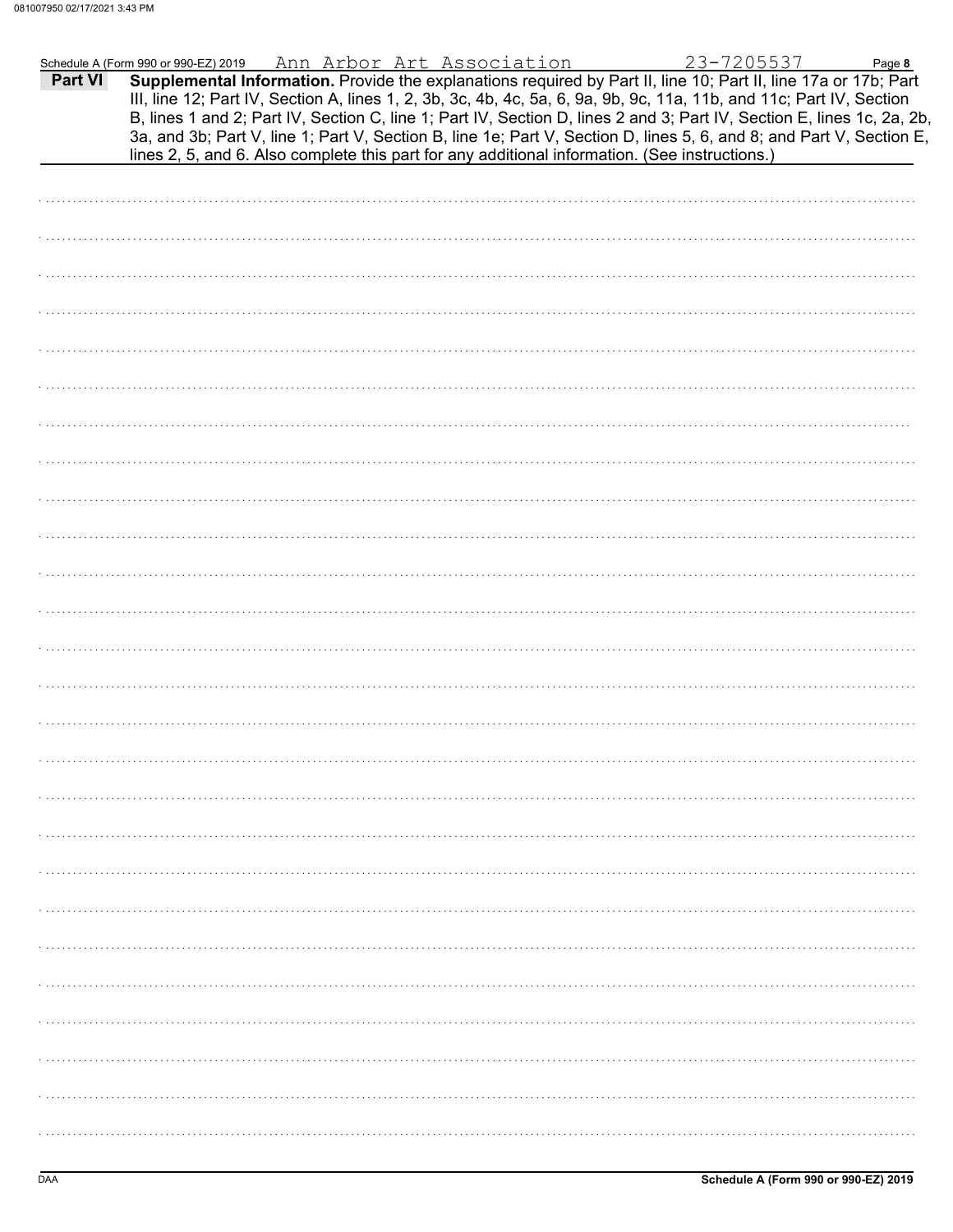|         | Schedule A (Form 990 or 990-EZ) 2019                                                                                                                                                                                                                                                                                                                                                                                                                                                                                                                                                        |  | Ann Arbor Art Association |  | 23-7205537 | Page 8 |
|---------|---------------------------------------------------------------------------------------------------------------------------------------------------------------------------------------------------------------------------------------------------------------------------------------------------------------------------------------------------------------------------------------------------------------------------------------------------------------------------------------------------------------------------------------------------------------------------------------------|--|---------------------------|--|------------|--------|
| Part VI | Supplemental Information. Provide the explanations required by Part II, line 10; Part II, line 17a or 17b; Part<br>III, line 12; Part IV, Section A, lines 1, 2, 3b, 3c, 4b, 4c, 5a, 6, 9a, 9b, 9c, 11a, 11b, and 11c; Part IV, Section<br>B, lines 1 and 2; Part IV, Section C, line 1; Part IV, Section D, lines 2 and 3; Part IV, Section E, lines 1c, 2a, 2b,<br>3a, and 3b; Part V, line 1; Part V, Section B, line 1e; Part V, Section D, lines 5, 6, and 8; and Part V, Section E,<br>lines 2, 5, and 6. Also complete this part for any additional information. (See instructions.) |  |                           |  |            |        |
|         |                                                                                                                                                                                                                                                                                                                                                                                                                                                                                                                                                                                             |  |                           |  |            |        |
|         |                                                                                                                                                                                                                                                                                                                                                                                                                                                                                                                                                                                             |  |                           |  |            |        |
|         |                                                                                                                                                                                                                                                                                                                                                                                                                                                                                                                                                                                             |  |                           |  |            |        |
|         |                                                                                                                                                                                                                                                                                                                                                                                                                                                                                                                                                                                             |  |                           |  |            |        |
|         |                                                                                                                                                                                                                                                                                                                                                                                                                                                                                                                                                                                             |  |                           |  |            |        |
|         |                                                                                                                                                                                                                                                                                                                                                                                                                                                                                                                                                                                             |  |                           |  |            |        |
|         |                                                                                                                                                                                                                                                                                                                                                                                                                                                                                                                                                                                             |  |                           |  |            |        |
|         |                                                                                                                                                                                                                                                                                                                                                                                                                                                                                                                                                                                             |  |                           |  |            |        |
|         |                                                                                                                                                                                                                                                                                                                                                                                                                                                                                                                                                                                             |  |                           |  |            |        |
|         |                                                                                                                                                                                                                                                                                                                                                                                                                                                                                                                                                                                             |  |                           |  |            |        |
|         |                                                                                                                                                                                                                                                                                                                                                                                                                                                                                                                                                                                             |  |                           |  |            |        |
|         |                                                                                                                                                                                                                                                                                                                                                                                                                                                                                                                                                                                             |  |                           |  |            |        |
|         |                                                                                                                                                                                                                                                                                                                                                                                                                                                                                                                                                                                             |  |                           |  |            |        |
|         |                                                                                                                                                                                                                                                                                                                                                                                                                                                                                                                                                                                             |  |                           |  |            |        |
|         |                                                                                                                                                                                                                                                                                                                                                                                                                                                                                                                                                                                             |  |                           |  |            |        |
|         |                                                                                                                                                                                                                                                                                                                                                                                                                                                                                                                                                                                             |  |                           |  |            |        |
|         |                                                                                                                                                                                                                                                                                                                                                                                                                                                                                                                                                                                             |  |                           |  |            |        |
|         |                                                                                                                                                                                                                                                                                                                                                                                                                                                                                                                                                                                             |  |                           |  |            |        |
|         |                                                                                                                                                                                                                                                                                                                                                                                                                                                                                                                                                                                             |  |                           |  |            |        |
|         |                                                                                                                                                                                                                                                                                                                                                                                                                                                                                                                                                                                             |  |                           |  |            |        |
|         |                                                                                                                                                                                                                                                                                                                                                                                                                                                                                                                                                                                             |  |                           |  |            |        |
|         |                                                                                                                                                                                                                                                                                                                                                                                                                                                                                                                                                                                             |  |                           |  |            |        |
|         |                                                                                                                                                                                                                                                                                                                                                                                                                                                                                                                                                                                             |  |                           |  |            |        |
|         |                                                                                                                                                                                                                                                                                                                                                                                                                                                                                                                                                                                             |  |                           |  |            |        |
|         |                                                                                                                                                                                                                                                                                                                                                                                                                                                                                                                                                                                             |  |                           |  |            |        |
|         |                                                                                                                                                                                                                                                                                                                                                                                                                                                                                                                                                                                             |  |                           |  |            |        |
|         |                                                                                                                                                                                                                                                                                                                                                                                                                                                                                                                                                                                             |  |                           |  |            |        |
|         |                                                                                                                                                                                                                                                                                                                                                                                                                                                                                                                                                                                             |  |                           |  |            |        |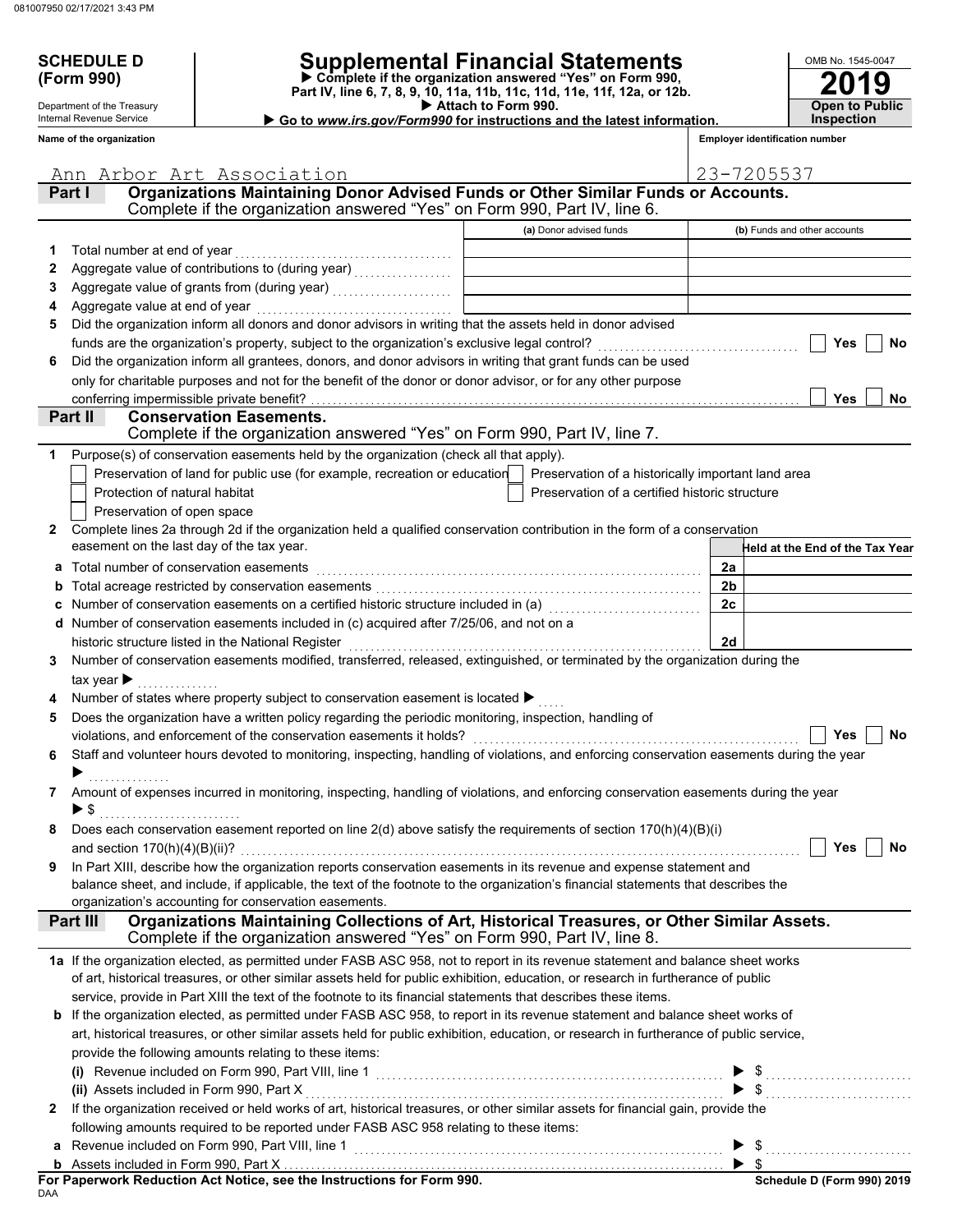Department of the Treasury Internal Revenue Service **Name of the organization**

# **SCHEDULE D Supplemental Financial Statements**

 **Attach to Form 990. (Form 990) Part IV, line 6, 7, 8, 9, 10, 11a, 11b, 11c, 11d, 11e, 11f, 12a, or 12b. Complete if the organization answered "Yes" on Form 990,**

 **Go to** *www.irs.gov/Form990* **for instructions and the latest information.**

**2019** OMB No. 1545-0047 **Open to Public Inspection**

**Employer identification number**

|              | Ann Arbor Art Association                                                                                                                                                                                                                                            |                                                    | 23-7205537                      |
|--------------|----------------------------------------------------------------------------------------------------------------------------------------------------------------------------------------------------------------------------------------------------------------------|----------------------------------------------------|---------------------------------|
| Part I       | Organizations Maintaining Donor Advised Funds or Other Similar Funds or Accounts.                                                                                                                                                                                    |                                                    |                                 |
|              | Complete if the organization answered "Yes" on Form 990, Part IV, line 6.                                                                                                                                                                                            |                                                    |                                 |
|              |                                                                                                                                                                                                                                                                      | (a) Donor advised funds                            | (b) Funds and other accounts    |
| 1            | Total number at end of year                                                                                                                                                                                                                                          |                                                    |                                 |
| 2            |                                                                                                                                                                                                                                                                      |                                                    |                                 |
| З            | Aggregate value of grants from (during year) [11] [11] Aggregate value of grants from (during year)                                                                                                                                                                  |                                                    |                                 |
| 4            | Aggregate value at end of year                                                                                                                                                                                                                                       |                                                    |                                 |
| 5            | Did the organization inform all donors and donor advisors in writing that the assets held in donor advised                                                                                                                                                           |                                                    |                                 |
|              | funds are the organization's property, subject to the organization's exclusive legal control?                                                                                                                                                                        |                                                    | Yes<br>No                       |
| 6            | Did the organization inform all grantees, donors, and donor advisors in writing that grant funds can be used                                                                                                                                                         |                                                    |                                 |
|              | only for charitable purposes and not for the benefit of the donor or donor advisor, or for any other purpose                                                                                                                                                         |                                                    |                                 |
|              | conferring impermissible private benefit?                                                                                                                                                                                                                            |                                                    | <b>Yes</b><br>No.               |
|              | Part II<br><b>Conservation Easements.</b>                                                                                                                                                                                                                            |                                                    |                                 |
|              | Complete if the organization answered "Yes" on Form 990, Part IV, line 7.                                                                                                                                                                                            |                                                    |                                 |
|              | Purpose(s) of conservation easements held by the organization (check all that apply).                                                                                                                                                                                |                                                    |                                 |
|              | Preservation of land for public use (for example, recreation or education                                                                                                                                                                                            | Preservation of a historically important land area |                                 |
|              | Protection of natural habitat                                                                                                                                                                                                                                        | Preservation of a certified historic structure     |                                 |
|              | Preservation of open space                                                                                                                                                                                                                                           |                                                    |                                 |
| 2            | Complete lines 2a through 2d if the organization held a qualified conservation contribution in the form of a conservation                                                                                                                                            |                                                    |                                 |
|              | easement on the last day of the tax year.                                                                                                                                                                                                                            |                                                    | Held at the End of the Tax Year |
| a            | Total number of conservation easements                                                                                                                                                                                                                               |                                                    | 2a                              |
|              |                                                                                                                                                                                                                                                                      |                                                    | 2 <sub>b</sub>                  |
|              | Number of conservation easements on a certified historic structure included in (a)<br>[20]                                                                                                                                                                           |                                                    | 2c                              |
| d            | Number of conservation easements included in (c) acquired after 7/25/06, and not on a                                                                                                                                                                                |                                                    |                                 |
|              | historic structure listed in the National Register                                                                                                                                                                                                                   |                                                    | 2d                              |
| 3            | Number of conservation easements modified, transferred, released, extinguished, or terminated by the organization during the                                                                                                                                         |                                                    |                                 |
|              | tax year $\blacktriangleright$                                                                                                                                                                                                                                       |                                                    |                                 |
|              | Number of states where property subject to conservation easement is located ▶                                                                                                                                                                                        |                                                    |                                 |
| 5            | Does the organization have a written policy regarding the periodic monitoring, inspection, handling of                                                                                                                                                               |                                                    |                                 |
|              | violations, and enforcement of the conservation easements it holds?                                                                                                                                                                                                  |                                                    | Yes<br>No                       |
| 6            | Staff and volunteer hours devoted to monitoring, inspecting, handling of violations, and enforcing conservation easements during the year                                                                                                                            |                                                    |                                 |
|              |                                                                                                                                                                                                                                                                      |                                                    |                                 |
| 7            | Amount of expenses incurred in monitoring, inspecting, handling of violations, and enforcing conservation easements during the year                                                                                                                                  |                                                    |                                 |
|              |                                                                                                                                                                                                                                                                      |                                                    |                                 |
|              | Does each conservation easement reported on line 2(d) above satisfy the requirements of section 170(h)(4)(B)(i)                                                                                                                                                      |                                                    |                                 |
|              |                                                                                                                                                                                                                                                                      |                                                    | $\Box$ Yes $\Box$ No            |
| 9            | In Part XIII, describe how the organization reports conservation easements in its revenue and expense statement and                                                                                                                                                  |                                                    |                                 |
|              | balance sheet, and include, if applicable, the text of the footnote to the organization's financial statements that describes the                                                                                                                                    |                                                    |                                 |
|              | organization's accounting for conservation easements.                                                                                                                                                                                                                |                                                    |                                 |
|              | Organizations Maintaining Collections of Art, Historical Treasures, or Other Similar Assets.<br>Part III<br>Complete if the organization answered "Yes" on Form 990, Part IV, line 8.                                                                                |                                                    |                                 |
|              |                                                                                                                                                                                                                                                                      |                                                    |                                 |
|              | 1a If the organization elected, as permitted under FASB ASC 958, not to report in its revenue statement and balance sheet works<br>of art, historical treasures, or other similar assets held for public exhibition, education, or research in furtherance of public |                                                    |                                 |
|              | service, provide in Part XIII the text of the footnote to its financial statements that describes these items.                                                                                                                                                       |                                                    |                                 |
|              | If the organization elected, as permitted under FASB ASC 958, to report in its revenue statement and balance sheet works of                                                                                                                                          |                                                    |                                 |
|              | art, historical treasures, or other similar assets held for public exhibition, education, or research in furtherance of public service,                                                                                                                              |                                                    |                                 |
|              | provide the following amounts relating to these items:                                                                                                                                                                                                               |                                                    |                                 |
|              |                                                                                                                                                                                                                                                                      |                                                    |                                 |
|              | (i) Revenue included on Form 990, Part VIII, line 1 $\ldots$ $\blacktriangleright$ \$ $\ldots$ $\blacktriangleright$ \$ $\ldots$                                                                                                                                     |                                                    |                                 |
| $\mathbf{z}$ | If the organization received or held works of art, historical treasures, or other similar assets for financial gain, provide the                                                                                                                                     |                                                    |                                 |
|              | following amounts required to be reported under FASB ASC 958 relating to these items:                                                                                                                                                                                |                                                    |                                 |
| a            | Revenue included on Form 990, Part VIII, line 1                                                                                                                                                                                                                      |                                                    |                                 |
|              | Assets included in Form 990, Part X …………………………………………………………………………………… ▶ \$                                                                                                                                                                                            |                                                    |                                 |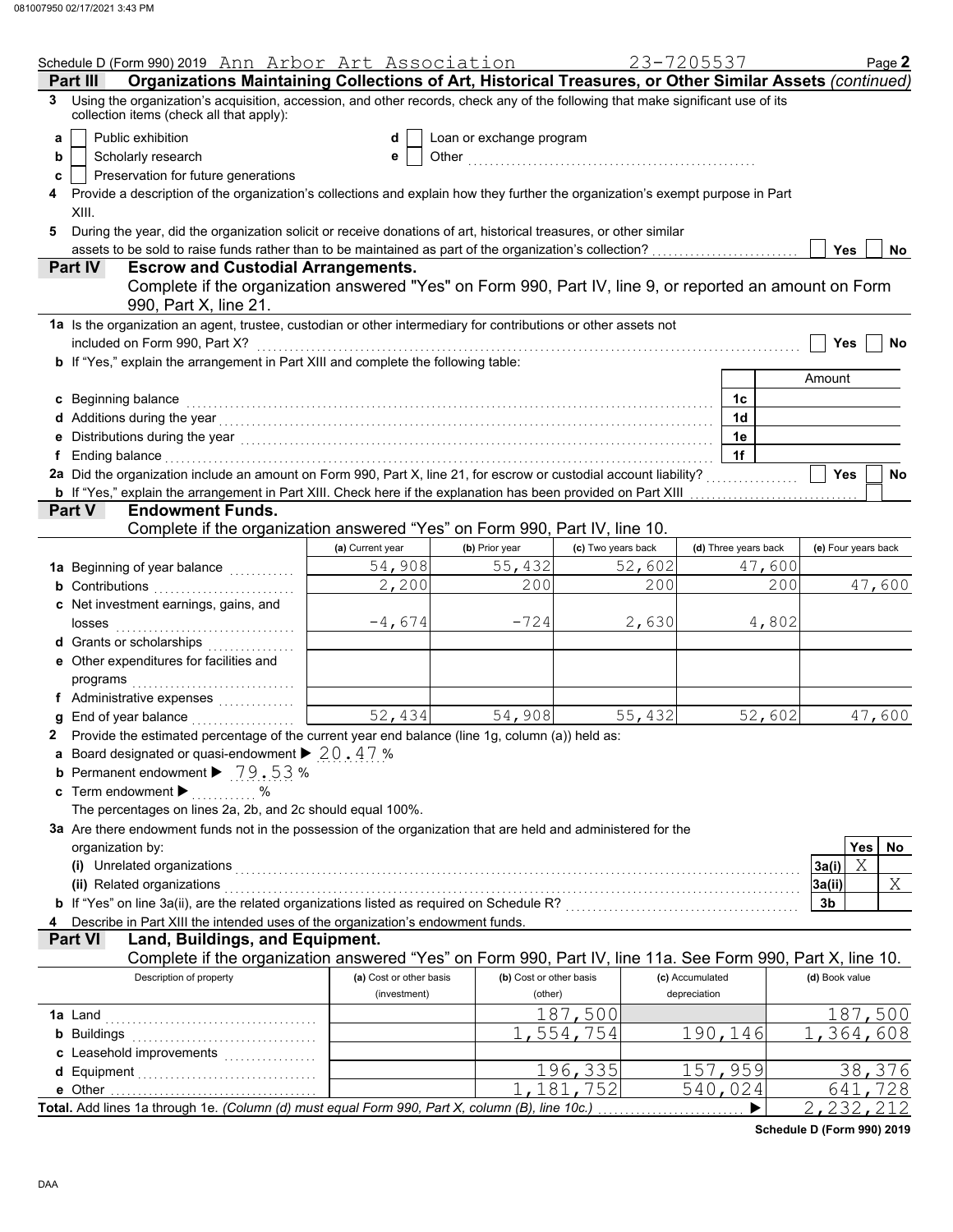|   | Schedule D (Form 990) 2019 Ann Arbor Art Association                                                                                                                                                                           |                         |                          |                    | 23-7205537           | Page 2              |
|---|--------------------------------------------------------------------------------------------------------------------------------------------------------------------------------------------------------------------------------|-------------------------|--------------------------|--------------------|----------------------|---------------------|
|   | Organizations Maintaining Collections of Art, Historical Treasures, or Other Similar Assets (continued)<br>Part III                                                                                                            |                         |                          |                    |                      |                     |
| 3 | Using the organization's acquisition, accession, and other records, check any of the following that make significant use of its<br>collection items (check all that apply):                                                    |                         |                          |                    |                      |                     |
| a | Public exhibition                                                                                                                                                                                                              | d                       | Loan or exchange program |                    |                      |                     |
| b | Scholarly research                                                                                                                                                                                                             | е                       |                          |                    |                      |                     |
| c | Preservation for future generations                                                                                                                                                                                            |                         |                          |                    |                      |                     |
|   | Provide a description of the organization's collections and explain how they further the organization's exempt purpose in Part                                                                                                 |                         |                          |                    |                      |                     |
|   | XIII.                                                                                                                                                                                                                          |                         |                          |                    |                      |                     |
|   |                                                                                                                                                                                                                                |                         |                          |                    |                      |                     |
| 5 | During the year, did the organization solicit or receive donations of art, historical treasures, or other similar                                                                                                              |                         |                          |                    |                      |                     |
|   | assets to be sold to raise funds rather than to be maintained as part of the organization's collection?<br><b>Escrow and Custodial Arrangements.</b>                                                                           |                         |                          |                    |                      | <b>Yes</b><br>No    |
|   | <b>Part IV</b>                                                                                                                                                                                                                 |                         |                          |                    |                      |                     |
|   | Complete if the organization answered "Yes" on Form 990, Part IV, line 9, or reported an amount on Form<br>990, Part X, line 21.                                                                                               |                         |                          |                    |                      |                     |
|   | 1a Is the organization an agent, trustee, custodian or other intermediary for contributions or other assets not                                                                                                                |                         |                          |                    |                      |                     |
|   | included on Form 990, Part X?                                                                                                                                                                                                  |                         |                          |                    |                      | <b>Yes</b><br>No    |
|   | b If "Yes," explain the arrangement in Part XIII and complete the following table:                                                                                                                                             |                         |                          |                    |                      |                     |
|   |                                                                                                                                                                                                                                |                         |                          |                    |                      | Amount              |
|   | c Beginning balance                                                                                                                                                                                                            |                         |                          |                    | 1c                   |                     |
|   | d Additions during the year contact the set of the set of the set of the set of the set of the set of the set of the set of the set of the set of the set of the set of the set of the set of the set of the set of the set of |                         |                          |                    | 1 <sub>d</sub>       |                     |
|   |                                                                                                                                                                                                                                |                         |                          |                    | 1e                   |                     |
|   | Ending balance                                                                                                                                                                                                                 |                         |                          |                    | 1f                   |                     |
|   | 2a Did the organization include an amount on Form 990, Part X, line 21, for escrow or custodial account liability?                                                                                                             |                         |                          |                    |                      | <b>Yes</b><br>No    |
|   |                                                                                                                                                                                                                                |                         |                          |                    |                      |                     |
|   | <b>b</b> If "Yes," explain the arrangement in Part XIII. Check here if the explanation has been provided on Part XIII<br><b>Endowment Funds.</b><br><b>Part V</b>                                                              |                         |                          |                    |                      |                     |
|   | Complete if the organization answered "Yes" on Form 990, Part IV, line 10.                                                                                                                                                     |                         |                          |                    |                      |                     |
|   |                                                                                                                                                                                                                                |                         |                          |                    |                      |                     |
|   |                                                                                                                                                                                                                                | (a) Current year        | (b) Prior year           | (c) Two years back | (d) Three years back | (e) Four years back |
|   | 1a Beginning of year balance                                                                                                                                                                                                   | 54,908                  | 55,432                   | 52,602             | 47,600               |                     |
|   | <b>b</b> Contributions                                                                                                                                                                                                         | 2,200                   | 200                      | 200                | 200                  | 47,600              |
|   | c Net investment earnings, gains, and                                                                                                                                                                                          |                         |                          |                    |                      |                     |
|   | losses                                                                                                                                                                                                                         | $-4,674$                | $-724$                   | 2,630              | 4,802                |                     |
|   | d Grants or scholarships                                                                                                                                                                                                       |                         |                          |                    |                      |                     |
|   | e Other expenditures for facilities and                                                                                                                                                                                        |                         |                          |                    |                      |                     |
|   | programs                                                                                                                                                                                                                       |                         |                          |                    |                      |                     |
|   | f Administrative expenses                                                                                                                                                                                                      |                         |                          |                    |                      |                     |
|   | End of year balance                                                                                                                                                                                                            | $\overline{52, 434}$    | 54,908                   | 55,432             | 52,602               | 47,600              |
|   | Provide the estimated percentage of the current year end balance (line 1g, column (a)) held as:                                                                                                                                |                         |                          |                    |                      |                     |
|   | a Board designated or quasi-endowment $\blacktriangleright$ 20, 47%                                                                                                                                                            |                         |                          |                    |                      |                     |
|   | <b>b</b> Permanent endowment $\triangleright$ 79.53 %                                                                                                                                                                          |                         |                          |                    |                      |                     |
|   | c Term endowment $\blacktriangleright$<br>%                                                                                                                                                                                    |                         |                          |                    |                      |                     |
|   | The percentages on lines 2a, 2b, and 2c should equal 100%.                                                                                                                                                                     |                         |                          |                    |                      |                     |
|   | 3a Are there endowment funds not in the possession of the organization that are held and administered for the                                                                                                                  |                         |                          |                    |                      |                     |
|   |                                                                                                                                                                                                                                |                         |                          |                    |                      | <b>Yes</b>          |
|   | organization by:                                                                                                                                                                                                               |                         |                          |                    |                      | No.                 |
|   | (i) Unrelated organizations                                                                                                                                                                                                    |                         |                          |                    |                      | X<br>3a(i)          |
|   | (ii) Related organizations                                                                                                                                                                                                     |                         |                          |                    |                      | Χ<br>3a(ii)         |
|   | b If "Yes" on line 3a(ii), are the related organizations listed as required on Schedule R? [[[[[[[[[[[[[[[[[[[                                                                                                                 |                         |                          |                    |                      | 3b                  |
|   | Describe in Part XIII the intended uses of the organization's endowment funds.                                                                                                                                                 |                         |                          |                    |                      |                     |
|   | <b>Part VI</b><br>Land, Buildings, and Equipment.                                                                                                                                                                              |                         |                          |                    |                      |                     |
|   | Complete if the organization answered "Yes" on Form 990, Part IV, line 11a. See Form 990, Part X, line 10.                                                                                                                     |                         |                          |                    |                      |                     |
|   | Description of property                                                                                                                                                                                                        | (a) Cost or other basis | (b) Cost or other basis  |                    | (c) Accumulated      | (d) Book value      |
|   |                                                                                                                                                                                                                                | (investment)            | (other)                  |                    | depreciation         |                     |
|   | 1a Land                                                                                                                                                                                                                        |                         |                          | 187,500            |                      | 187,500             |
|   | <b>b</b> Buildings                                                                                                                                                                                                             |                         |                          | 1,554,754          | 190,146              | 1,364,608           |
|   | c Leasehold improvements                                                                                                                                                                                                       |                         |                          |                    |                      |                     |
|   | d Equipment                                                                                                                                                                                                                    |                         |                          | <u> 196,335</u>    | 157,959              | 38,376              |
|   | e Other                                                                                                                                                                                                                        |                         |                          | 1,181,752          | 540,024              | 641,728             |
|   | Total. Add lines 1a through 1e. (Column (d) must equal Form 990, Part X, column (B), line 10c.)                                                                                                                                |                         |                          |                    |                      | 2,232,212           |
|   |                                                                                                                                                                                                                                |                         |                          |                    |                      |                     |

**Schedule D (Form 990) 2019**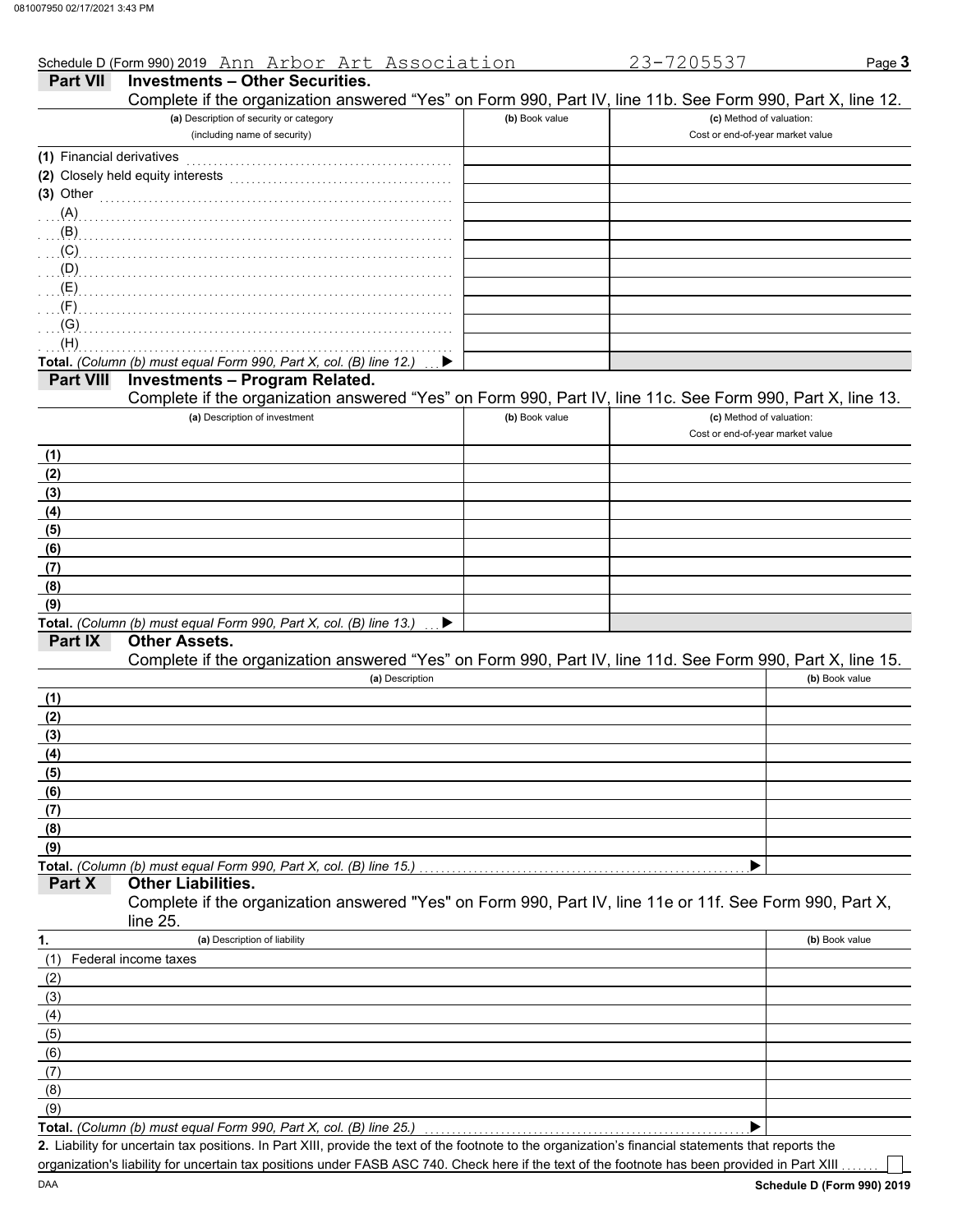|                           | Schedule D (Form 990) 2019 Ann Arbor Art Association                                                       |                | 23-7205537                       | Page 3         |
|---------------------------|------------------------------------------------------------------------------------------------------------|----------------|----------------------------------|----------------|
| <b>Part VII</b>           | <b>Investments - Other Securities.</b>                                                                     |                |                                  |                |
|                           | Complete if the organization answered "Yes" on Form 990, Part IV, line 11b. See Form 990, Part X, line 12. |                |                                  |                |
|                           | (a) Description of security or category                                                                    | (b) Book value | (c) Method of valuation:         |                |
|                           | (including name of security)                                                                               |                | Cost or end-of-year market value |                |
| (1) Financial derivatives |                                                                                                            |                |                                  |                |
|                           | (2) Closely held equity interests                                                                          |                |                                  |                |
| (3) Other                 |                                                                                                            |                |                                  |                |
| (A)                       |                                                                                                            |                |                                  |                |
| (B)                       |                                                                                                            |                |                                  |                |
| (C)                       |                                                                                                            |                |                                  |                |
| (D)                       |                                                                                                            |                |                                  |                |
| (E)                       |                                                                                                            |                |                                  |                |
| (F)                       |                                                                                                            |                |                                  |                |
| (G)                       |                                                                                                            |                |                                  |                |
| (H)                       |                                                                                                            |                |                                  |                |
|                           | Total. (Column (b) must equal Form 990, Part X, col. (B) line 12.)                                         |                |                                  |                |
| <b>Part VIII</b>          | <b>Investments - Program Related.</b>                                                                      |                |                                  |                |
|                           | Complete if the organization answered "Yes" on Form 990, Part IV, line 11c. See Form 990, Part X, line 13. |                |                                  |                |
|                           | (a) Description of investment                                                                              | (b) Book value | (c) Method of valuation:         |                |
|                           |                                                                                                            |                | Cost or end-of-year market value |                |
| (1)                       |                                                                                                            |                |                                  |                |
| (2)                       |                                                                                                            |                |                                  |                |
| (3)                       |                                                                                                            |                |                                  |                |
| (4)                       |                                                                                                            |                |                                  |                |
| (5)                       |                                                                                                            |                |                                  |                |
| (6)                       |                                                                                                            |                |                                  |                |
| (7)                       |                                                                                                            |                |                                  |                |
| (8)                       |                                                                                                            |                |                                  |                |
| (9)                       |                                                                                                            |                |                                  |                |
|                           | Total. (Column (b) must equal Form 990, Part X, col. (B) line 13.)                                         |                |                                  |                |
| Part IX                   | <b>Other Assets.</b>                                                                                       |                |                                  |                |
|                           | Complete if the organization answered "Yes" on Form 990, Part IV, line 11d. See Form 990, Part X, line 15. |                |                                  |                |
|                           | (a) Description                                                                                            |                |                                  | (b) Book value |
| (1)                       |                                                                                                            |                |                                  |                |
| (2)                       |                                                                                                            |                |                                  |                |
| (3)                       |                                                                                                            |                |                                  |                |
| (4)                       |                                                                                                            |                |                                  |                |
| (5)                       |                                                                                                            |                |                                  |                |
| (6)                       |                                                                                                            |                |                                  |                |
| (7)                       |                                                                                                            |                |                                  |                |
| (8)                       |                                                                                                            |                |                                  |                |
| (9)                       |                                                                                                            |                |                                  |                |
|                           | Total. (Column (b) must equal Form 990, Part X, col. (B) line 15.)                                         |                |                                  |                |
| Part X                    | <b>Other Liabilities.</b>                                                                                  |                |                                  |                |
|                           | Complete if the organization answered "Yes" on Form 990, Part IV, line 11e or 11f. See Form 990, Part X,   |                |                                  |                |
|                           | line 25.                                                                                                   |                |                                  |                |
| 1.                        | (a) Description of liability                                                                               |                |                                  | (b) Book value |
| (1)                       | Federal income taxes                                                                                       |                |                                  |                |
| (2)                       |                                                                                                            |                |                                  |                |
| (3)                       |                                                                                                            |                |                                  |                |
| (4)                       |                                                                                                            |                |                                  |                |
| (5)                       |                                                                                                            |                |                                  |                |
| (6)                       |                                                                                                            |                |                                  |                |
| (7)                       |                                                                                                            |                |                                  |                |
|                           |                                                                                                            |                |                                  |                |
| (8)<br>(9)                |                                                                                                            |                |                                  |                |
|                           | Total. (Column (b) must equal Form 990, Part X, col. (B) line 25.)                                         |                | ▶                                |                |
|                           |                                                                                                            |                |                                  |                |

Liability for uncertain tax positions. In Part XIII, provide the text of the footnote to the organization's financial statements that reports the **2.** organization's liability for uncertain tax positions under FASB ASC 740. Check here if the text of the footnote has been provided in Part XIII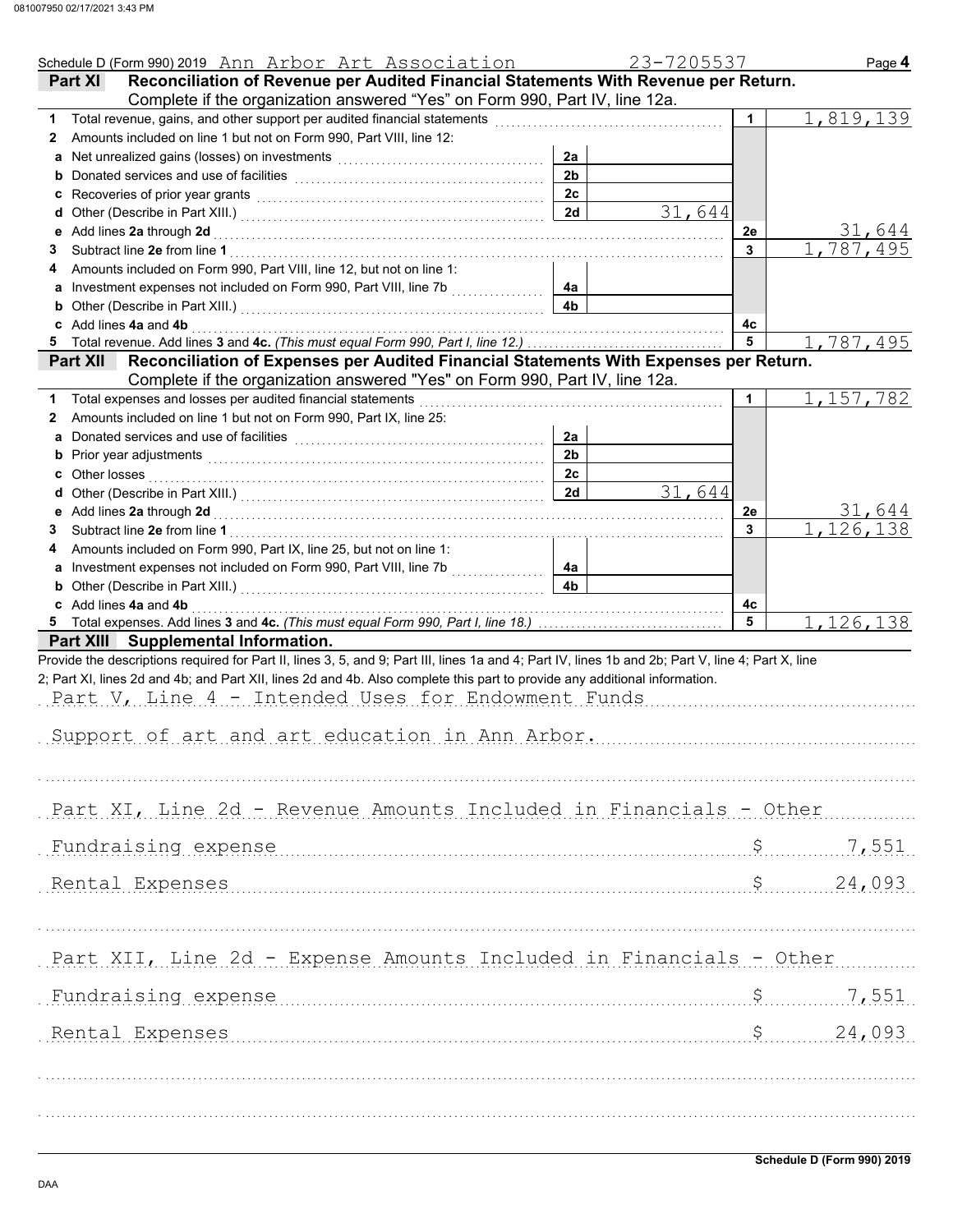|        | Schedule D (Form 990) 2019 Ann Arbor Art Association                                                                                                                                                                                                                                                                                                                                     |                      | 23-7205537 |                | Page 4                        |
|--------|------------------------------------------------------------------------------------------------------------------------------------------------------------------------------------------------------------------------------------------------------------------------------------------------------------------------------------------------------------------------------------------|----------------------|------------|----------------|-------------------------------|
|        | Reconciliation of Revenue per Audited Financial Statements With Revenue per Return.<br><b>Part XI</b>                                                                                                                                                                                                                                                                                    |                      |            |                |                               |
|        | Complete if the organization answered "Yes" on Form 990, Part IV, line 12a.                                                                                                                                                                                                                                                                                                              |                      |            |                |                               |
| 1.     | Total revenue, gains, and other support per audited financial statements                                                                                                                                                                                                                                                                                                                 |                      |            | 1              | 1,819,139                     |
| 2      | Amounts included on line 1 but not on Form 990, Part VIII, line 12:                                                                                                                                                                                                                                                                                                                      |                      |            |                |                               |
| a      |                                                                                                                                                                                                                                                                                                                                                                                          | 2a                   |            |                |                               |
|        |                                                                                                                                                                                                                                                                                                                                                                                          | 2 <sub>b</sub>       |            |                |                               |
|        | c Recoveries of prior year grants [11] Recovering the Recoveries of prior year grants [11] Recoveries of prior                                                                                                                                                                                                                                                                           | 2c                   |            |                |                               |
|        |                                                                                                                                                                                                                                                                                                                                                                                          | 2d                   | 31,644     |                |                               |
| е      | Add lines 2a through 2d [[[[[[[[[[[[[[[[[[[[[[[[[]]]]]]]]]] Add lines 2a through 2d                                                                                                                                                                                                                                                                                                      |                      |            | 2е             | 31,644                        |
| 3      |                                                                                                                                                                                                                                                                                                                                                                                          |                      |            | 3              | 1,787,495                     |
| 4      | Amounts included on Form 990, Part VIII, line 12, but not on line 1:                                                                                                                                                                                                                                                                                                                     |                      |            |                |                               |
|        |                                                                                                                                                                                                                                                                                                                                                                                          | 4а                   |            |                |                               |
|        | <b>b</b> Other (Describe in Part XIII.) <b>CONSIDENT DESCRIPTION DESCRIPTION DESCRIPTION DESCRIPTION DESCRIPTION DESCRIPTION DESCRIPTION DESCRIPTION DESCRIPTION DESCRIPTION DESCRIPTION DESCRIPTION DESCRI</b>                                                                                                                                                                          | 4 <sub>b</sub>       |            |                |                               |
|        | c Add lines 4a and 4b                                                                                                                                                                                                                                                                                                                                                                    |                      |            | 4с<br>5        |                               |
|        |                                                                                                                                                                                                                                                                                                                                                                                          |                      |            |                | 1,787,495                     |
|        | Part XII Reconciliation of Expenses per Audited Financial Statements With Expenses per Return.                                                                                                                                                                                                                                                                                           |                      |            |                |                               |
|        | Complete if the organization answered "Yes" on Form 990, Part IV, line 12a.                                                                                                                                                                                                                                                                                                              |                      |            |                |                               |
|        | Total expenses and losses per audited financial statements                                                                                                                                                                                                                                                                                                                               |                      |            | 1              | 1, 157, 782                   |
| 2      | Amounts included on line 1 but not on Form 990, Part IX, line 25:                                                                                                                                                                                                                                                                                                                        |                      |            |                |                               |
| a      | Donated services and use of facilities [[11] content to the service of the service of facilities [[11] content to the service of the service of the service of the service of the service of the service of the service of the                                                                                                                                                           | 2a<br>2 <sub>b</sub> |            |                |                               |
|        |                                                                                                                                                                                                                                                                                                                                                                                          | 2c                   |            |                |                               |
|        | <b>c</b> Other losses                                                                                                                                                                                                                                                                                                                                                                    | 2d                   | 31,644     |                |                               |
|        |                                                                                                                                                                                                                                                                                                                                                                                          |                      |            |                |                               |
| е      | Add lines 2a through 2d [11, 12] Add lines 2a through 2d [11, 12] Add lines 2a through 2d [11, 12] Add lines 2                                                                                                                                                                                                                                                                           |                      |            | 2e<br>3        | 31,644<br>.126,138            |
| 3<br>4 | Amounts included on Form 990, Part IX, line 25, but not on line 1:                                                                                                                                                                                                                                                                                                                       |                      |            |                |                               |
|        |                                                                                                                                                                                                                                                                                                                                                                                          | 4a                   |            |                |                               |
|        |                                                                                                                                                                                                                                                                                                                                                                                          | 4b                   |            |                |                               |
|        | c Add lines 4a and 4b                                                                                                                                                                                                                                                                                                                                                                    |                      |            | 4с             |                               |
|        |                                                                                                                                                                                                                                                                                                                                                                                          |                      |            | 5              | 1,126,138                     |
|        | Part XIII Supplemental Information.                                                                                                                                                                                                                                                                                                                                                      |                      |            |                |                               |
|        | Provide the descriptions required for Part II, lines 3, 5, and 9; Part III, lines 1a and 4; Part IV, lines 1b and 2b; Part V, line 4; Part X, line<br>2; Part XI, lines 2d and 4b; and Part XII, lines 2d and 4b. Also complete this part to provide any additional information.<br>Part V, Line 4 - Intended Uses for Endowment Funds<br>Support of art and art education in Ann Arbor. |                      |            |                |                               |
|        | Part XI, Line 2d - Revenue Amounts Included in Financials - Other                                                                                                                                                                                                                                                                                                                        |                      |            |                |                               |
|        | Fundraising expense                                                                                                                                                                                                                                                                                                                                                                      |                      |            | $\mathsf{S}$   | 7,551                         |
|        | Rental Expenses                                                                                                                                                                                                                                                                                                                                                                          |                      |            |                | $\ddot{\mathsf{S}}$<br>24,093 |
|        |                                                                                                                                                                                                                                                                                                                                                                                          |                      |            |                |                               |
|        | Part XII, Line 2d - Expense Amounts Included in Financials - Other                                                                                                                                                                                                                                                                                                                       |                      |            |                |                               |
|        | Fundraising expense                                                                                                                                                                                                                                                                                                                                                                      |                      |            | $\mathsf{S}^-$ | 7,551                         |
|        | Rental Expenses                                                                                                                                                                                                                                                                                                                                                                          |                      |            | \$             | 24,093                        |
|        |                                                                                                                                                                                                                                                                                                                                                                                          |                      |            |                |                               |
|        |                                                                                                                                                                                                                                                                                                                                                                                          |                      |            |                |                               |
|        |                                                                                                                                                                                                                                                                                                                                                                                          |                      |            |                |                               |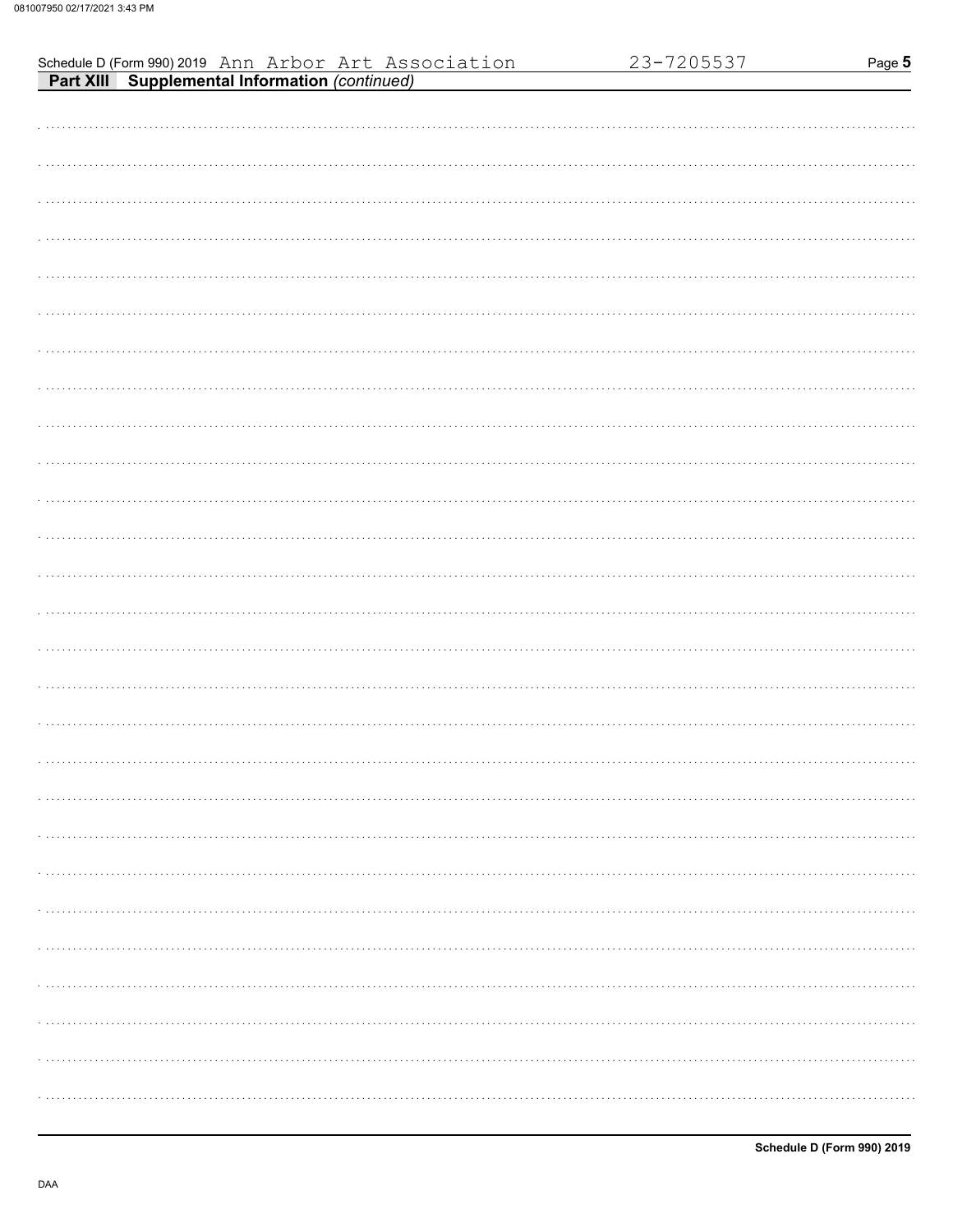|                                                                                                               | 23-7205537 | Page 5 |
|---------------------------------------------------------------------------------------------------------------|------------|--------|
| Schedule D (Form 990) 2019 Ann Arbor Art Association<br><b>Part XIII Supplemental Information</b> (continued) |            |        |
|                                                                                                               |            |        |
|                                                                                                               |            |        |
|                                                                                                               |            |        |
|                                                                                                               |            |        |
|                                                                                                               |            |        |
|                                                                                                               |            |        |
|                                                                                                               |            |        |
|                                                                                                               |            |        |
|                                                                                                               |            |        |
|                                                                                                               |            |        |
|                                                                                                               |            |        |
|                                                                                                               |            |        |
|                                                                                                               |            |        |
|                                                                                                               |            |        |
|                                                                                                               |            |        |
|                                                                                                               |            |        |
|                                                                                                               |            |        |
|                                                                                                               |            |        |
|                                                                                                               |            |        |
|                                                                                                               |            |        |
|                                                                                                               |            |        |
|                                                                                                               |            |        |
|                                                                                                               |            |        |
|                                                                                                               |            |        |
|                                                                                                               |            |        |
|                                                                                                               |            |        |
|                                                                                                               |            |        |
|                                                                                                               |            |        |
|                                                                                                               |            |        |
|                                                                                                               |            |        |
|                                                                                                               |            |        |
|                                                                                                               |            |        |
|                                                                                                               |            |        |
|                                                                                                               |            |        |
|                                                                                                               |            |        |
|                                                                                                               |            |        |
|                                                                                                               |            |        |
|                                                                                                               |            |        |
|                                                                                                               |            |        |
|                                                                                                               |            |        |
|                                                                                                               |            |        |
|                                                                                                               |            |        |
|                                                                                                               |            |        |
|                                                                                                               |            |        |
|                                                                                                               |            |        |
|                                                                                                               |            |        |
|                                                                                                               |            |        |
|                                                                                                               |            |        |
|                                                                                                               |            |        |
|                                                                                                               |            |        |
|                                                                                                               |            |        |
|                                                                                                               |            |        |
|                                                                                                               |            |        |
|                                                                                                               |            |        |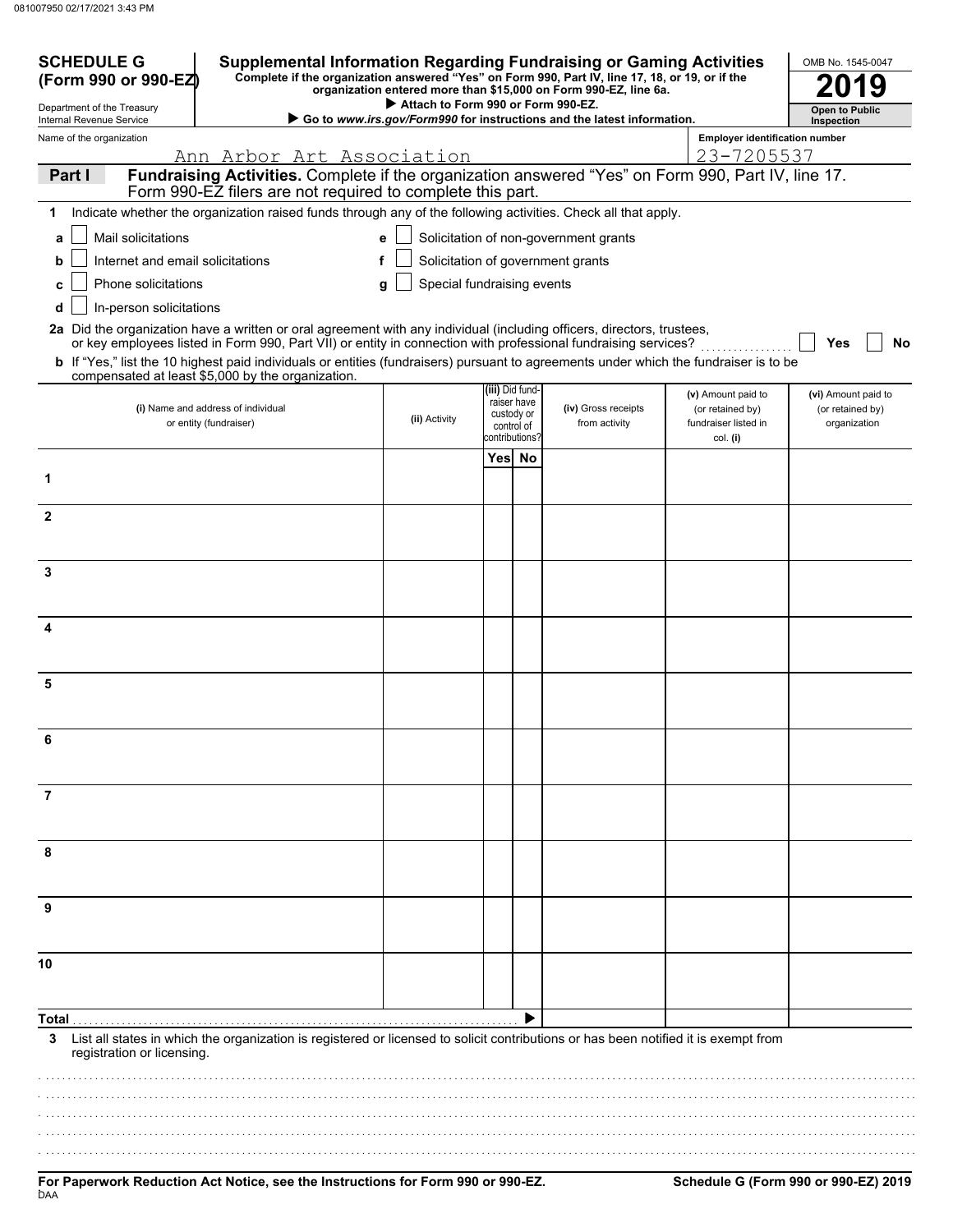| <b>SCHEDULE G</b><br>(Form 990 or 990-EZ)                                                                                                                      | <b>Supplemental Information Regarding Fundraising or Gaming Activities</b><br>Complete if the organization answered "Yes" on Form 990, Part IV, line 17, 18, or 19, or if the                                                                                                                                                                                                                                                                 | OMB No. 1545-0047                  |        |                                                            |                                                                        |                                                                |                                                         |
|----------------------------------------------------------------------------------------------------------------------------------------------------------------|-----------------------------------------------------------------------------------------------------------------------------------------------------------------------------------------------------------------------------------------------------------------------------------------------------------------------------------------------------------------------------------------------------------------------------------------------|------------------------------------|--------|------------------------------------------------------------|------------------------------------------------------------------------|----------------------------------------------------------------|---------------------------------------------------------|
| Department of the Treasury<br>Internal Revenue Service                                                                                                         |                                                                                                                                                                                                                                                                                                                                                                                                                                               | Attach to Form 990 or Form 990-EZ. |        |                                                            | Go to www.irs.gov/Form990 for instructions and the latest information. |                                                                | <b>Open to Public</b><br>Inspection                     |
| Name of the organization                                                                                                                                       |                                                                                                                                                                                                                                                                                                                                                                                                                                               |                                    |        |                                                            |                                                                        | <b>Employer identification number</b>                          |                                                         |
| 23-7205537<br><u>Ann Arbor Art Association</u><br>Fundraising Activities. Complete if the organization answered "Yes" on Form 990, Part IV, line 17.<br>Part I |                                                                                                                                                                                                                                                                                                                                                                                                                                               |                                    |        |                                                            |                                                                        |                                                                |                                                         |
|                                                                                                                                                                | Form 990-EZ filers are not required to complete this part.                                                                                                                                                                                                                                                                                                                                                                                    |                                    |        |                                                            |                                                                        |                                                                |                                                         |
| 1                                                                                                                                                              | Indicate whether the organization raised funds through any of the following activities. Check all that apply.                                                                                                                                                                                                                                                                                                                                 |                                    |        |                                                            |                                                                        |                                                                |                                                         |
| Mail solicitations<br>a                                                                                                                                        |                                                                                                                                                                                                                                                                                                                                                                                                                                               |                                    |        |                                                            | Solicitation of non-government grants                                  |                                                                |                                                         |
| Internet and email solicitations<br>b                                                                                                                          | f                                                                                                                                                                                                                                                                                                                                                                                                                                             |                                    |        |                                                            | Solicitation of government grants                                      |                                                                |                                                         |
| Phone solicitations<br>c                                                                                                                                       |                                                                                                                                                                                                                                                                                                                                                                                                                                               | Special fundraising events         |        |                                                            |                                                                        |                                                                |                                                         |
| In-person solicitations<br>d                                                                                                                                   |                                                                                                                                                                                                                                                                                                                                                                                                                                               |                                    |        |                                                            |                                                                        |                                                                |                                                         |
|                                                                                                                                                                | 2a Did the organization have a written or oral agreement with any individual (including officers, directors, trustees,<br>or key employees listed in Form 990, Part VII) or entity in connection with professional fundraising services?<br><b>b</b> If "Yes," list the 10 highest paid individuals or entities (fundraisers) pursuant to agreements under which the fundraiser is to be<br>compensated at least \$5,000 by the organization. |                                    |        |                                                            |                                                                        |                                                                | No<br>Yes                                               |
|                                                                                                                                                                | (i) Name and address of individual<br>or entity (fundraiser)                                                                                                                                                                                                                                                                                                                                                                                  | (ii) Activity                      |        | (iii) Did fund-<br>raiser have<br>custody or<br>control of | (iv) Gross receipts<br>from activity                                   | (v) Amount paid to<br>(or retained by)<br>fundraiser listed in | (vi) Amount paid to<br>(or retained by)<br>organization |
|                                                                                                                                                                |                                                                                                                                                                                                                                                                                                                                                                                                                                               |                                    | Yes No | ≳ontributions                                              |                                                                        | col. (i)                                                       |                                                         |
| 1                                                                                                                                                              |                                                                                                                                                                                                                                                                                                                                                                                                                                               |                                    |        |                                                            |                                                                        |                                                                |                                                         |
| $\mathbf{2}$                                                                                                                                                   |                                                                                                                                                                                                                                                                                                                                                                                                                                               |                                    |        |                                                            |                                                                        |                                                                |                                                         |
| 3                                                                                                                                                              |                                                                                                                                                                                                                                                                                                                                                                                                                                               |                                    |        |                                                            |                                                                        |                                                                |                                                         |
| 4                                                                                                                                                              |                                                                                                                                                                                                                                                                                                                                                                                                                                               |                                    |        |                                                            |                                                                        |                                                                |                                                         |
| 5                                                                                                                                                              |                                                                                                                                                                                                                                                                                                                                                                                                                                               |                                    |        |                                                            |                                                                        |                                                                |                                                         |
|                                                                                                                                                                |                                                                                                                                                                                                                                                                                                                                                                                                                                               |                                    |        |                                                            |                                                                        |                                                                |                                                         |
| 6                                                                                                                                                              |                                                                                                                                                                                                                                                                                                                                                                                                                                               |                                    |        |                                                            |                                                                        |                                                                |                                                         |
| $\overline{7}$                                                                                                                                                 |                                                                                                                                                                                                                                                                                                                                                                                                                                               |                                    |        |                                                            |                                                                        |                                                                |                                                         |
| 8                                                                                                                                                              |                                                                                                                                                                                                                                                                                                                                                                                                                                               |                                    |        |                                                            |                                                                        |                                                                |                                                         |
| 9                                                                                                                                                              |                                                                                                                                                                                                                                                                                                                                                                                                                                               |                                    |        |                                                            |                                                                        |                                                                |                                                         |
| 10                                                                                                                                                             |                                                                                                                                                                                                                                                                                                                                                                                                                                               |                                    |        |                                                            |                                                                        |                                                                |                                                         |
| Total                                                                                                                                                          |                                                                                                                                                                                                                                                                                                                                                                                                                                               |                                    |        |                                                            |                                                                        |                                                                |                                                         |
| 3<br>registration or licensing.                                                                                                                                | List all states in which the organization is registered or licensed to solicit contributions or has been notified it is exempt from                                                                                                                                                                                                                                                                                                           |                                    |        |                                                            |                                                                        |                                                                |                                                         |
|                                                                                                                                                                |                                                                                                                                                                                                                                                                                                                                                                                                                                               |                                    |        |                                                            |                                                                        |                                                                |                                                         |
|                                                                                                                                                                |                                                                                                                                                                                                                                                                                                                                                                                                                                               |                                    |        |                                                            |                                                                        |                                                                |                                                         |
|                                                                                                                                                                |                                                                                                                                                                                                                                                                                                                                                                                                                                               |                                    |        |                                                            |                                                                        |                                                                |                                                         |
|                                                                                                                                                                |                                                                                                                                                                                                                                                                                                                                                                                                                                               |                                    |        |                                                            |                                                                        |                                                                |                                                         |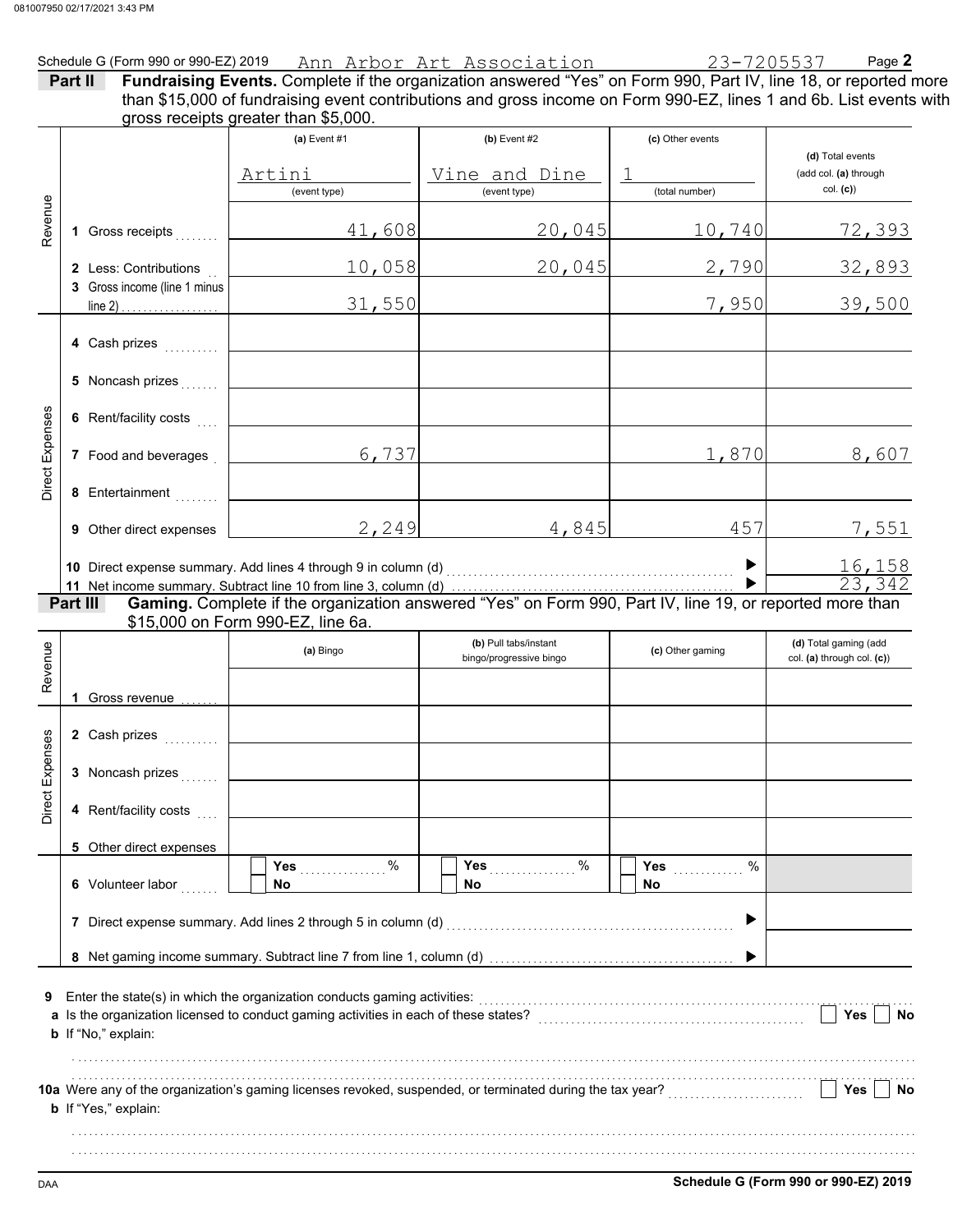| Part II |                                                       |                                                                          |                                                                                                                                   |                           |                                   |
|---------|-------------------------------------------------------|--------------------------------------------------------------------------|-----------------------------------------------------------------------------------------------------------------------------------|---------------------------|-----------------------------------|
|         |                                                       | gross receipts greater than \$5,000.<br>$(a)$ Event #1                   | $(b)$ Event #2                                                                                                                    | (c) Other events          | (d) Total events                  |
|         |                                                       | Artini<br>(event type)                                                   | <u>Vine and Dine</u><br>(event type)                                                                                              | $\perp$<br>(total number) | (add col. (a) through<br>col. (c) |
|         | 1 Gross receipts                                      | 41,608                                                                   | 20,045                                                                                                                            | 10,740                    | <u>72,393</u>                     |
|         | 2 Less: Contributions<br>3 Gross income (line 1 minus |                                                                          | 20,045<br>10,058                                                                                                                  | 2,790                     | 32,893                            |
|         | $line 2)$ .                                           | 31,550                                                                   |                                                                                                                                   | 7,950                     | 39,500                            |
|         | 4 Cash prizes                                         |                                                                          |                                                                                                                                   |                           |                                   |
|         | 5 Noncash prizes                                      |                                                                          |                                                                                                                                   |                           |                                   |
|         | 6 Rent/facility costs                                 |                                                                          |                                                                                                                                   |                           |                                   |
|         | 7 Food and beverages                                  | 6,737                                                                    |                                                                                                                                   |                           | 1,870<br>8,607                    |
|         | 8 Entertainment                                       |                                                                          |                                                                                                                                   |                           |                                   |
|         | 9 Other direct expenses                               |                                                                          | $2,249$ $4,845$                                                                                                                   | 457                       | <u>7,551</u>                      |
|         |                                                       |                                                                          |                                                                                                                                   |                           |                                   |
|         |                                                       |                                                                          |                                                                                                                                   | ▶                         | $\frac{16,158}{23,342}$           |
|         | Part III                                              | \$15,000 on Form 990-EZ, line 6a.                                        | Gaming. Complete if the organization answered "Yes" on Form 990, Part IV, line 19, or reported more than<br>(b) Pull tabs/instant |                           | (d) Total gaming (add             |
|         |                                                       | (a) Bingo                                                                | bingo/progressive bingo                                                                                                           | (c) Other gaming          | col. (a) through col. (c))        |
|         | 1 Gross revenue                                       |                                                                          |                                                                                                                                   |                           |                                   |
|         | 2 Cash prizes<br>.                                    |                                                                          |                                                                                                                                   |                           |                                   |
|         | 3 Noncash prizes                                      |                                                                          |                                                                                                                                   |                           |                                   |
|         | 4 Rent/facility costs                                 |                                                                          |                                                                                                                                   |                           |                                   |
|         | 5 Other direct expenses                               |                                                                          |                                                                                                                                   |                           |                                   |
|         | 6 Volunteer labor                                     | %<br><b>Yes</b><br>No                                                    | %<br><b>Yes</b><br>No.                                                                                                            | %<br><b>Yes</b><br>No     |                                   |
|         |                                                       |                                                                          | 7 Direct expense summary. Add lines 2 through 5 in column (d) [11] [21] Direct expenses summary.                                  |                           |                                   |
|         |                                                       |                                                                          |                                                                                                                                   |                           |                                   |
|         | b If "No," explain:                                   | Enter the state(s) in which the organization conducts gaming activities: |                                                                                                                                   |                           | <b>Yes</b><br>No                  |
|         |                                                       |                                                                          |                                                                                                                                   |                           | Yes<br>No                         |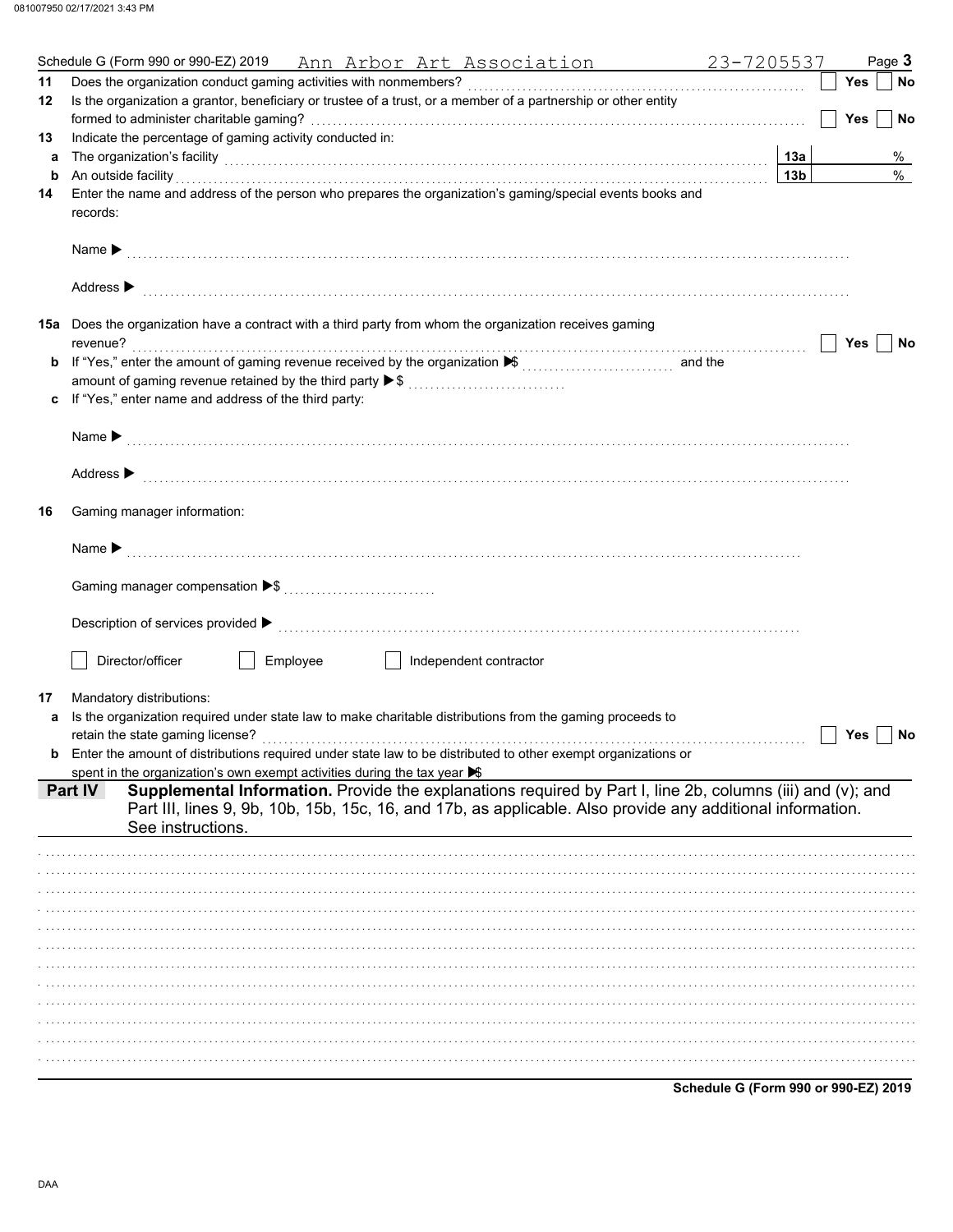|    | 23-7205537<br>Schedule G (Form 990 or 990-EZ) 2019 Ann Arbor Art Association                                                                                                                                                                             |                 | Page 3           |
|----|----------------------------------------------------------------------------------------------------------------------------------------------------------------------------------------------------------------------------------------------------------|-----------------|------------------|
| 11 |                                                                                                                                                                                                                                                          |                 | Yes<br><b>No</b> |
| 12 | Is the organization a grantor, beneficiary or trustee of a trust, or a member of a partnership or other entity                                                                                                                                           |                 |                  |
|    |                                                                                                                                                                                                                                                          |                 | <b>Yes</b><br>No |
| 13 | Indicate the percentage of gaming activity conducted in:                                                                                                                                                                                                 |                 |                  |
| a  | The organization's facility <b>contained a contained a contained a contained a contained a contained a contained a</b>                                                                                                                                   | 13a             | %                |
| b  | An outside facility encourance and account of the contract of the contract of the contract of the contract of                                                                                                                                            | 13 <sub>b</sub> | $\%$             |
| 14 | Enter the name and address of the person who prepares the organization's gaming/special events books and<br>records:                                                                                                                                     |                 |                  |
|    |                                                                                                                                                                                                                                                          |                 |                  |
|    | Address $\blacktriangleright$                                                                                                                                                                                                                            |                 |                  |
|    | 15a Does the organization have a contract with a third party from whom the organization receives gaming                                                                                                                                                  |                 | Yes<br>No        |
|    |                                                                                                                                                                                                                                                          |                 |                  |
|    | amount of gaming revenue retained by the third party ▶ \$                                                                                                                                                                                                |                 |                  |
| c  | If "Yes," enter name and address of the third party:                                                                                                                                                                                                     |                 |                  |
|    |                                                                                                                                                                                                                                                          |                 |                  |
|    |                                                                                                                                                                                                                                                          |                 |                  |
|    | Address $\blacktriangleright$                                                                                                                                                                                                                            |                 |                  |
| 16 | Gaming manager information:                                                                                                                                                                                                                              |                 |                  |
|    |                                                                                                                                                                                                                                                          |                 |                  |
|    |                                                                                                                                                                                                                                                          |                 |                  |
|    |                                                                                                                                                                                                                                                          |                 |                  |
|    | Director/officer<br>Employee<br>Independent contractor<br>and the state of the state                                                                                                                                                                     |                 |                  |
| 17 | Mandatory distributions:                                                                                                                                                                                                                                 |                 |                  |
| a  | Is the organization required under state law to make charitable distributions from the gaming proceeds to                                                                                                                                                |                 |                  |
|    |                                                                                                                                                                                                                                                          |                 | Yes<br>No        |
| b  | Enter the amount of distributions required under state law to be distributed to other exempt organizations or                                                                                                                                            |                 |                  |
|    | spent in the organization's own exempt activities during the tax year $\blacktriangleright$                                                                                                                                                              |                 |                  |
|    | Supplemental Information. Provide the explanations required by Part I, line 2b, columns (iii) and (v); and<br>Part IV<br>Part III, lines 9, 9b, 10b, 15b, 15c, 16, and 17b, as applicable. Also provide any additional information.<br>See instructions. |                 |                  |
|    |                                                                                                                                                                                                                                                          |                 |                  |
|    |                                                                                                                                                                                                                                                          |                 |                  |
|    |                                                                                                                                                                                                                                                          |                 |                  |
|    |                                                                                                                                                                                                                                                          |                 |                  |
|    |                                                                                                                                                                                                                                                          |                 |                  |
|    |                                                                                                                                                                                                                                                          |                 |                  |
|    |                                                                                                                                                                                                                                                          |                 |                  |
|    |                                                                                                                                                                                                                                                          |                 |                  |
|    |                                                                                                                                                                                                                                                          |                 |                  |
|    |                                                                                                                                                                                                                                                          |                 |                  |
|    |                                                                                                                                                                                                                                                          |                 |                  |
|    | Schedule G (Form 990 or 990-EZ) 2019                                                                                                                                                                                                                     |                 |                  |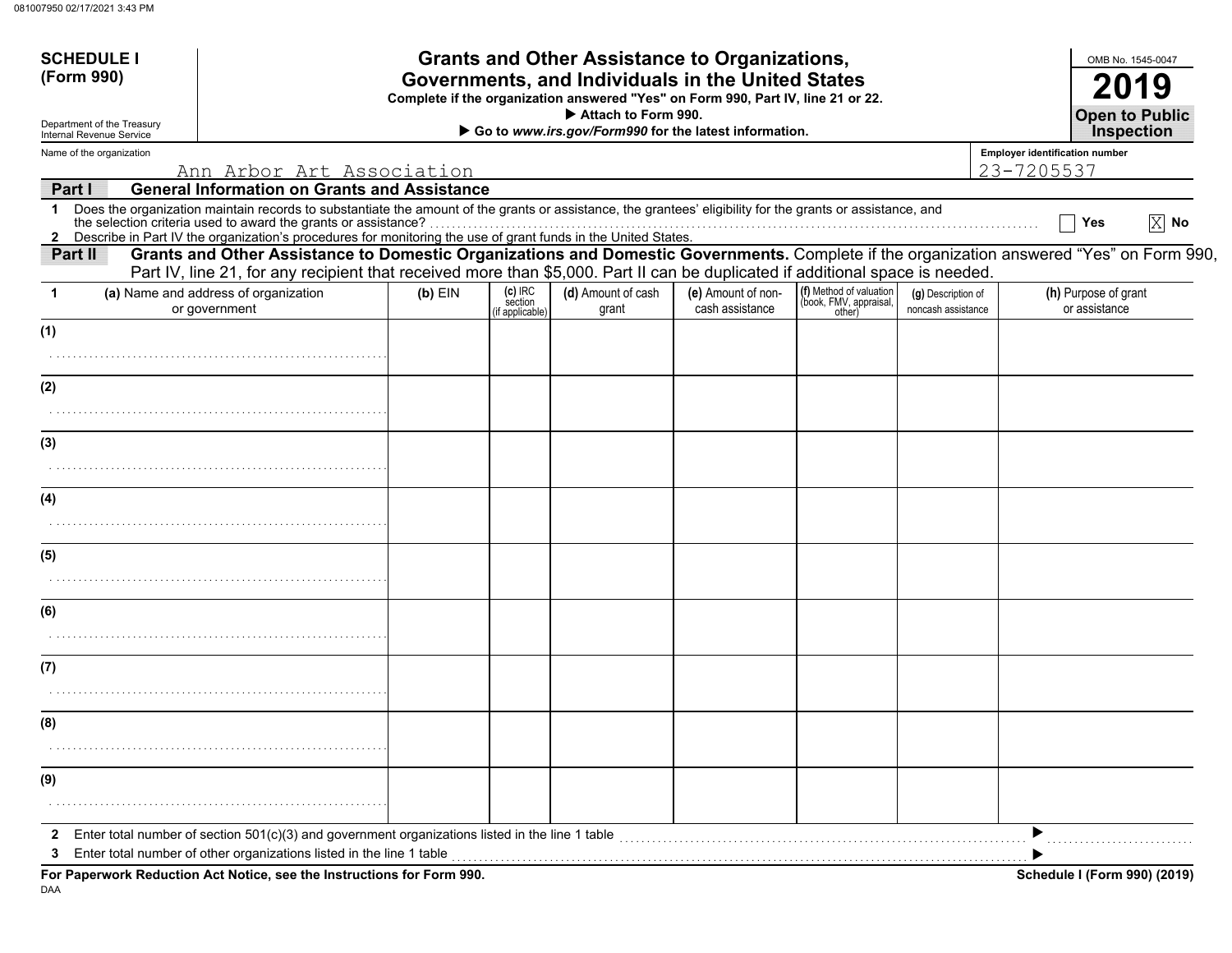| <b>SCHEDULE I</b><br>(Form 990)                                                                                                        |                                                                                                                                                                                                                                                                           |           |                            | <b>Grants and Other Assistance to Organizations,</b>                                                                                  |                    |                                                   |                    |                                            | OMB No. 1545-0047                   |
|----------------------------------------------------------------------------------------------------------------------------------------|---------------------------------------------------------------------------------------------------------------------------------------------------------------------------------------------------------------------------------------------------------------------------|-----------|----------------------------|---------------------------------------------------------------------------------------------------------------------------------------|--------------------|---------------------------------------------------|--------------------|--------------------------------------------|-------------------------------------|
|                                                                                                                                        |                                                                                                                                                                                                                                                                           |           |                            | Governments, and Individuals in the United States<br>Complete if the organization answered "Yes" on Form 990, Part IV, line 21 or 22. |                    |                                                   |                    |                                            | <b>2019</b>                         |
| Attach to Form 990.<br>Department of the Treasury<br>Go to www.irs.gov/Form990 for the latest information.<br>Internal Revenue Service |                                                                                                                                                                                                                                                                           |           |                            |                                                                                                                                       |                    |                                                   |                    | <b>Open to Public</b><br><b>Inspection</b> |                                     |
| Name of the organization                                                                                                               |                                                                                                                                                                                                                                                                           |           |                            |                                                                                                                                       |                    |                                                   |                    | <b>Employer identification number</b>      |                                     |
|                                                                                                                                        | <u>Ann Arbor Art Association</u>                                                                                                                                                                                                                                          |           |                            |                                                                                                                                       |                    |                                                   |                    | 23-7205537                                 |                                     |
| Part I                                                                                                                                 | <b>General Information on Grants and Assistance</b>                                                                                                                                                                                                                       |           |                            |                                                                                                                                       |                    |                                                   |                    |                                            |                                     |
| 1                                                                                                                                      | Does the organization maintain records to substantiate the amount of the grants or assistance, the grantees' eligibility for the grants or assistance, and<br>the selection criteria used to award the grants or assistance?                                              |           |                            |                                                                                                                                       |                    |                                                   |                    |                                            | $ X $ No<br>Yes                     |
|                                                                                                                                        | 2 Describe in Part IV the organization's procedures for monitoring the use of grant funds in the United States.                                                                                                                                                           |           |                            |                                                                                                                                       |                    |                                                   |                    |                                            |                                     |
| Part II                                                                                                                                | Grants and Other Assistance to Domestic Organizations and Domestic Governments. Complete if the organization answered "Yes" on Form 990,<br>Part IV, line 21, for any recipient that received more than \$5,000. Part II can be duplicated if additional space is needed. |           |                            |                                                                                                                                       |                    |                                                   |                    |                                            |                                     |
|                                                                                                                                        | (a) Name and address of organization                                                                                                                                                                                                                                      | $(b)$ EIN | $(c)$ IRC                  | (d) Amount of cash                                                                                                                    | (e) Amount of non- | (f) Method of valuation<br>(book, FMV, appraisal, | (g) Description of |                                            | (h) Purpose of grant                |
|                                                                                                                                        | or government                                                                                                                                                                                                                                                             |           | section<br>(if applicable) | grant                                                                                                                                 | cash assistance    | other)                                            | noncash assistance |                                            | or assistance                       |
| (1)                                                                                                                                    |                                                                                                                                                                                                                                                                           |           |                            |                                                                                                                                       |                    |                                                   |                    |                                            |                                     |
|                                                                                                                                        |                                                                                                                                                                                                                                                                           |           |                            |                                                                                                                                       |                    |                                                   |                    |                                            |                                     |
|                                                                                                                                        |                                                                                                                                                                                                                                                                           |           |                            |                                                                                                                                       |                    |                                                   |                    |                                            |                                     |
| (2)                                                                                                                                    |                                                                                                                                                                                                                                                                           |           |                            |                                                                                                                                       |                    |                                                   |                    |                                            |                                     |
|                                                                                                                                        |                                                                                                                                                                                                                                                                           |           |                            |                                                                                                                                       |                    |                                                   |                    |                                            |                                     |
| (3)                                                                                                                                    |                                                                                                                                                                                                                                                                           |           |                            |                                                                                                                                       |                    |                                                   |                    |                                            |                                     |
|                                                                                                                                        |                                                                                                                                                                                                                                                                           |           |                            |                                                                                                                                       |                    |                                                   |                    |                                            |                                     |
|                                                                                                                                        |                                                                                                                                                                                                                                                                           |           |                            |                                                                                                                                       |                    |                                                   |                    |                                            |                                     |
| (4)                                                                                                                                    |                                                                                                                                                                                                                                                                           |           |                            |                                                                                                                                       |                    |                                                   |                    |                                            |                                     |
|                                                                                                                                        |                                                                                                                                                                                                                                                                           |           |                            |                                                                                                                                       |                    |                                                   |                    |                                            |                                     |
| (5)                                                                                                                                    |                                                                                                                                                                                                                                                                           |           |                            |                                                                                                                                       |                    |                                                   |                    |                                            |                                     |
|                                                                                                                                        |                                                                                                                                                                                                                                                                           |           |                            |                                                                                                                                       |                    |                                                   |                    |                                            |                                     |
| (6)                                                                                                                                    |                                                                                                                                                                                                                                                                           |           |                            |                                                                                                                                       |                    |                                                   |                    |                                            |                                     |
|                                                                                                                                        |                                                                                                                                                                                                                                                                           |           |                            |                                                                                                                                       |                    |                                                   |                    |                                            |                                     |
|                                                                                                                                        |                                                                                                                                                                                                                                                                           |           |                            |                                                                                                                                       |                    |                                                   |                    |                                            |                                     |
| (7)                                                                                                                                    |                                                                                                                                                                                                                                                                           |           |                            |                                                                                                                                       |                    |                                                   |                    |                                            |                                     |
|                                                                                                                                        |                                                                                                                                                                                                                                                                           |           |                            |                                                                                                                                       |                    |                                                   |                    |                                            |                                     |
| (8)                                                                                                                                    |                                                                                                                                                                                                                                                                           |           |                            |                                                                                                                                       |                    |                                                   |                    |                                            |                                     |
|                                                                                                                                        |                                                                                                                                                                                                                                                                           |           |                            |                                                                                                                                       |                    |                                                   |                    |                                            |                                     |
|                                                                                                                                        |                                                                                                                                                                                                                                                                           |           |                            |                                                                                                                                       |                    |                                                   |                    |                                            |                                     |
| (9)                                                                                                                                    |                                                                                                                                                                                                                                                                           |           |                            |                                                                                                                                       |                    |                                                   |                    |                                            |                                     |
|                                                                                                                                        |                                                                                                                                                                                                                                                                           |           |                            |                                                                                                                                       |                    |                                                   |                    |                                            |                                     |
| 2                                                                                                                                      | Enter total number of section $501(c)(3)$ and government organizations listed in the line 1 table                                                                                                                                                                         |           |                            |                                                                                                                                       |                    |                                                   |                    |                                            |                                     |
| 3                                                                                                                                      | Enter total number of other organizations listed in the line 1 table                                                                                                                                                                                                      |           |                            |                                                                                                                                       |                    |                                                   |                    |                                            |                                     |
|                                                                                                                                        | For Paperwork Reduction Act Notice, see the Instructions for Form 990.                                                                                                                                                                                                    |           |                            |                                                                                                                                       |                    |                                                   |                    |                                            | <b>Schedule I (Form 990) (2019)</b> |

DAA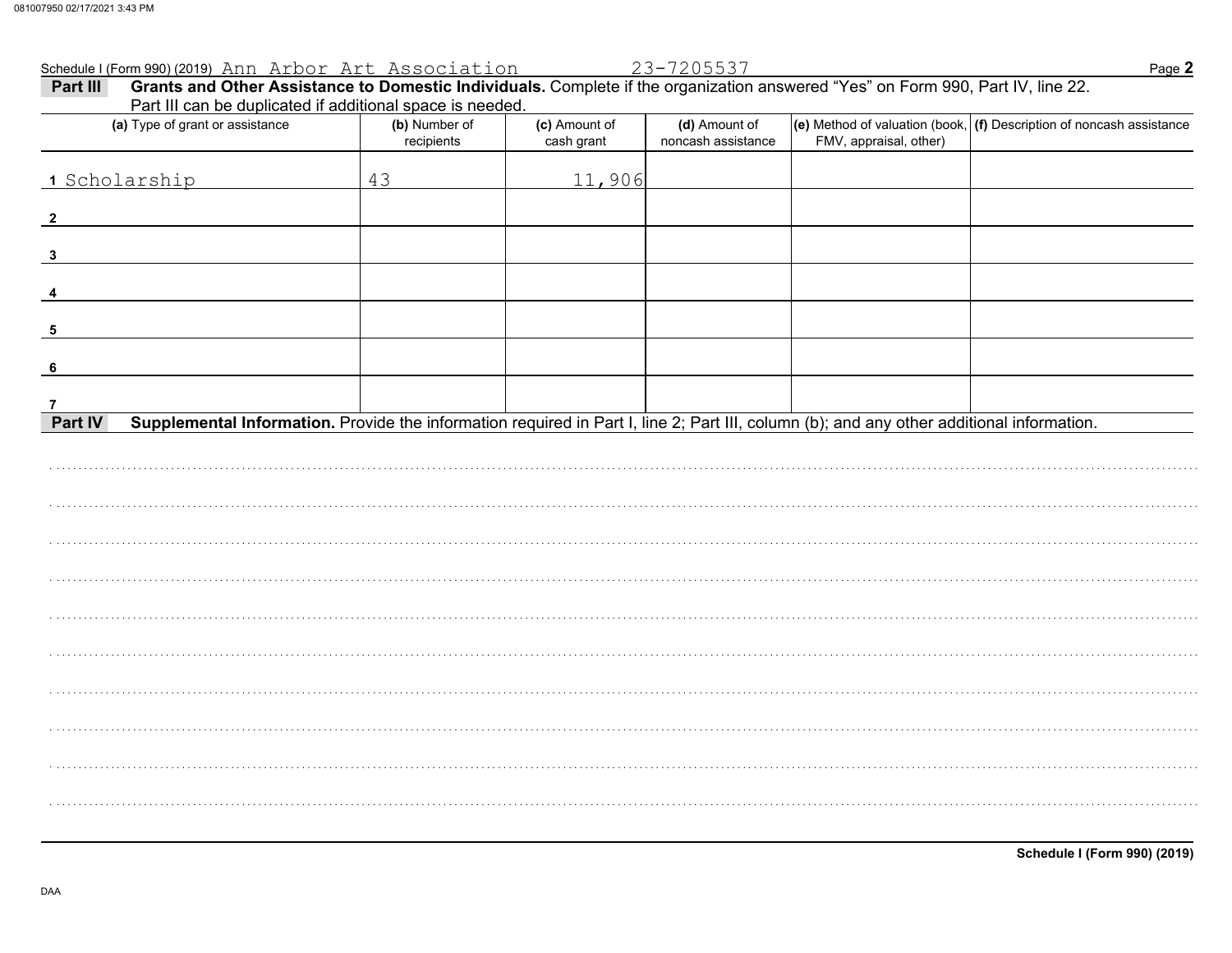|                         | Schedule I (Form 990) (2019) Ann Arbor Art Association                                                                                                                                       |                             |                             | 23-7205537                          |                        | Page 2                                                                               |
|-------------------------|----------------------------------------------------------------------------------------------------------------------------------------------------------------------------------------------|-----------------------------|-----------------------------|-------------------------------------|------------------------|--------------------------------------------------------------------------------------|
| Part III                | Grants and Other Assistance to Domestic Individuals. Complete if the organization answered "Yes" on Form 990, Part IV, line 22.<br>Part III can be duplicated if additional space is needed. |                             |                             |                                     |                        |                                                                                      |
|                         | (a) Type of grant or assistance                                                                                                                                                              | (b) Number of<br>recipients | (c) Amount of<br>cash grant | (d) Amount of<br>noncash assistance | FMV, appraisal, other) | $\vert$ (e) Method of valuation (book, $\vert$ (f) Description of noncash assistance |
|                         | 1 Scholarship                                                                                                                                                                                | 43                          | 11,906                      |                                     |                        |                                                                                      |
| $\overline{\mathbf{2}}$ |                                                                                                                                                                                              |                             |                             |                                     |                        |                                                                                      |
| $\mathbf{3}$            |                                                                                                                                                                                              |                             |                             |                                     |                        |                                                                                      |
|                         |                                                                                                                                                                                              |                             |                             |                                     |                        |                                                                                      |
| 5                       |                                                                                                                                                                                              |                             |                             |                                     |                        |                                                                                      |
| 6                       |                                                                                                                                                                                              |                             |                             |                                     |                        |                                                                                      |
| $\overline{7}$          |                                                                                                                                                                                              |                             |                             |                                     |                        |                                                                                      |
| Part IV                 | Supplemental Information. Provide the information required in Part I, line 2; Part III, column (b); and any other additional information.                                                    |                             |                             |                                     |                        |                                                                                      |
|                         |                                                                                                                                                                                              |                             |                             |                                     |                        |                                                                                      |
|                         |                                                                                                                                                                                              |                             |                             |                                     |                        |                                                                                      |
|                         |                                                                                                                                                                                              |                             |                             |                                     |                        |                                                                                      |
|                         |                                                                                                                                                                                              |                             |                             |                                     |                        |                                                                                      |
|                         |                                                                                                                                                                                              |                             |                             |                                     |                        |                                                                                      |
|                         |                                                                                                                                                                                              |                             |                             |                                     |                        |                                                                                      |
|                         |                                                                                                                                                                                              |                             |                             |                                     |                        |                                                                                      |
|                         |                                                                                                                                                                                              |                             |                             |                                     |                        |                                                                                      |
|                         |                                                                                                                                                                                              |                             |                             |                                     |                        |                                                                                      |
|                         |                                                                                                                                                                                              |                             |                             |                                     |                        |                                                                                      |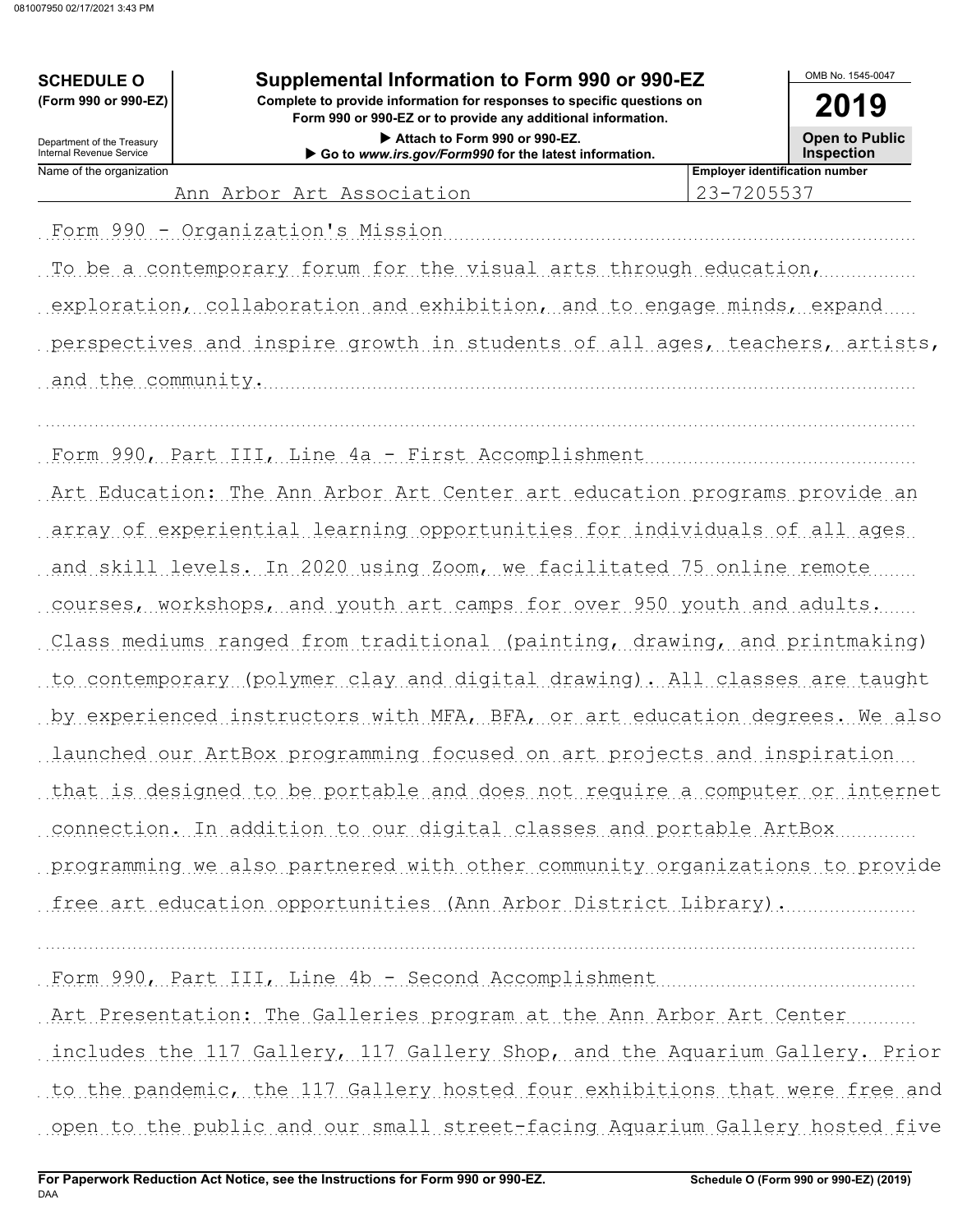# **SCHEDULE O Supplemental Information to Form 990 or 990-EZ**

**Form 990 or 990-EZ or to provide any additional information. (Form 990 or 990-EZ) Complete to provide information for responses to specific questions on**

> **Attach to Form 990 or 990-EZ. Go to** *www.irs.gov/Form990* **for the latest information.**

OMB No. 1545-0047 **2019**

**Open to Public**

**Inspection**

Name of the organization **Employer identification number Employer identification number** Internal Revenue Service

Department of the Treasury

Ann Arbor Art Association 23-7205537

Form 990 - Organization's Mission (1999) - Cornelis Cornelis Cornelis Cornelis Cornelis Cornelis Cornelis Corn

To be a contemporary forum for the visual arts through education,

exploration, collaboration and exhibition, and to engage minds, expand perspectives and inspire growth in students of all ages, teachers, artists,

. . . . . . . . . . . . . . . . . . . . . . . . . . . . . . . . . . . . . . . . . . . . . . . . . . . . . . . . . . . . . . . . . . . . . . . . . . . . . . . . . . . . . . . . . . . . . . . . . . . . . . . . . . . . . . . . . . . . . . . . . . . . . . . . . . . . . . . . . . . . . . . . . . . . . . . . . . . . . . . . .

and the community.

Form 990, Part III, Line 4a - First Accomplishment [11] [12] [13] Form (12] [13] Form (13] [13] Form (13] [13] Art Education: The Ann Arbor Art Center art education programs provide an array of experiential learning opportunities for individuals of all ages and skill levels. In 2020 using Zoom, we facilitated 75 online remote courses, workshops, and youth art camps for over 950 youth and adults. Class mediums ranged from traditional (painting, drawing, and printmaking) to contemporary (polymer clay and digital drawing). All classes are taught by experienced instructors with MFA, BFA, or art education degrees. We also launched our ArtBox programming focused on art projects and inspiration that is designed to be portable and does not require a computer or internet connection. In addition to our digital classes and portable ArtBox programming we also partnered with other community organizations to provide free art education opportunities (Ann Arbor District Library).

Form 990, Part III, Line 4b - Second Accomplishment [11] [12] [13] [13] Form 1990, Part III, Line 4b - Second Accomplishment

Art Presentation: The Galleries program at the Ann Arbor Art Center

. . . . . . . . . . . . . . . . . . . . . . . . . . . . . . . . . . . . . . . . . . . . . . . . . . . . . . . . . . . . . . . . . . . . . . . . . . . . . . . . . . . . . . . . . . . . . . . . . . . . . . . . . . . . . . . . . . . . . . . . . . . . . . . . . . . . . . . . . . . . . . . . . . . . . . . . . . . . . . . . .

includes the 117 Gallery, 117 Gallery Shop, and the Aquarium Gallery. Prior to the pandemic, the 117 Gallery hosted four exhibitions that were free and open to the public and our small street-facing Aquarium Gallery hosted five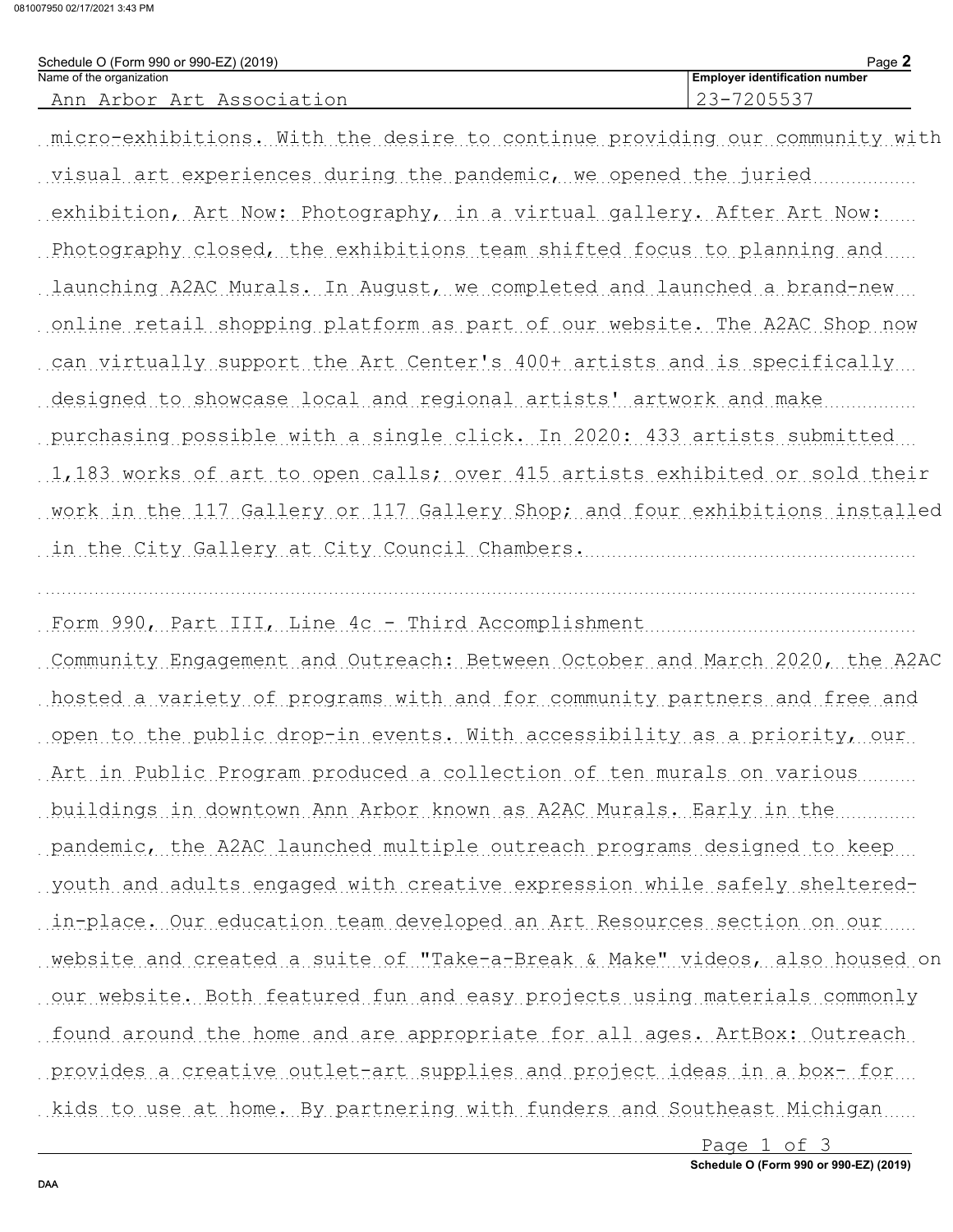081007950 02/17/2021 3:43 PM

| Schedule O (Form 990 or 990-EZ) (2019) | Page.                                 |
|----------------------------------------|---------------------------------------|
| Name of the organization               | <b>Employer identification number</b> |
| Association<br>Arbor<br>Art            | . –                                   |

micro-exhibitions. With the desire to continue providing our community with visual art experiences during the pandemic, we opened the juried exhibition, Art Now: Photography, in a virtual gallery. After Art Now: Photography closed, the exhibitions team shifted focus to planning and launching A2AC Murals. In August, we completed and launched a brand-new... conline retail shopping platform as part of our website. The A2AC Shop now can virtually support the Art Center's 400+ artists and is specifically designed to showcase local and regional artists' artwork and make purchasing possible with a single click. In 2020: 433 artists submitted 1,183 works of art to open calls; over 415 artists exhibited or sold their work in the 117 Gallery or 117 Gallery Shop, and four exhibitions installed in the City Gallery at City Council Chambers.

Community Engagement and Outreach: Between October and March 2020, the A2AC hosted a variety of programs with and for community partners and free and open to the public drop-in events. With accessibility as a priority, our Art in Public Program produced a collection of ten murals on various buildings in downtown Ann Arbor known as A2AC Murals. Early in the pandemic, the A2AC launched multiple outreach programs designed to keep youth and adults engaged with creative expression while safely shelteredin-place. Our education team developed an Art Resources section on our website and created a suite of "Take-a-Break & Make" videos, also housed on our website. Both featured fun and easy projects using materials commonly found around the home and are appropriate for all ages. ArtBox: Outreach provides a creative outlet-art supplies and project ideas in a box- for

kids to use at home. By partnering with funders and Southeast Michigan

Page 1 of 3 Schedule O (Form 990 or 990-EZ) (2019)

DAA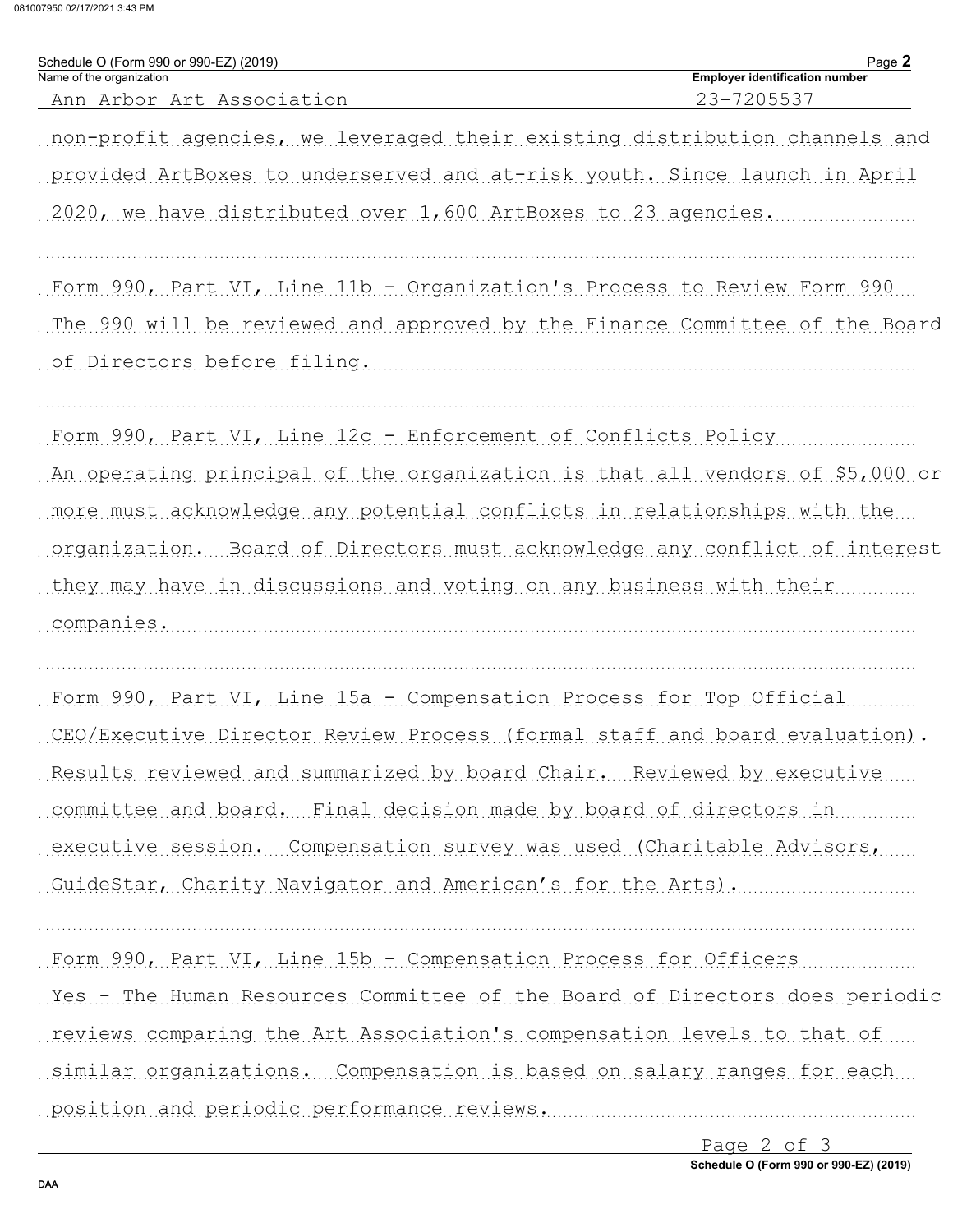081007950 02/17/2021 3:43 PM

| Schedule O (Form 990 or 990-EZ) (2019)<br>Name of the organization           | Page 2<br><b>Employer identification number</b> |
|------------------------------------------------------------------------------|-------------------------------------------------|
| Ann Arbor Art Association                                                    | 23-7205537                                      |
| non-profit agencies, we leveraged their existing distribution channels and   |                                                 |
| provided ArtBoxes to underserved and at-risk youth. Since launch in April    |                                                 |
| 2020, we have distributed over 1,600 ArtBoxes to 23 agencies.                |                                                 |
| Form 990, Part VI, Line 11b - Organization's Process to Review Form 990      |                                                 |
| The 990 will be reviewed and approved by the Finance Committee of the Board  |                                                 |
| of Directors before filing.                                                  |                                                 |
| Form 990, Part VI, Line 12c - Enforcement of Conflicts Policy                |                                                 |
| An operating principal of the organization is that all vendors of \$5,000 or |                                                 |
| more must acknowledge any potential conflicts in relationships with the      |                                                 |
| organization. Board of Directors must acknowledge any conflict of interest   |                                                 |
| they may have in discussions and voting on any business with their           |                                                 |
| companies.                                                                   |                                                 |
| Form 990, Part VI, Line 15a - Compensation Process for Top Official          |                                                 |
| CEO/Executive Director Review Process (formal staff and board evaluation).   |                                                 |
| Results reviewed and summarized by board Chair. Reviewed by executive        |                                                 |
| committee and board. Final decision made by board of directors in            |                                                 |
| executive session. Compensation survey was used (Charitable Advisors,        |                                                 |
| GuideStar, Charity Navigator and American's for the Arts).                   |                                                 |
| Form 990, Part VI, Line 15b - Compensation Process for Officers              |                                                 |
| Yes - The Human Resources Committee of the Board of Directors does periodic  |                                                 |
| reviews comparing the Art Association's compensation levels to that of       |                                                 |
| similar organizations. Compensation is based on salary ranges for each       |                                                 |
| position and periodic performance reviews.                                   |                                                 |
|                                                                              |                                                 |

Page 2 of 3 Schedule O (Form 990 or 990-EZ) (2019)